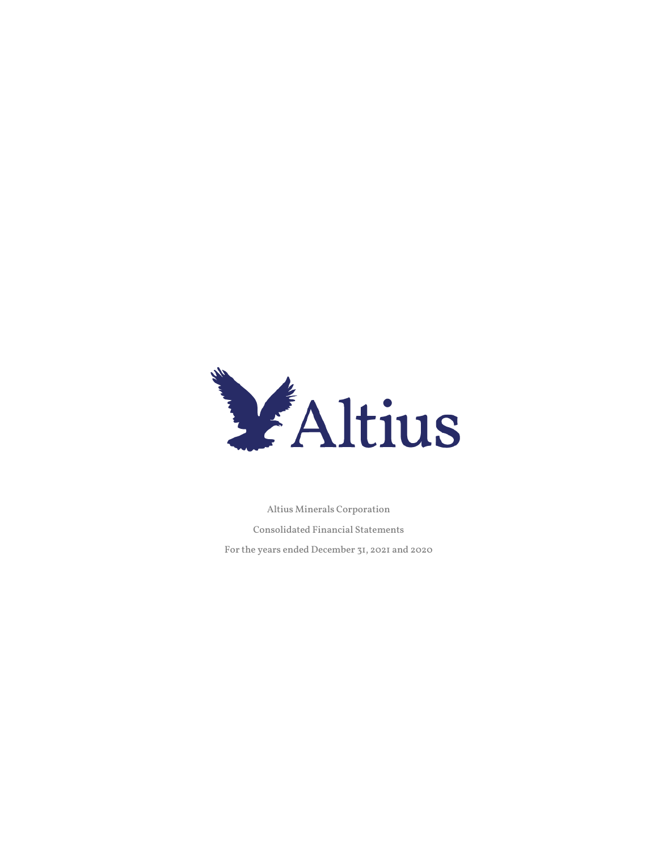

Altius Minerals Corporation

Consolidated Financial Statements

For the years ended December 31, 2021 and 2020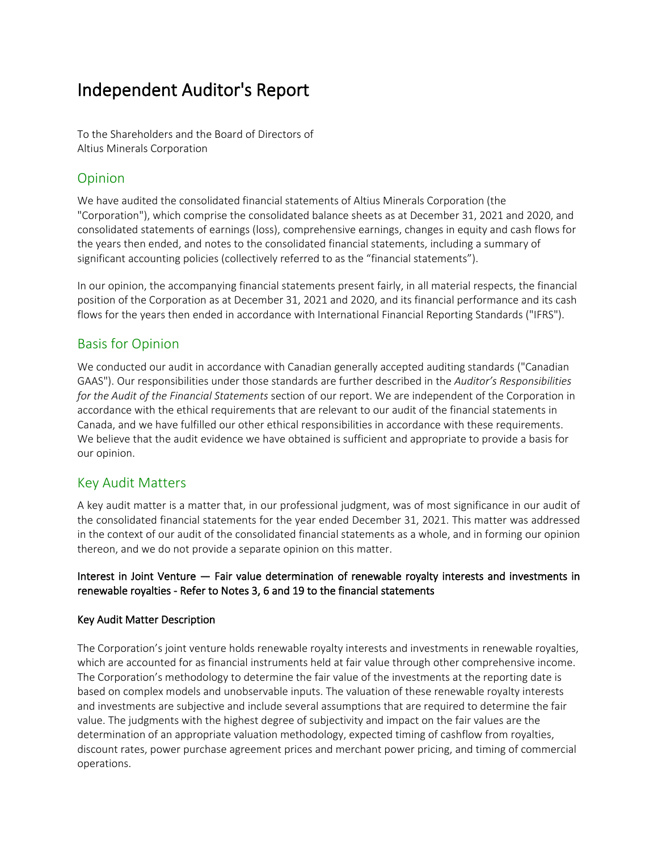# Independent Auditor's Report

To the Shareholders and the Board of Directors of Altius Minerals Corporation

## Opinion

We have audited the consolidated financial statements of Altius Minerals Corporation (the "Corporation"), which comprise the consolidated balance sheets as at December 31, 2021 and 2020, and consolidated statements of earnings (loss), comprehensive earnings, changes in equity and cash flows for the years then ended, and notes to the consolidated financial statements, including a summary of significant accounting policies (collectively referred to as the "financial statements").

In our opinion, the accompanying financial statements present fairly, in all material respects, the financial position of the Corporation as at December 31, 2021 and 2020, and its financial performance and its cash flows for the years then ended in accordance with International Financial Reporting Standards ("IFRS").

## Basis for Opinion

We conducted our audit in accordance with Canadian generally accepted auditing standards ("Canadian GAAS"). Our responsibilities under those standards are further described in the *Auditor's Responsibilities for the Audit of the Financial Statements* section of our report. We are independent of the Corporation in accordance with the ethical requirements that are relevant to our audit of the financial statements in Canada, and we have fulfilled our other ethical responsibilities in accordance with these requirements. We believe that the audit evidence we have obtained is sufficient and appropriate to provide a basis for our opinion.

## Key Audit Matters

A key audit matter is a matter that, in our professional judgment, was of most significance in our audit of the consolidated financial statements for the year ended December 31, 2021. This matter was addressed in the context of our audit of the consolidated financial statements as a whole, and in forming our opinion thereon, and we do not provide a separate opinion on this matter.

## Interest in Joint Venture — Fair value determination of renewable royalty interests and investments in renewable royalties - Refer to Notes 3, 6 and 19 to the financial statements

## Key Audit Matter Description

The Corporation's joint venture holds renewable royalty interests and investments in renewable royalties, which are accounted for as financial instruments held at fair value through other comprehensive income. The Corporation's methodology to determine the fair value of the investments at the reporting date is based on complex models and unobservable inputs. The valuation of these renewable royalty interests and investments are subjective and include several assumptions that are required to determine the fair value. The judgments with the highest degree of subjectivity and impact on the fair values are the determination of an appropriate valuation methodology, expected timing of cashflow from royalties, discount rates, power purchase agreement prices and merchant power pricing, and timing of commercial operations.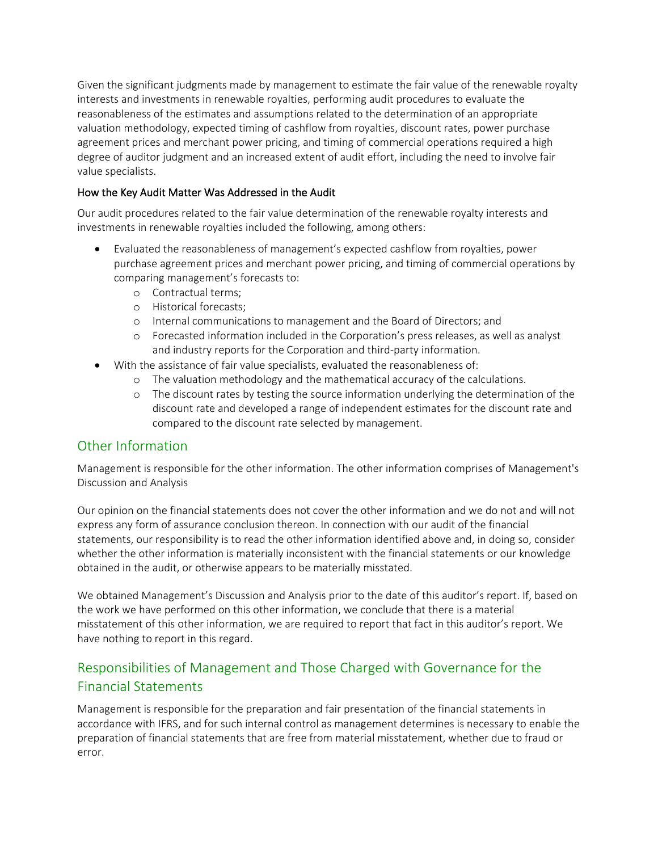Given the significant judgments made by management to estimate the fair value of the renewable royalty interests and investments in renewable royalties, performing audit procedures to evaluate the reasonableness of the estimates and assumptions related to the determination of an appropriate valuation methodology, expected timing of cashflow from royalties, discount rates, power purchase agreement prices and merchant power pricing, and timing of commercial operations required a high degree of auditor judgment and an increased extent of audit effort, including the need to involve fair value specialists.

## How the Key Audit Matter Was Addressed in the Audit

Our audit procedures related to the fair value determination of the renewable royalty interests and investments in renewable royalties included the following, among others:

- Evaluated the reasonableness of management's expected cashflow from royalties, power purchase agreement prices and merchant power pricing, and timing of commercial operations by comparing management's forecasts to:
	- o Contractual terms;
	- o Historical forecasts;
	- o Internal communications to management and the Board of Directors; and
	- o Forecasted information included in the Corporation's press releases, as well as analyst and industry reports for the Corporation and third-party information.
- With the assistance of fair value specialists, evaluated the reasonableness of:
	- o The valuation methodology and the mathematical accuracy of the calculations.
	- o The discount rates by testing the source information underlying the determination of the discount rate and developed a range of independent estimates for the discount rate and compared to the discount rate selected by management.

## Other Information

Management is responsible for the other information. The other information comprises of Management's Discussion and Analysis

Our opinion on the financial statements does not cover the other information and we do not and will not express any form of assurance conclusion thereon. In connection with our audit of the financial statements, our responsibility is to read the other information identified above and, in doing so, consider whether the other information is materially inconsistent with the financial statements or our knowledge obtained in the audit, or otherwise appears to be materially misstated.

We obtained Management's Discussion and Analysis prior to the date of this auditor's report. If, based on the work we have performed on this other information, we conclude that there is a material misstatement of this other information, we are required to report that fact in this auditor's report. We have nothing to report in this regard.

## Responsibilities of Management and Those Charged with Governance for the Financial Statements

Management is responsible for the preparation and fair presentation of the financial statements in accordance with IFRS, and for such internal control as management determines is necessary to enable the preparation of financial statements that are free from material misstatement, whether due to fraud or error.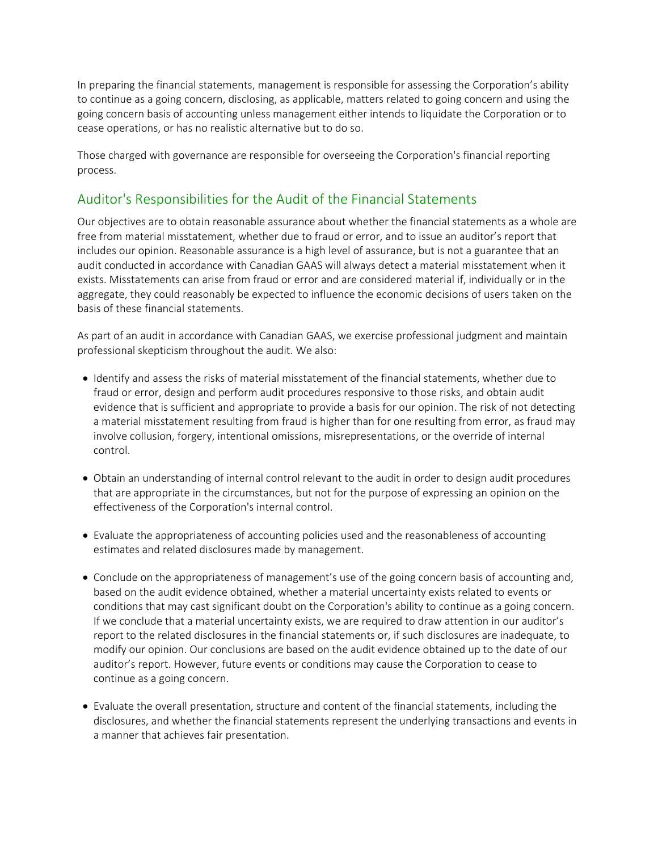In preparing the financial statements, management is responsible for assessing the Corporation's ability to continue as a going concern, disclosing, as applicable, matters related to going concern and using the going concern basis of accounting unless management either intends to liquidate the Corporation or to cease operations, or has no realistic alternative but to do so.

Those charged with governance are responsible for overseeing the Corporation's financial reporting process.

## Auditor's Responsibilities for the Audit of the Financial Statements

Our objectives are to obtain reasonable assurance about whether the financial statements as a whole are free from material misstatement, whether due to fraud or error, and to issue an auditor's report that includes our opinion. Reasonable assurance is a high level of assurance, but is not a guarantee that an audit conducted in accordance with Canadian GAAS will always detect a material misstatement when it exists. Misstatements can arise from fraud or error and are considered material if, individually or in the aggregate, they could reasonably be expected to influence the economic decisions of users taken on the basis of these financial statements.

As part of an audit in accordance with Canadian GAAS, we exercise professional judgment and maintain professional skepticism throughout the audit. We also:

- Identify and assess the risks of material misstatement of the financial statements, whether due to fraud or error, design and perform audit procedures responsive to those risks, and obtain audit evidence that is sufficient and appropriate to provide a basis for our opinion. The risk of not detecting a material misstatement resulting from fraud is higher than for one resulting from error, as fraud may involve collusion, forgery, intentional omissions, misrepresentations, or the override of internal control.
- Obtain an understanding of internal control relevant to the audit in order to design audit procedures that are appropriate in the circumstances, but not for the purpose of expressing an opinion on the effectiveness of the Corporation's internal control.
- Evaluate the appropriateness of accounting policies used and the reasonableness of accounting estimates and related disclosures made by management.
- Conclude on the appropriateness of management's use of the going concern basis of accounting and, based on the audit evidence obtained, whether a material uncertainty exists related to events or conditions that may cast significant doubt on the Corporation's ability to continue as a going concern. If we conclude that a material uncertainty exists, we are required to draw attention in our auditor's report to the related disclosures in the financial statements or, if such disclosures are inadequate, to modify our opinion. Our conclusions are based on the audit evidence obtained up to the date of our auditor's report. However, future events or conditions may cause the Corporation to cease to continue as a going concern.
- Evaluate the overall presentation, structure and content of the financial statements, including the disclosures, and whether the financial statements represent the underlying transactions and events in a manner that achieves fair presentation.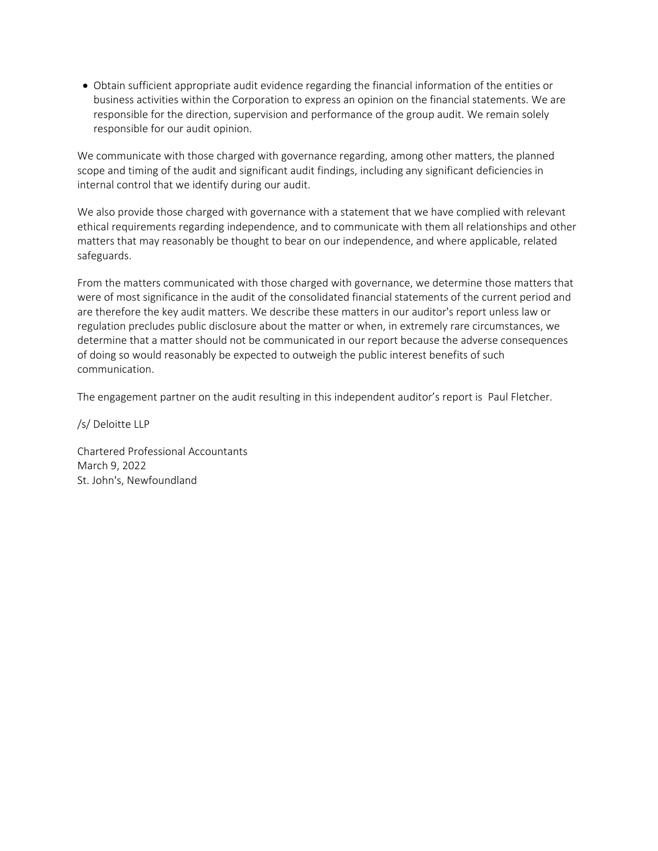• Obtain sufficient appropriate audit evidence regarding the financial information of the entities or business activities within the Corporation to express an opinion on the financial statements. We are responsible for the direction, supervision and performance of the group audit. We remain solely responsible for our audit opinion.

We communicate with those charged with governance regarding, among other matters, the planned scope and timing of the audit and significant audit findings, including any significant deficiencies in internal control that we identify during our audit.

We also provide those charged with governance with a statement that we have complied with relevant ethical requirements regarding independence, and to communicate with them all relationships and other matters that may reasonably be thought to bear on our independence, and where applicable, related safeguards.

From the matters communicated with those charged with governance, we determine those matters that were of most significance in the audit of the consolidated financial statements of the current period and are therefore the key audit matters. We describe these matters in our auditor's report unless law or regulation precludes public disclosure about the matter or when, in extremely rare circumstances, we determine that a matter should not be communicated in our report because the adverse consequences of doing so would reasonably be expected to outweigh the public interest benefits of such communication.

The engagement partner on the audit resulting in this independent auditor's report is Paul Fletcher.

/s/ Deloitte LLP

Chartered Professional Accountants March 9, 2022 St. John's, Newfoundland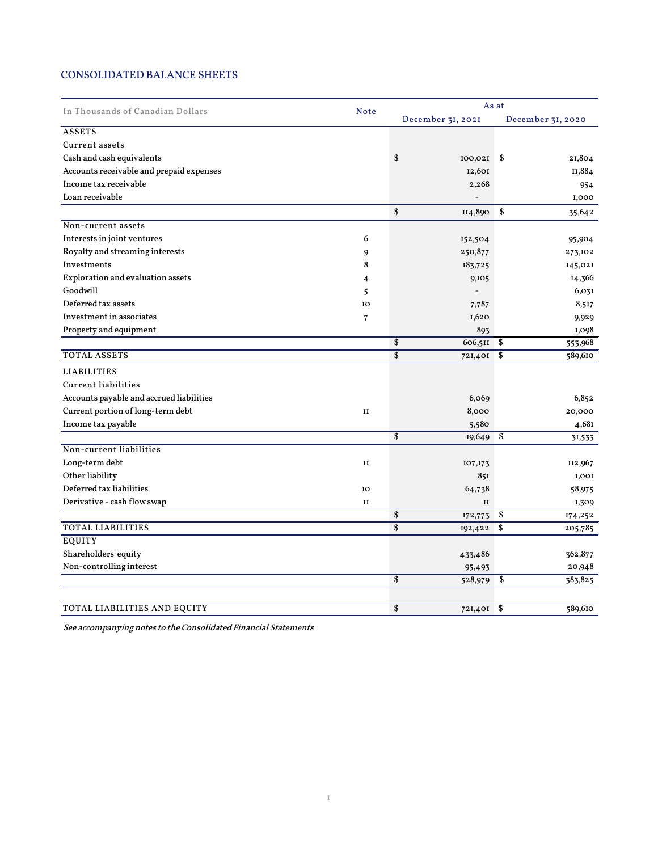## CONSOLIDATED BALANCE SHEETS

| In Thousands of Canadian Dollars         |                | As at               |                   |  |  |  |
|------------------------------------------|----------------|---------------------|-------------------|--|--|--|
|                                          | <b>Note</b>    | December 31, 2021   | December 31, 2020 |  |  |  |
| <b>ASSETS</b>                            |                |                     |                   |  |  |  |
| Current assets                           |                |                     |                   |  |  |  |
| Cash and cash equivalents                |                | \$<br>$IOO, O2I$ \$ | 21,804            |  |  |  |
| Accounts receivable and prepaid expenses |                | 12,601              | II,884            |  |  |  |
| Income tax receivable                    |                | 2,268               | 954               |  |  |  |
| Loan receivable                          |                |                     | 1,000             |  |  |  |
|                                          |                | \$<br>II4,890       | \$<br>35,642      |  |  |  |
| Non-current assets                       |                |                     |                   |  |  |  |
| Interests in joint ventures              | 6              | 152,504             | 95,904            |  |  |  |
| Royalty and streaming interests          | 9              | 250,877             | 273,102           |  |  |  |
| Investments                              | 8              | 183,725             | 145,021           |  |  |  |
| Exploration and evaluation assets        | 4              | 9,105               | 14,366            |  |  |  |
| Goodwill                                 | 5              |                     | 6,031             |  |  |  |
| Deferred tax assets                      | IO             | 7,787               | 8,517             |  |  |  |
| Investment in associates                 | $\overline{7}$ | 1,620               | 9,929             |  |  |  |
| Property and equipment                   |                | 893                 | 1,098             |  |  |  |
|                                          |                | \$<br>606,511       | \$<br>553,968     |  |  |  |
| <b>TOTAL ASSETS</b>                      |                | \$<br>721,401       | \$<br>589,610     |  |  |  |
| <b>LIABILITIES</b>                       |                |                     |                   |  |  |  |
| Current liabilities                      |                |                     |                   |  |  |  |
| Accounts payable and accrued liabilities |                | 6,069               | 6,852             |  |  |  |
| Current portion of long-term debt        | $\,$ II        | 8,000               | 20,000            |  |  |  |
| Income tax payable                       |                | 5,580               | 4,681             |  |  |  |
|                                          |                | \$<br>19,649        | \$<br>31,533      |  |  |  |
| Non-current liabilities                  |                |                     |                   |  |  |  |
| Long-term debt                           | $\mathbf{II}$  | 107,173             | II2,967           |  |  |  |
| Other liability                          |                | 851                 | 1,00I             |  |  |  |
| Deferred tax liabilities                 | IO             | 64,738              | 58,975            |  |  |  |
| Derivative - cash flow swap              | $\mathbf{I}$   | $\mathbf{I}$        | 1,309             |  |  |  |
|                                          |                | \$<br>172,773       | \$<br>174,252     |  |  |  |
| <b>TOTAL LIABILITIES</b>                 |                | \$<br>192,422       | \$<br>205,785     |  |  |  |
| EQUITY                                   |                |                     |                   |  |  |  |
| Shareholders' equity                     |                | 433,486             | 362,877           |  |  |  |
| Non-controlling interest                 |                | 95,493              | 20,948            |  |  |  |
|                                          |                | \$<br>528,979       | \$<br>383,825     |  |  |  |
| TOTAL LIABILITIES AND EQUITY             |                | \$<br>721,401 \$    | 589,610           |  |  |  |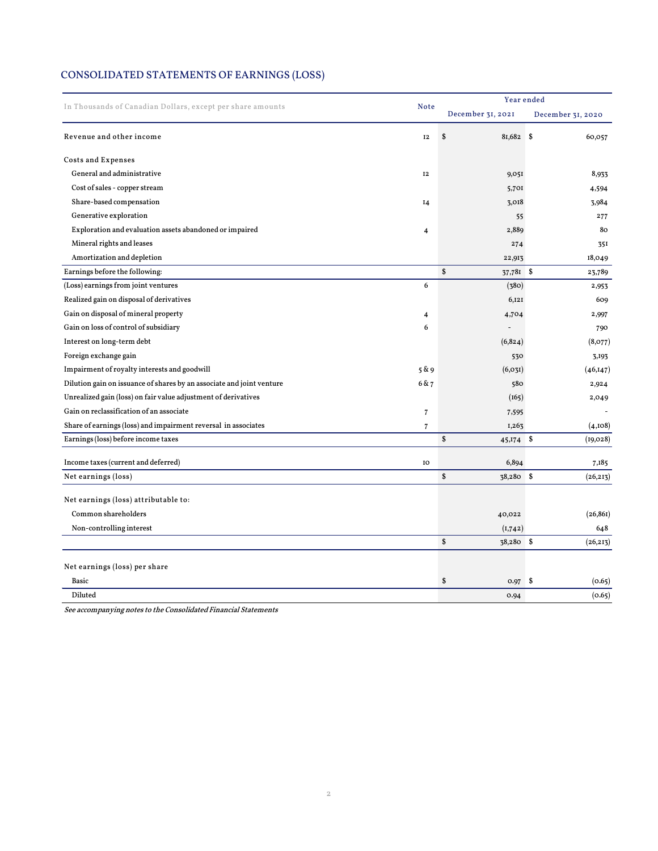## CONSOLIDATED STATEMENTS OF EARNINGS (LOSS)

| In Thousands of Canadian Dollars, except per share amounts            |                | Year ended        |                   |  |  |  |  |  |
|-----------------------------------------------------------------------|----------------|-------------------|-------------------|--|--|--|--|--|
|                                                                       |                | December 31, 2021 | December 31, 2020 |  |  |  |  |  |
| Revenue and other income                                              | <b>I2</b>      | \$<br>81,682 \$   | 60,057            |  |  |  |  |  |
| <b>Costs and Expenses</b>                                             |                |                   |                   |  |  |  |  |  |
| General and administrative                                            | <b>I2</b>      | 9,051             | 8,933             |  |  |  |  |  |
| Cost of sales - copper stream                                         |                | 5,701             | 4,594             |  |  |  |  |  |
| Share-based compensation                                              | 14             | 3,018             | 3,984             |  |  |  |  |  |
| Generative exploration                                                |                | 55                | 277               |  |  |  |  |  |
| Exploration and evaluation assets abandoned or impaired               | 4              | 2,889             | 80                |  |  |  |  |  |
| Mineral rights and leases                                             |                | 274               | 35I               |  |  |  |  |  |
| Amortization and depletion                                            |                | 22,913            | 18,049            |  |  |  |  |  |
| Earnings before the following:                                        |                | \$<br>37,781 \$   | 23,789            |  |  |  |  |  |
| (Loss) earnings from joint ventures                                   | 6              | (380)             | 2,953             |  |  |  |  |  |
| Realized gain on disposal of derivatives                              |                | 6,121             | 609               |  |  |  |  |  |
| Gain on disposal of mineral property                                  | 4              | 4,704             | 2,997             |  |  |  |  |  |
| Gain on loss of control of subsidiary                                 | 6              | $\overline{a}$    | 790               |  |  |  |  |  |
| Interest on long-term debt                                            |                | (6, 824)          | (8,077)           |  |  |  |  |  |
| Foreign exchange gain                                                 |                | 530               | 3,193             |  |  |  |  |  |
| Impairment of royalty interests and goodwill                          | 5 & 9          | (6, 03I)          | (46, 147)         |  |  |  |  |  |
| Dilution gain on issuance of shares by an associate and joint venture | 6 & 7          | 580               | 2,924             |  |  |  |  |  |
| Unrealized gain (loss) on fair value adjustment of derivatives        |                | (165)             | 2,049             |  |  |  |  |  |
| Gain on reclassification of an associate                              | $\sqrt{7}$     | 7,595             |                   |  |  |  |  |  |
| Share of earnings (loss) and impairment reversal in associates        | $\overline{7}$ | I,263             | (4,108)           |  |  |  |  |  |
| Earnings (loss) before income taxes                                   |                | \$<br>45,174 \$   | (19, 028)         |  |  |  |  |  |
| Income taxes (current and deferred)                                   | IO             | 6,894             | 7,185             |  |  |  |  |  |
| Net earnings (loss)                                                   |                | \$<br>38,280 \$   | (26, 213)         |  |  |  |  |  |
|                                                                       |                |                   |                   |  |  |  |  |  |
| Net earnings (loss) attributable to:                                  |                |                   |                   |  |  |  |  |  |
| Common shareholders                                                   |                | 40,022            | (26, 86I)         |  |  |  |  |  |
| Non-controlling interest                                              |                | (1,742)           | 648               |  |  |  |  |  |
|                                                                       |                | \$<br>38,280 \$   | (26, 213)         |  |  |  |  |  |
| Net earnings (loss) per share                                         |                |                   |                   |  |  |  |  |  |
| <b>Basic</b>                                                          |                | \$<br>0.97        | - \$<br>(0.65)    |  |  |  |  |  |
| Diluted                                                               |                | 0.94              | (0.65)            |  |  |  |  |  |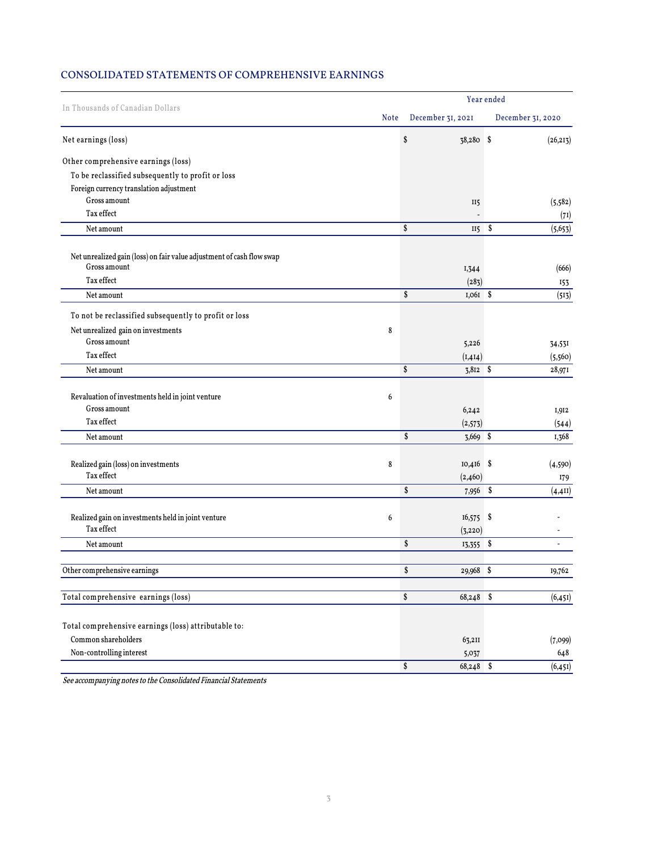## CONSOLIDATED STATEMENTS OF COMPREHENSIVE EARNINGS

|                                                                       |             | Year ended        |                   |  |  |  |
|-----------------------------------------------------------------------|-------------|-------------------|-------------------|--|--|--|
| In Thousands of Canadian Dollars                                      | <b>Note</b> | December 31, 2021 | December 31, 2020 |  |  |  |
| Net earnings (loss)                                                   |             | \$<br>38,280 \$   | (26, 213)         |  |  |  |
| Other comprehensive earnings (loss)                                   |             |                   |                   |  |  |  |
| To be reclassified subsequently to profit or loss                     |             |                   |                   |  |  |  |
| Foreign currency translation adjustment                               |             |                   |                   |  |  |  |
| Gross amount                                                          |             | II5               | (5, 582)          |  |  |  |
| Tax effect                                                            |             |                   | (7I)              |  |  |  |
| Net amount                                                            |             | \$<br>$II5 \quad$ | (5, 653)          |  |  |  |
| Net unrealized gain (loss) on fair value adjustment of cash flow swap |             |                   |                   |  |  |  |
| Gross amount                                                          |             | I,344             | (666)             |  |  |  |
| Tax effect                                                            |             | (283)             | 153               |  |  |  |
| Net amount                                                            |             | \$<br>1,061 \$    | (513)             |  |  |  |
| To not be reclassified subsequently to profit or loss                 |             |                   |                   |  |  |  |
| Net unrealized gain on investments                                    | 8           |                   |                   |  |  |  |
| Gross amount                                                          |             | 5,226             | 34,53I            |  |  |  |
| Tax effect                                                            |             | (I, 4I4)          | (5,560)           |  |  |  |
| Net amount                                                            |             | \$<br>$3,812$ \$  | 28,971            |  |  |  |
| Revaluation of investments held in joint venture                      | 6           |                   |                   |  |  |  |
| Gross amount                                                          |             | 6,242             | 1,912             |  |  |  |
| Tax effect                                                            |             | (2,573)           | (544)             |  |  |  |
| Net amount                                                            |             | \$<br>3,669 \$    | I,368             |  |  |  |
|                                                                       |             |                   |                   |  |  |  |
| Realized gain (loss) on investments                                   | 8           | $10,416$ \$       | (4,590)           |  |  |  |
| $\operatorname{Tax}$ effect                                           |             | (2,460)           | I79               |  |  |  |
| Net amount                                                            |             | \$<br>7,956 \$    | (4, 411)          |  |  |  |
|                                                                       |             |                   |                   |  |  |  |
| Realized gain on investments held in joint venture<br>Tax effect      | 6           | $16,575$ \$       |                   |  |  |  |
|                                                                       |             | (3, 220)          |                   |  |  |  |
| Net amount                                                            |             | \$<br>13,355 \$   |                   |  |  |  |
| Other comprehensive earnings                                          |             | \$<br>$29,968$ \$ | 19,762            |  |  |  |
| Total comprehensive earnings (loss)                                   |             | \$<br>68,248 \$   | (6, 451)          |  |  |  |
|                                                                       |             |                   |                   |  |  |  |
| Total comprehensive earnings (loss) attributable to:                  |             |                   |                   |  |  |  |
| Common shareholders                                                   |             | 63,2II            | (7,099)           |  |  |  |
| Non-controlling interest                                              |             | 5,037             | 648               |  |  |  |
|                                                                       |             | \$<br>68,248 \$   | (6, 451)          |  |  |  |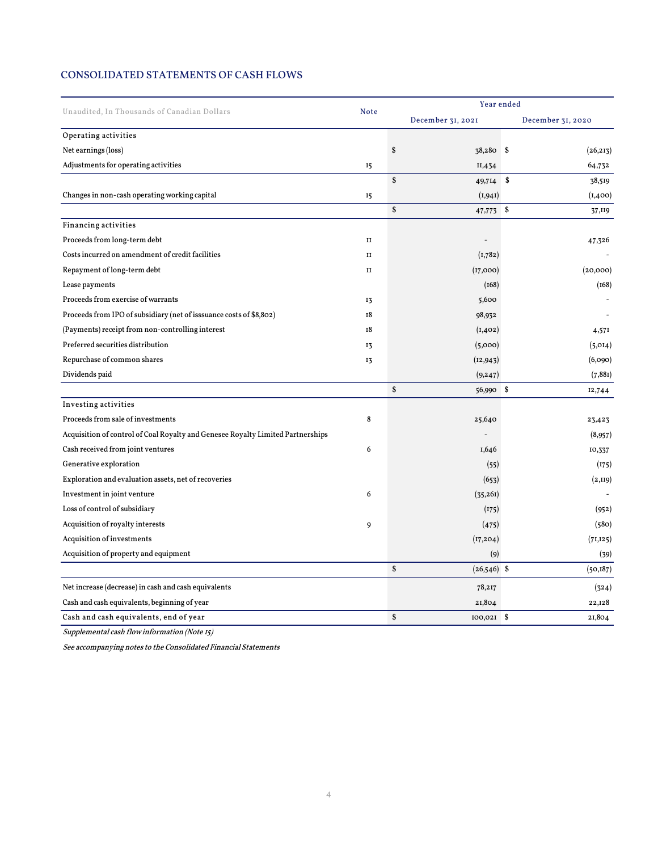## CONSOLIDATED STATEMENTS OF CASH FLOWS

| Unaudited, In Thousands of Canadian Dollars                                     | <b>Note</b>  | Year ended          |                   |  |  |  |
|---------------------------------------------------------------------------------|--------------|---------------------|-------------------|--|--|--|
|                                                                                 |              | December 31, 2021   | December 31, 2020 |  |  |  |
| Operating activities                                                            |              |                     |                   |  |  |  |
| Net earnings (loss)                                                             |              | \$<br>38,280 \$     | (26, 213)         |  |  |  |
| Adjustments for operating activities                                            | 15           | II,434              | 64,732            |  |  |  |
|                                                                                 |              | \$<br>49,714        | \$<br>38,519      |  |  |  |
| Changes in non-cash operating working capital                                   | 15           | (1,941)             | (1,400)           |  |  |  |
|                                                                                 |              | \$<br>47,773 \$     | 37,II9            |  |  |  |
| Financing activities                                                            |              |                     |                   |  |  |  |
| Proceeds from long-term debt                                                    | $\mathbf{I}$ |                     | 47,326            |  |  |  |
| Costs incurred on amendment of credit facilities                                | $\mathbf{I}$ | (1,782)             |                   |  |  |  |
| Repayment of long-term debt                                                     | $\mathbf{I}$ | (17,000)            | (20,000)          |  |  |  |
| Lease payments                                                                  |              | (168)               | (168)             |  |  |  |
| Proceeds from exercise of warrants                                              | 13           | 5,600               |                   |  |  |  |
| Proceeds from IPO of subsidiary (net of isssuance costs of \$8,802)             | 18           | 98,932              |                   |  |  |  |
| (Payments) receipt from non-controlling interest                                | 18           | (I, 402)            | 4,571             |  |  |  |
| Preferred securities distribution                                               | 13           | (5,000)             | (5,014)           |  |  |  |
| Repurchase of common shares                                                     | 13           | (12, 943)           | (6,090)           |  |  |  |
| Dividends paid                                                                  |              | (9, 247)            | (7,881)           |  |  |  |
|                                                                                 |              | \$<br>56,990 \$     | 12,744            |  |  |  |
| Investing activities                                                            |              |                     |                   |  |  |  |
| Proceeds from sale of investments                                               | 8            | 25,640              | 23,423            |  |  |  |
| Acquisition of control of Coal Royalty and Genesee Royalty Limited Partnerships |              |                     | (8,957)           |  |  |  |
| Cash received from joint ventures                                               | 6            | I,646               | 10,337            |  |  |  |
| Generative exploration                                                          |              | (55)                | (175)             |  |  |  |
| Exploration and evaluation assets, net of recoveries                            |              | (653)               | (2,119)           |  |  |  |
| Investment in joint venture                                                     | 6            | (35,261)            |                   |  |  |  |
| Loss of control of subsidiary                                                   |              | (175)               | (952)             |  |  |  |
| Acquisition of royalty interests                                                | 9            | (475)               | (580)             |  |  |  |
| Acquisition of investments                                                      |              | (17, 204)           | (71, 125)         |  |  |  |
| Acquisition of property and equipment                                           |              | (9)                 | (39)              |  |  |  |
|                                                                                 |              | \$<br>$(26,546)$ \$ | (50, 187)         |  |  |  |
| Net increase (decrease) in cash and cash equivalents                            |              | 78,217              | (324)             |  |  |  |
| Cash and cash equivalents, beginning of year                                    |              | 21,804              | 22,128            |  |  |  |
| Cash and cash equivalents, end of year                                          |              | \$<br>$100,021$ \$  | 21,804            |  |  |  |

Supplemental cash flow information (Note 15)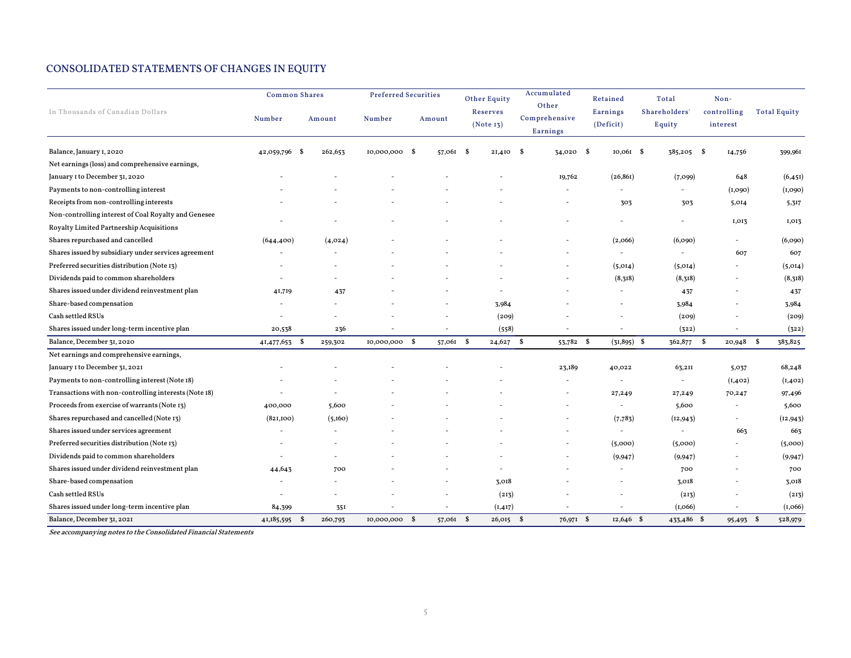## CONSOLIDATED STATEMENTS OF CHANGES IN EQUITY

|                                                       | <b>Common Shares</b>     |                 | <b>Preferred Securities</b> |           | <b>Other Equity</b>          | Accumulated                        | Retained                 | Total                    | Non-                     |                     |
|-------------------------------------------------------|--------------------------|-----------------|-----------------------------|-----------|------------------------------|------------------------------------|--------------------------|--------------------------|--------------------------|---------------------|
| In Thousands of Canadian Dollars                      | Number                   | Amount          | Number                      | Amount    | <b>Reserves</b><br>(Note 13) | Other<br>Comprehensive<br>Earnings | Earnings<br>(Deficit)    | Shareholders'<br>Equity  | controlling<br>interest  | <b>Total Equity</b> |
| Balance, January 1, 2020                              | 42,059,796<br>- \$       | 262,653         | 10,000,000 \$               | 57,061    | $2I,4I0$ \$<br>- \$          | $34,020$ \$                        | $10,061$ \$              | 385,205 \$               | 14,756                   | 399,961             |
| Net earnings (loss) and comprehensive earnings,       |                          |                 |                             |           |                              |                                    |                          |                          |                          |                     |
| January I to December 31, 2020                        |                          |                 |                             |           |                              | 19,762                             | (26, 861)                | (7,099)                  | 648                      | (6, 451)            |
| Payments to non-controlling interest                  |                          |                 |                             |           |                              |                                    |                          |                          | (I,090)                  | (I, 090)            |
| Receipts from non-controlling interests               |                          |                 |                             |           |                              |                                    | 303                      | 303                      | 5,014                    | 5,317               |
| Non-controlling interest of Coal Royalty and Genesee  |                          |                 |                             |           |                              |                                    |                          |                          |                          |                     |
| Royalty Limited Partnership Acquisitions              |                          |                 |                             |           |                              |                                    |                          |                          | 1,013                    | I,013               |
| Shares repurchased and cancelled                      | (644, 400)               | (4,024)         |                             |           |                              |                                    | (2,066)                  | (6,090)                  |                          | (6,090)             |
| Shares issued by subsidiary under services agreement  | $\overline{\phantom{a}}$ |                 |                             |           |                              |                                    | $\sim$                   | $\sim$                   | 607                      | 607                 |
| Preferred securities distribution (Note 13)           |                          |                 |                             |           |                              |                                    | (5,014)                  | (5,014)                  |                          | (5,014)             |
| Dividends paid to common shareholders                 |                          |                 |                             |           |                              |                                    | (8,318)                  | (8,318)                  |                          | (8,318)             |
| Shares issued under dividend reinvestment plan        | 41,719                   | 437             |                             |           |                              |                                    |                          | 437                      |                          | 437                 |
| Share-based compensation                              |                          |                 |                             |           | 3,984                        |                                    |                          | 3,984                    |                          | 3,984               |
| Cash settled RSUs                                     |                          |                 |                             |           | (209)                        |                                    |                          | (209)                    |                          | (209)               |
| Shares issued under long-term incentive plan          | 20,538                   | 236             |                             |           | (558)                        |                                    |                          | (322)                    |                          | (322)               |
| Balance, December 31, 2020                            | 41,477,653 \$            | 259,302         | 10,000,000 \$               | 57,061 \$ | $24,627$ \$                  | 53,782 \$                          | $(31,895)$ \$            | 362,877 \$               | $20,948$ \$              | 383,825             |
| Net earnings and comprehensive earnings,              |                          |                 |                             |           |                              |                                    |                          |                          |                          |                     |
| January I to December 31, 2021                        |                          |                 |                             |           |                              | 23,189                             | 40,022                   | 63,211                   | 5,037                    | 68,248              |
| Payments to non-controlling interest (Note 18)        |                          |                 |                             |           |                              | $\overline{\phantom{a}}$           | $\overline{\phantom{a}}$ | $\overline{\phantom{a}}$ | (I, 402)                 | (I, 402)            |
| Transactions with non-controlling interests (Note 18) |                          |                 |                             |           |                              |                                    | 27,249                   | 27,249                   | 70,247                   | 97,496              |
| Proceeds from exercise of warrants (Note 13)          | 400,000                  | 5,600           |                             |           |                              |                                    | $\overline{\phantom{a}}$ | 5,600                    | $\overline{\phantom{a}}$ | 5,600               |
| Shares repurchased and cancelled (Note 13)            | (821,100)                | (5,160)         |                             |           |                              |                                    | (7,783)                  | (12, 943)                | $\overline{\phantom{a}}$ | (12,943)            |
| Shares issued under services agreement                |                          |                 |                             |           |                              |                                    | $\overline{\phantom{a}}$ | $\sim$                   | 663                      | 663                 |
| Preferred securities distribution (Note 13)           |                          |                 |                             |           |                              |                                    | (5,000)                  | (5,000)                  |                          | (5,000)             |
| Dividends paid to common shareholders                 |                          |                 |                             |           |                              |                                    | (9, 947)                 | (9, 947)                 |                          | (9, 947)            |
| Shares issued under dividend reinvestment plan        | 44,643                   | 700             |                             |           |                              |                                    |                          | 700                      |                          | 700                 |
| Share-based compensation                              |                          |                 |                             |           | 3.018                        |                                    |                          | 3.018                    |                          | 3,018               |
| Cash settled RSUs                                     |                          |                 |                             |           | (213)                        |                                    |                          | (213)                    |                          | (213)               |
| Shares issued under long-term incentive plan          | 84,399                   | 35I             |                             |           | (I, 4I7)                     |                                    |                          | (I, 066)                 |                          | (I, 066)            |
| Balance, December 31, 2021                            | 41,185,595               | - \$<br>260,793 | 10,000,000 \$               | 57,061    | - \$<br>$26,015$ \$          | 76,971 \$                          | $12,646$ \$              | 433,486 \$               | 95,493 \$                | 528,979             |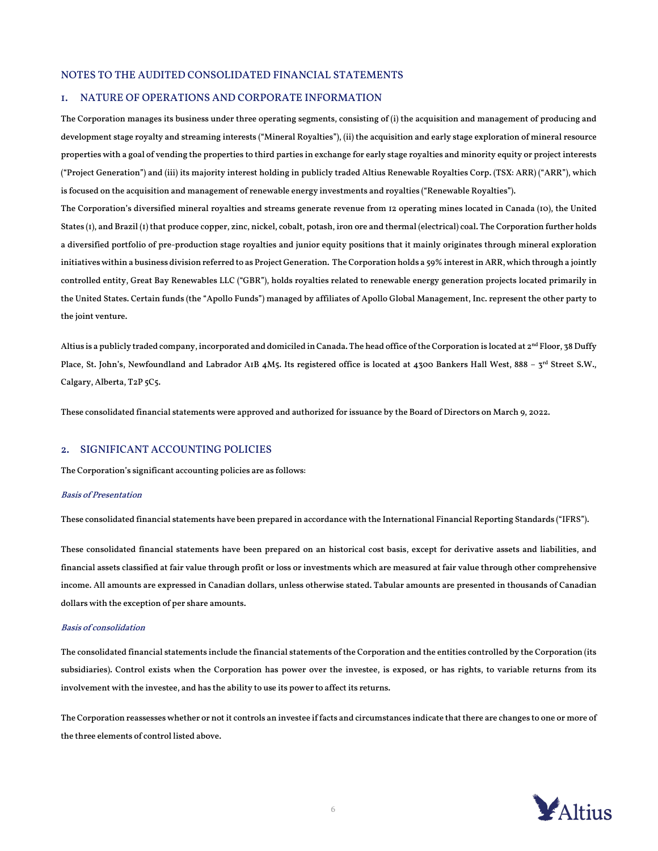#### NOTES TO THE AUDITED CONSOLIDATED FINANCIAL STATEMENTS

#### 1. NATURE OF OPERATIONS AND CORPORATE INFORMATION

The Corporation manages its business under three operating segments, consisting of (i) the acquisition and management of producing and development stage royalty and streaming interests ("Mineral Royalties"), (ii) the acquisition and early stage exploration of mineral resource properties with a goal of vending the properties to third parties in exchange for early stage royalties and minority equity or project interests ("Project Generation") and (iii) its majority interest holding in publicly traded Altius Renewable Royalties Corp. (TSX: ARR) ("ARR"), which is focused on the acquisition and management of renewable energy investments and royalties ("Renewable Royalties").

The Corporation's diversified mineral royalties and streams generate revenue from 12 operating mines located in Canada (10), the United States (1), and Brazil (1) that produce copper, zinc, nickel, cobalt, potash, iron ore and thermal (electrical) coal. The Corporation further holds a diversified portfolio of pre-production stage royalties and junior equity positions that it mainly originates through mineral exploration initiatives within a business division referred to as Project Generation. The Corporation holds a 59% interest in ARR, which through a jointly controlled entity, Great Bay Renewables LLC ("GBR"), holds royalties related to renewable energy generation projects located primarily in the United States. Certain funds (the "Apollo Funds") managed by affiliates of Apollo Global Management, Inc. represent the other party to the joint venture.

Altius is a publicly traded company, incorporated and domiciled in Canada. The head office of the Corporation is located at 2<sup>nd</sup> Floor, 38 Duffy Place, St. John's, Newfoundland and Labrador A1B 4M5. Its registered office is located at 4300 Bankers Hall West, 888 - 3rd Street S.W., Calgary, Alberta, T2P 5C5.

These consolidated financial statements were approved and authorized for issuance by the Board of Directors on March 9, 2022.

### 2. SIGNIFICANT ACCOUNTING POLICIES

The Corporation's significant accounting policies are as follows:

#### Basis of Presentation

These consolidated financial statements have been prepared in accordance with the International Financial Reporting Standards ("IFRS").

These consolidated financial statements have been prepared on an historical cost basis, except for derivative assets and liabilities, and financial assets classified at fair value through profit or loss or investments which are measured at fair value through other comprehensive income. All amounts are expressed in Canadian dollars, unless otherwise stated. Tabular amounts are presented in thousands of Canadian dollars with the exception of per share amounts.

#### Basis of consolidation

The consolidated financial statements include the financial statements of the Corporation and the entities controlled by the Corporation (its subsidiaries). Control exists when the Corporation has power over the investee, is exposed, or has rights, to variable returns from its involvement with the investee, and has the ability to use its power to affect its returns.

The Corporation reassesses whether or not it controls an investee if facts and circumstances indicate that there are changes to one or more of the three elements of control listed above.

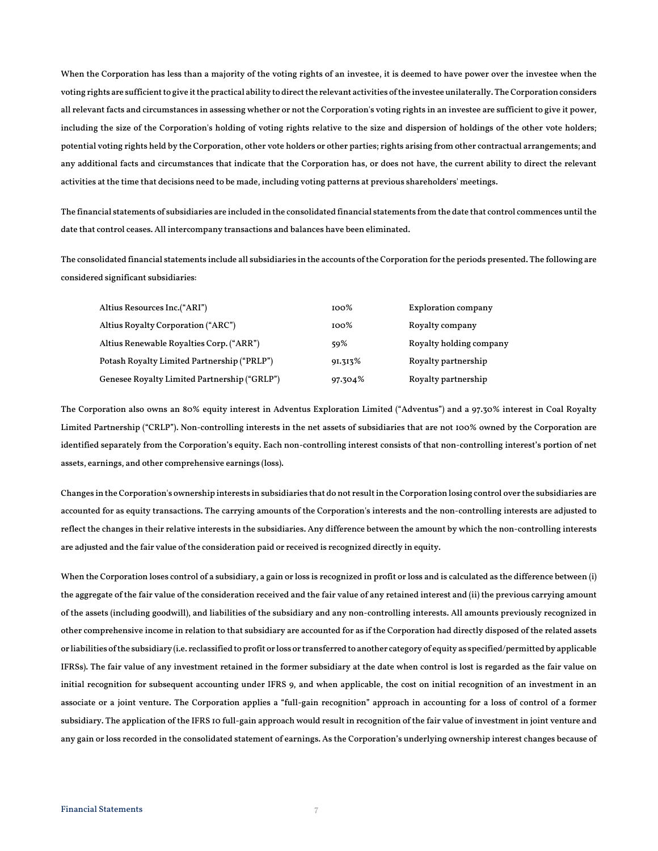When the Corporation has less than a majority of the voting rights of an investee, it is deemed to have power over the investee when the voting rights are sufficient to give it the practical ability to direct the relevant activities of the investee unilaterally. The Corporation considers all relevant facts and circumstances in assessing whether or not the Corporation's voting rights in an investee are sufficient to give it power, including the size of the Corporation's holding of voting rights relative to the size and dispersion of holdings of the other vote holders; potential voting rights held by the Corporation, other vote holders or other parties; rights arising from other contractual arrangements; and any additional facts and circumstances that indicate that the Corporation has, or does not have, the current ability to direct the relevant activities at the time that decisions need to be made, including voting patterns at previous shareholders' meetings.

The financial statements of subsidiaries are included in the consolidated financial statements from the date that control commences until the date that control ceases. All intercompany transactions and balances have been eliminated.

The consolidated financial statements include all subsidiaries in the accounts of the Corporation for the periods presented. The following are considered significant subsidiaries:

| Altius Resources Inc.("ARI")                 | 100%       | Exploration company     |
|----------------------------------------------|------------|-------------------------|
| Altius Royalty Corporation ("ARC")           | $100\%$    | Royalty company         |
| Altius Renewable Royalties Corp. ("ARR")     | 59%        | Royalty holding company |
| Potash Royalty Limited Partnership ("PRLP")  | $91.313\%$ | Royalty partnership     |
| Genesee Royalty Limited Partnership ("GRLP") | 97.304%    | Royalty partnership     |

The Corporation also owns an 80% equity interest in Adventus Exploration Limited ("Adventus") and a 97.30% interest in Coal Royalty Limited Partnership ("CRLP"). Non-controlling interests in the net assets of subsidiaries that are not 100% owned by the Corporation are identified separately from the Corporation's equity. Each non-controlling interest consists of that non-controlling interest's portion of net assets, earnings, and other comprehensive earnings (loss).

Changes in the Corporation's ownership interests in subsidiaries that do not result in the Corporation losing control over the subsidiaries are accounted for as equity transactions. The carrying amounts of the Corporation's interests and the non-controlling interests are adjusted to reflect the changes in their relative interests in the subsidiaries. Any difference between the amount by which the non-controlling interests are adjusted and the fair value of the consideration paid or received is recognized directly in equity.

When the Corporation loses control of a subsidiary, a gain or loss is recognized in profit or loss and is calculated as the difference between (i) the aggregate of the fair value of the consideration received and the fair value of any retained interest and (ii) the previous carrying amount of the assets (including goodwill), and liabilities of the subsidiary and any non-controlling interests. All amounts previously recognized in other comprehensive income in relation to that subsidiary are accounted for as if the Corporation had directly disposed of the related assets or liabilities of the subsidiary (i.e. reclassified to profit or loss or transferred to another category of equity as specified/permitted by applicable IFRSs). The fair value of any investment retained in the former subsidiary at the date when control is lost is regarded as the fair value on initial recognition for subsequent accounting under IFRS 9, and when applicable, the cost on initial recognition of an investment in an associate or a joint venture. The Corporation applies a "full-gain recognition" approach in accounting for a loss of control of a former subsidiary. The application of the IFRS 10 full-gain approach would result in recognition of the fair value of investment in joint venture and any gain or loss recorded in the consolidated statement of earnings. As the Corporation's underlying ownership interest changes because of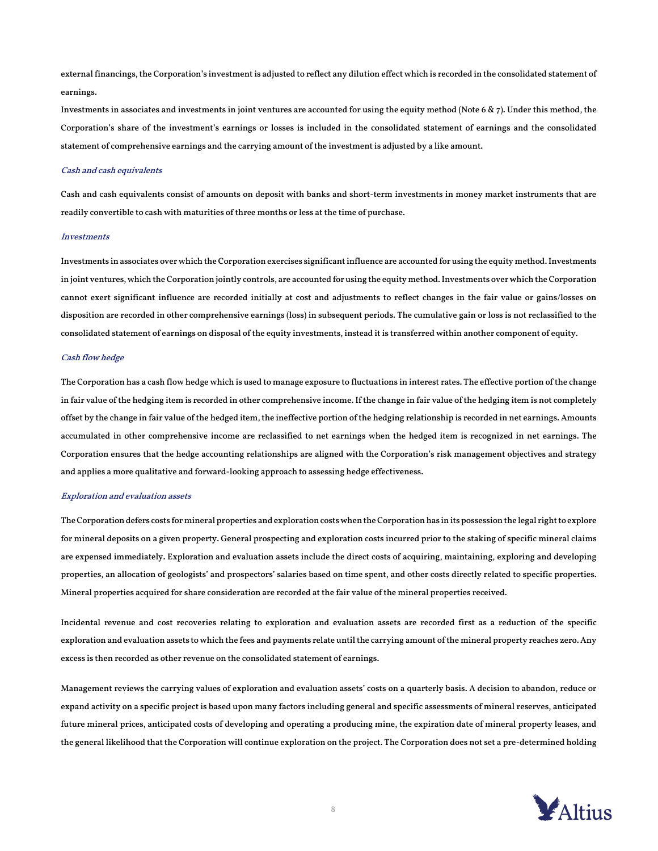external financings, the Corporation's investment is adjusted to reflect any dilution effect which is recorded in the consolidated statement of earnings.

Investments in associates and investments in joint ventures are accounted for using the equity method (Note 6  $\&$  7). Under this method, the Corporation's share of the investment's earnings or losses is included in the consolidated statement of earnings and the consolidated statement of comprehensive earnings and the carrying amount of the investment is adjusted by a like amount.

#### Cash and cash equivalents

Cash and cash equivalents consist of amounts on deposit with banks and short-term investments in money market instruments that are readily convertible to cash with maturities of three months or less at the time of purchase.

#### **Investments**

Investments in associates over which the Corporation exercises significant influence are accounted for using the equity method. Investments in joint ventures, which the Corporation jointly controls, are accounted for using the equity method. Investments over which the Corporation cannot exert significant influence are recorded initially at cost and adjustments to reflect changes in the fair value or gains/losses on disposition are recorded in other comprehensive earnings (loss) in subsequent periods. The cumulative gain or loss is not reclassified to the consolidated statement of earnings on disposal of the equity investments, instead it is transferred within another component of equity.

#### Cash flow hedge

The Corporation has a cash flow hedge which is used to manage exposure to fluctuations in interest rates. The effective portion of the change in fair value of the hedging item is recorded in other comprehensive income. If the change in fair value of the hedging item is not completely offset by the change in fair value of the hedged item, the ineffective portion of the hedging relationship is recorded in net earnings. Amounts accumulated in other comprehensive income are reclassified to net earnings when the hedged item is recognized in net earnings. The Corporation ensures that the hedge accounting relationships are aligned with the Corporation's risk management objectives and strategy and applies a more qualitative and forward-looking approach to assessing hedge effectiveness.

#### Exploration and evaluation assets

The Corporation defers costs for mineral properties and exploration costs when the Corporation has in its possession the legal right to explore for mineral deposits on a given property. General prospecting and exploration costs incurred prior to the staking of specific mineral claims are expensed immediately. Exploration and evaluation assets include the direct costs of acquiring, maintaining, exploring and developing properties, an allocation of geologists' and prospectors' salaries based on time spent, and other costs directly related to specific properties. Mineral properties acquired for share consideration are recorded at the fair value of the mineral properties received.

Incidental revenue and cost recoveries relating to exploration and evaluation assets are recorded first as a reduction of the specific exploration and evaluation assets to which the fees and payments relate until the carrying amount of the mineral property reaches zero. Any excess is then recorded as other revenue on the consolidated statement of earnings.

Management reviews the carrying values of exploration and evaluation assets' costs on a quarterly basis. A decision to abandon, reduce or expand activity on a specific project is based upon many factors including general and specific assessments of mineral reserves, anticipated future mineral prices, anticipated costs of developing and operating a producing mine, the expiration date of mineral property leases, and the general likelihood that the Corporation will continue exploration on the project. The Corporation does not set a pre-determined holding

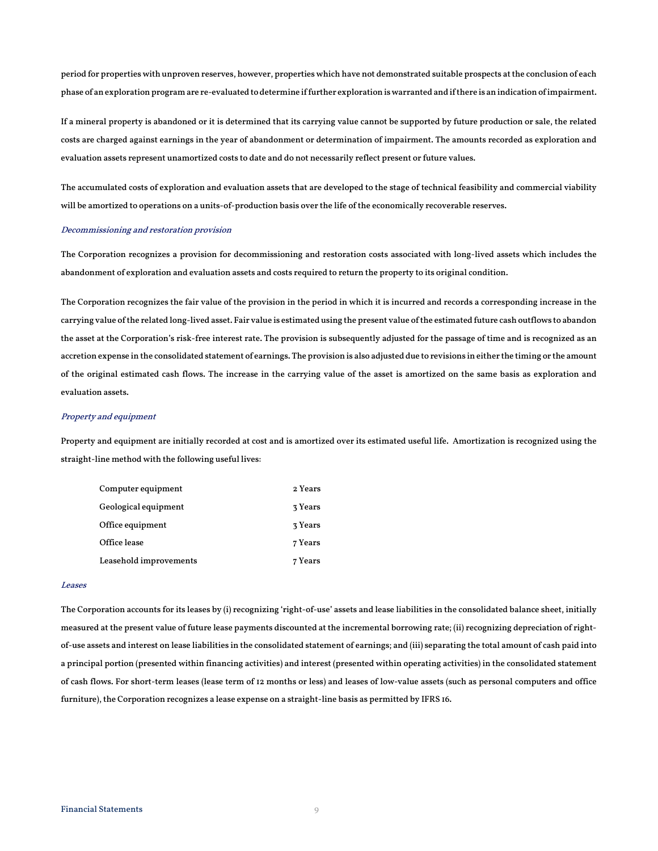period for properties with unproven reserves, however, properties which have not demonstrated suitable prospects at the conclusion of each phase of an exploration program are re-evaluated to determine if further exploration is warranted and if there is an indication of impairment.

If a mineral property is abandoned or it is determined that its carrying value cannot be supported by future production or sale, the related costs are charged against earnings in the year of abandonment or determination of impairment. The amounts recorded as exploration and evaluation assets represent unamortized costs to date and do not necessarily reflect present or future values.

The accumulated costs of exploration and evaluation assets that are developed to the stage of technical feasibility and commercial viability will be amortized to operations on a units-of-production basis over the life of the economically recoverable reserves.

#### Decommissioning and restoration provision

The Corporation recognizes a provision for decommissioning and restoration costs associated with long-lived assets which includes the abandonment of exploration and evaluation assets and costs required to return the property to its original condition.

The Corporation recognizes the fair value of the provision in the period in which it is incurred and records a corresponding increase in the carrying value of the related long-lived asset. Fair value is estimated using the present value of the estimated future cash outflows to abandon the asset at the Corporation's risk-free interest rate. The provision is subsequently adjusted for the passage of time and is recognized as an accretion expense in the consolidated statement of earnings. The provision is also adjusted due to revisions in either the timing or the amount of the original estimated cash flows. The increase in the carrying value of the asset is amortized on the same basis as exploration and evaluation assets.

#### Property and equipment

Property and equipment are initially recorded at cost and is amortized over its estimated useful life. Amortization is recognized using the straight-line method with the following useful lives:

| Computer equipment     | 2 Years |
|------------------------|---------|
| Geological equipment   | 3 Years |
| Office equipment       | 3 Years |
| Office lease           | 7 Years |
| Leasehold improvements | 7 Years |

#### Leases

The Corporation accounts for its leases by (i) recognizing 'right-of-use' assets and lease liabilities in the consolidated balance sheet, initially measured at the present value of future lease payments discounted at the incremental borrowing rate; (ii) recognizing depreciation of rightof-use assets and interest on lease liabilities in the consolidated statement of earnings; and (iii) separating the total amount of cash paid into a principal portion (presented within financing activities) and interest (presented within operating activities) in the consolidated statement of cash flows. For short-term leases (lease term of 12 months or less) and leases of low-value assets (such as personal computers and office furniture), the Corporation recognizes a lease expense on a straight-line basis as permitted by IFRS 16.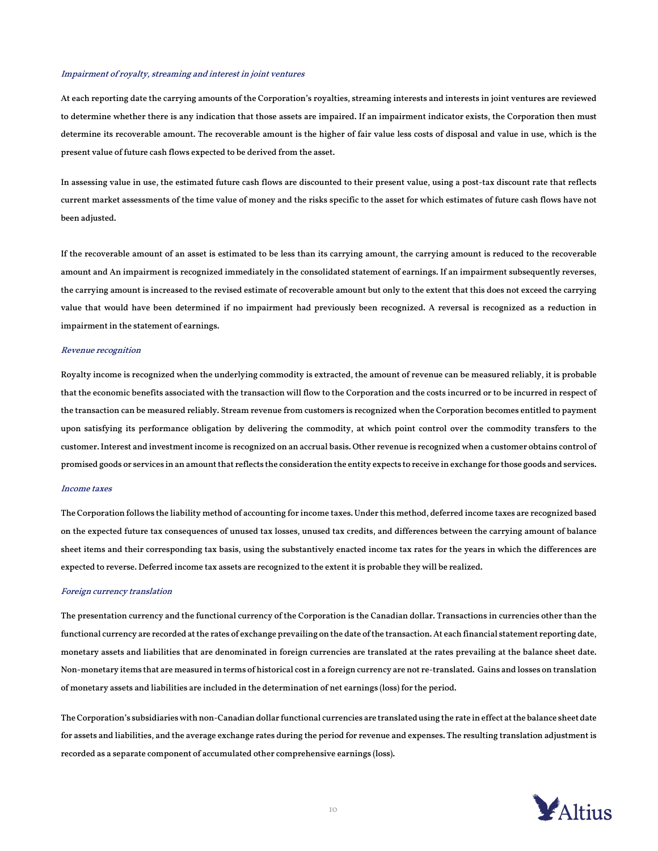#### Impairment of royalty, streaming and interest in joint ventures

At each reporting date the carrying amounts of the Corporation's royalties, streaming interests and interests in joint ventures are reviewed to determine whether there is any indication that those assets are impaired. If an impairment indicator exists, the Corporation then must determine its recoverable amount. The recoverable amount is the higher of fair value less costs of disposal and value in use, which is the present value of future cash flows expected to be derived from the asset.

In assessing value in use, the estimated future cash flows are discounted to their present value, using a post-tax discount rate that reflects current market assessments of the time value of money and the risks specific to the asset for which estimates of future cash flows have not been adjusted.

If the recoverable amount of an asset is estimated to be less than its carrying amount, the carrying amount is reduced to the recoverable amount and An impairment is recognized immediately in the consolidated statement of earnings. If an impairment subsequently reverses, the carrying amount is increased to the revised estimate of recoverable amount but only to the extent that this does not exceed the carrying value that would have been determined if no impairment had previously been recognized. A reversal is recognized as a reduction in impairment in the statement of earnings.

#### Revenue recognition

Royalty income is recognized when the underlying commodity is extracted, the amount of revenue can be measured reliably, it is probable that the economic benefits associated with the transaction will flow to the Corporation and the costs incurred or to be incurred in respect of the transaction can be measured reliably. Stream revenue from customers is recognized when the Corporation becomes entitled to payment upon satisfying its performance obligation by delivering the commodity, at which point control over the commodity transfers to the customer. Interest and investment income is recognized on an accrual basis. Other revenue is recognized when a customer obtains control of promised goods or services in an amount that reflects the consideration the entity expects to receive in exchange for those goods and services.

#### Income taxes

The Corporation follows the liability method of accounting for income taxes. Under this method, deferred income taxes are recognized based on the expected future tax consequences of unused tax losses, unused tax credits, and differences between the carrying amount of balance sheet items and their corresponding tax basis, using the substantively enacted income tax rates for the years in which the differences are expected to reverse. Deferred income tax assets are recognized to the extent it is probable they will be realized.

#### Foreign currency translation

The presentation currency and the functional currency of the Corporation is the Canadian dollar. Transactions in currencies other than the functional currency are recorded at the rates of exchange prevailing on the date of the transaction. At each financial statement reporting date, monetary assets and liabilities that are denominated in foreign currencies are translated at the rates prevailing at the balance sheet date. Non-monetary items that are measured in terms of historical cost in a foreign currency are not re-translated. Gains and losses on translation of monetary assets and liabilities are included in the determination of net earnings (loss) for the period.

The Corporation's subsidiaries with non-Canadian dollar functional currencies are translated using the rate in effect at the balance sheet date for assets and liabilities, and the average exchange rates during the period for revenue and expenses. The resulting translation adjustment is recorded as a separate component of accumulated other comprehensive earnings (loss).

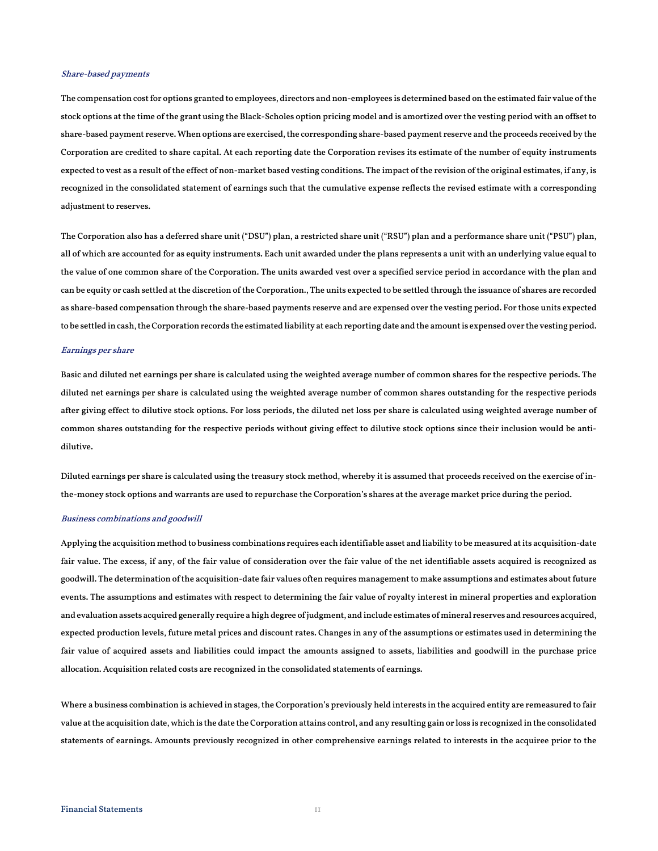#### Share-based payments

The compensation cost for options granted to employees, directors and non-employees is determined based on the estimated fair value of the stock options at the time of the grant using the Black-Scholes option pricing model and is amortized over the vesting period with an offset to share-based payment reserve. When options are exercised, the corresponding share-based payment reserve and the proceeds received by the Corporation are credited to share capital. At each reporting date the Corporation revises its estimate of the number of equity instruments expected to vest as a result of the effect of non-market based vesting conditions. The impact of the revision of the original estimates, if any, is recognized in the consolidated statement of earnings such that the cumulative expense reflects the revised estimate with a corresponding adjustment to reserves.

The Corporation also has a deferred share unit ("DSU") plan, a restricted share unit ("RSU") plan and a performance share unit ("PSU") plan, all of which are accounted for as equity instruments. Each unit awarded under the plans represents a unit with an underlying value equal to the value of one common share of the Corporation. The units awarded vest over a specified service period in accordance with the plan and can be equity or cash settled at the discretion of the Corporation., The units expected to be settled through the issuance of shares are recorded as share-based compensation through the share-based payments reserve and are expensed over the vesting period. For those units expected to be settled in cash, the Corporation records the estimated liability at each reporting date and the amount is expensed over the vesting period.

#### Earnings per share

Basic and diluted net earnings per share is calculated using the weighted average number of common shares for the respective periods. The diluted net earnings per share is calculated using the weighted average number of common shares outstanding for the respective periods after giving effect to dilutive stock options. For loss periods, the diluted net loss per share is calculated using weighted average number of common shares outstanding for the respective periods without giving effect to dilutive stock options since their inclusion would be antidilutive.

Diluted earnings per share is calculated using the treasury stock method, whereby it is assumed that proceeds received on the exercise of inthe-money stock options and warrants are used to repurchase the Corporation's shares at the average market price during the period.

#### Business combinations and goodwill

Applying the acquisition method to business combinations requires each identifiable asset and liability to be measured at its acquisition-date fair value. The excess, if any, of the fair value of consideration over the fair value of the net identifiable assets acquired is recognized as goodwill. The determination of the acquisition-date fair values often requires management to make assumptions and estimates about future events. The assumptions and estimates with respect to determining the fair value of royalty interest in mineral properties and exploration and evaluation assets acquired generally require a high degree of judgment, and include estimates of mineral reserves and resources acquired, expected production levels, future metal prices and discount rates. Changes in any of the assumptions or estimates used in determining the fair value of acquired assets and liabilities could impact the amounts assigned to assets, liabilities and goodwill in the purchase price allocation. Acquisition related costs are recognized in the consolidated statements of earnings.

Where a business combination is achieved in stages, the Corporation's previously held interests in the acquired entity are remeasured to fair value at the acquisition date, which is the date the Corporation attains control, and any resulting gain or loss is recognized in the consolidated statements of earnings. Amounts previously recognized in other comprehensive earnings related to interests in the acquiree prior to the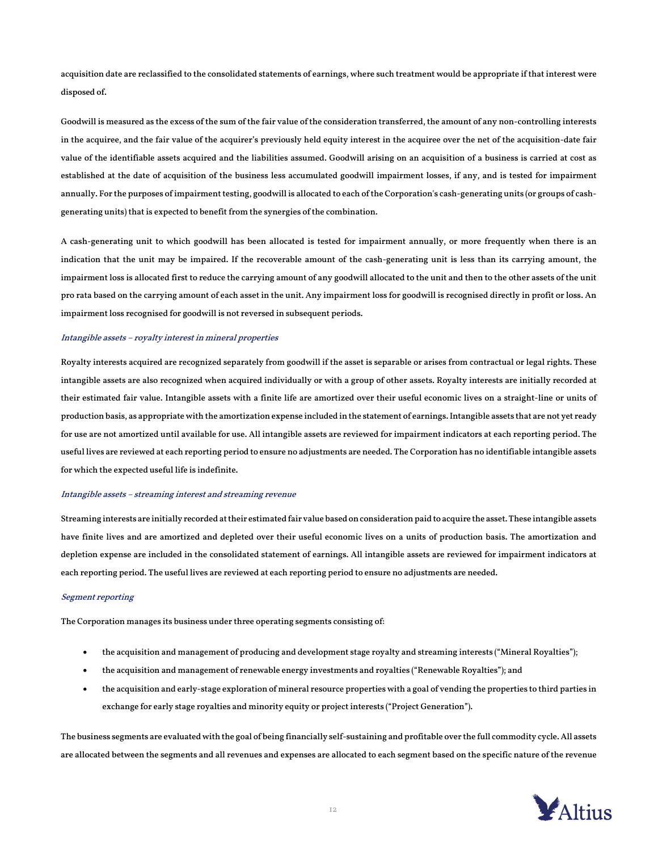acquisition date are reclassified to the consolidated statements of earnings, where such treatment would be appropriate if that interest were disposed of.

Goodwill is measured as the excess of the sum of the fair value of the consideration transferred, the amount of any non-controlling interests in the acquiree, and the fair value of the acquirer's previously held equity interest in the acquiree over the net of the acquisition-date fair value of the identifiable assets acquired and the liabilities assumed. Goodwill arising on an acquisition of a business is carried at cost as established at the date of acquisition of the business less accumulated goodwill impairment losses, if any, and is tested for impairment annually. For the purposes of impairment testing, goodwill is allocated to each of the Corporation's cash-generating units (or groups of cashgenerating units) that is expected to benefit from the synergies of the combination.

A cash-generating unit to which goodwill has been allocated is tested for impairment annually, or more frequently when there is an indication that the unit may be impaired. If the recoverable amount of the cash-generating unit is less than its carrying amount, the impairment loss is allocated first to reduce the carrying amount of any goodwill allocated to the unit and then to the other assets of the unit pro rata based on the carrying amount of each asset in the unit. Any impairment loss for goodwill is recognised directly in profit or loss. An impairment loss recognised for goodwill is not reversed in subsequent periods.

#### Intangible assets – royalty interest in mineral properties

Royalty interests acquired are recognized separately from goodwill if the asset is separable or arises from contractual or legal rights. These intangible assets are also recognized when acquired individually or with a group of other assets. Royalty interests are initially recorded at their estimated fair value. Intangible assets with a finite life are amortized over their useful economic lives on a straight-line or units of production basis, as appropriate with the amortization expense included in the statement of earnings. Intangible assets that are not yet ready for use are not amortized until available for use. All intangible assets are reviewed for impairment indicators at each reporting period. The useful lives are reviewed at each reporting period to ensure no adjustments are needed. The Corporation has no identifiable intangible assets for which the expected useful life is indefinite.

#### Intangible assets – streaming interest and streaming revenue

Streaming interests are initially recorded at their estimated fair value based on consideration paid to acquire the asset. These intangible assets have finite lives and are amortized and depleted over their useful economic lives on a units of production basis. The amortization and depletion expense are included in the consolidated statement of earnings. All intangible assets are reviewed for impairment indicators at each reporting period. The useful lives are reviewed at each reporting period to ensure no adjustments are needed.

#### Segment reporting

The Corporation manages its business under three operating segments consisting of:

- the acquisition and management of producing and development stage royalty and streaming interests ("Mineral Royalties");
- the acquisition and management of renewable energy investments and royalties ("Renewable Royalties"); and
- the acquisition and early-stage exploration of mineral resource properties with a goal of vending the properties to third parties in exchange for early stage royalties and minority equity or project interests ("Project Generation").

The business segments are evaluated with the goal of being financially self-sustaining and profitable over the full commodity cycle. All assets are allocated between the segments and all revenues and expenses are allocated to each segment based on the specific nature of the revenue

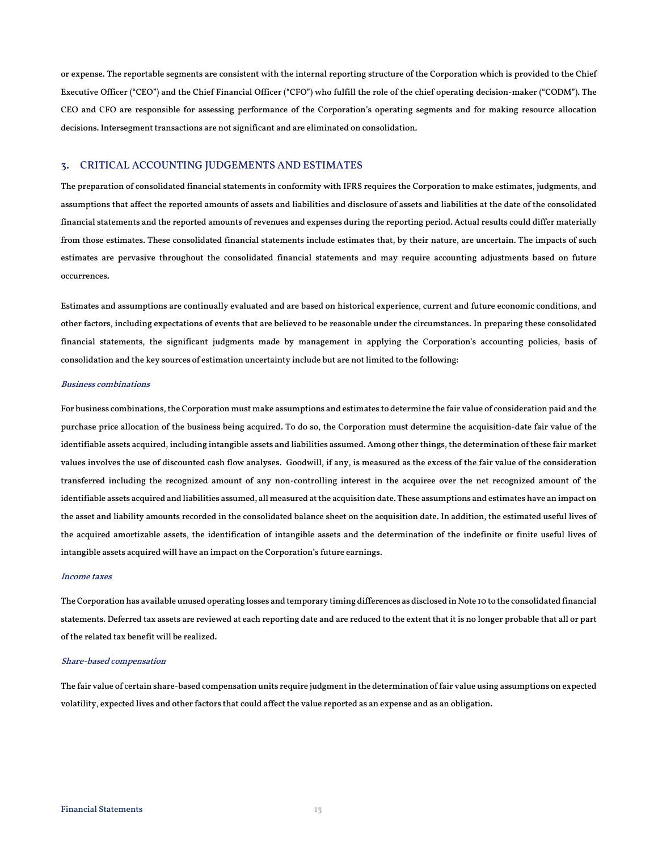or expense. The reportable segments are consistent with the internal reporting structure of the Corporation which is provided to the Chief Executive Officer ("CEO") and the Chief Financial Officer ("CFO") who fulfill the role of the chief operating decision-maker ("CODM"). The CEO and CFO are responsible for assessing performance of the Corporation's operating segments and for making resource allocation decisions. Intersegment transactions are not significant and are eliminated on consolidation.

#### 3. CRITICAL ACCOUNTING JUDGEMENTS AND ESTIMATES

The preparation of consolidated financial statements in conformity with IFRS requires the Corporation to make estimates, judgments, and assumptions that affect the reported amounts of assets and liabilities and disclosure of assets and liabilities at the date of the consolidated financial statements and the reported amounts of revenues and expenses during the reporting period. Actual results could differ materially from those estimates. These consolidated financial statements include estimates that, by their nature, are uncertain. The impacts of such estimates are pervasive throughout the consolidated financial statements and may require accounting adjustments based on future occurrences.

Estimates and assumptions are continually evaluated and are based on historical experience, current and future economic conditions, and other factors, including expectations of events that are believed to be reasonable under the circumstances. In preparing these consolidated financial statements, the significant judgments made by management in applying the Corporation's accounting policies, basis of consolidation and the key sources of estimation uncertainty include but are not limited to the following:

#### Business combinations

For business combinations, the Corporation must make assumptions and estimates to determine the fair value of consideration paid and the purchase price allocation of the business being acquired. To do so, the Corporation must determine the acquisition-date fair value of the identifiable assets acquired, including intangible assets and liabilities assumed. Among other things, the determination of these fair market values involves the use of discounted cash flow analyses. Goodwill, if any, is measured as the excess of the fair value of the consideration transferred including the recognized amount of any non-controlling interest in the acquiree over the net recognized amount of the identifiable assets acquired and liabilities assumed, all measured at the acquisition date. These assumptions and estimates have an impact on the asset and liability amounts recorded in the consolidated balance sheet on the acquisition date. In addition, the estimated useful lives of the acquired amortizable assets, the identification of intangible assets and the determination of the indefinite or finite useful lives of intangible assets acquired will have an impact on the Corporation's future earnings.

#### Income taxes

The Corporation has available unused operating losses and temporary timing differences as disclosed in Note 10 to the consolidated financial statements. Deferred tax assets are reviewed at each reporting date and are reduced to the extent that it is no longer probable that all or part of the related tax benefit will be realized.

#### Share-based compensation

The fair value of certain share-based compensation units require judgment in the determination of fair value using assumptions on expected volatility, expected lives and other factors that could affect the value reported as an expense and as an obligation.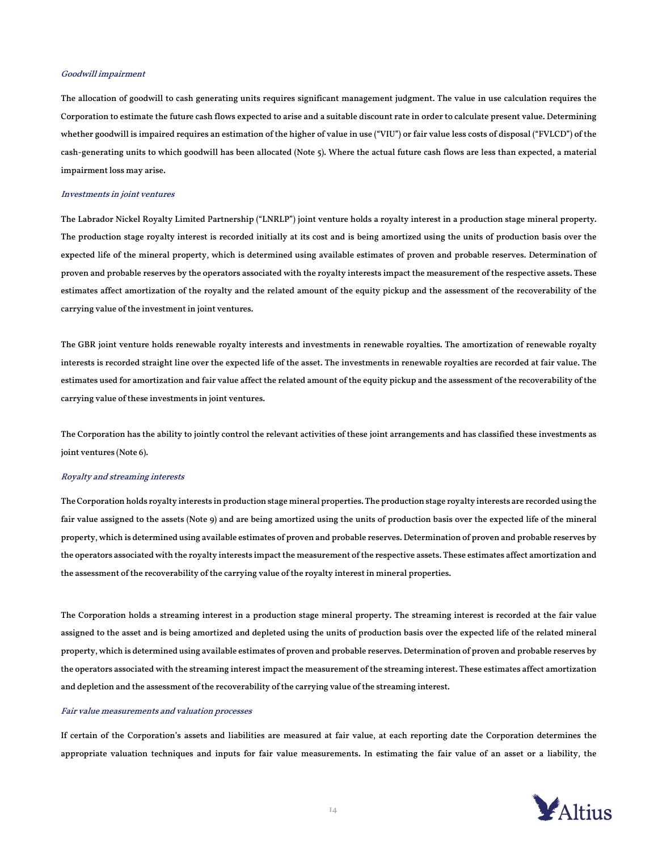#### Goodwill impairment

The allocation of goodwill to cash generating units requires significant management judgment. The value in use calculation requires the Corporation to estimate the future cash flows expected to arise and a suitable discount rate in order to calculate present value. Determining whether goodwill is impaired requires an estimation of the higher of value in use ("VIU") or fair value less costs of disposal ("FVLCD") of the cash-generating units to which goodwill has been allocated (Note 5). Where the actual future cash flows are less than expected, a material impairment loss may arise.

#### Investments in joint ventures

The Labrador Nickel Royalty Limited Partnership ("LNRLP") joint venture holds a royalty interest in a production stage mineral property. The production stage royalty interest is recorded initially at its cost and is being amortized using the units of production basis over the expected life of the mineral property, which is determined using available estimates of proven and probable reserves. Determination of proven and probable reserves by the operators associated with the royalty interests impact the measurement of the respective assets. These estimates affect amortization of the royalty and the related amount of the equity pickup and the assessment of the recoverability of the carrying value of the investment in joint ventures.

The GBR joint venture holds renewable royalty interests and investments in renewable royalties. The amortization of renewable royalty interests is recorded straight line over the expected life of the asset. The investments in renewable royalties are recorded at fair value. The estimates used for amortization and fair value affect the related amount of the equity pickup and the assessment of the recoverability of the carrying value of these investments in joint ventures.

The Corporation has the ability to jointly control the relevant activities of these joint arrangements and has classified these investments as joint ventures (Note 6).

#### Royalty and streaming interests

The Corporation holds royalty interests in production stage mineral properties. The production stage royalty interests are recorded using the fair value assigned to the assets (Note 9) and are being amortized using the units of production basis over the expected life of the mineral property, which is determined using available estimates of proven and probable reserves. Determination of proven and probable reserves by the operators associated with the royalty interests impact the measurement of the respective assets. These estimates affect amortization and the assessment of the recoverability of the carrying value of the royalty interest in mineral properties.

The Corporation holds a streaming interest in a production stage mineral property. The streaming interest is recorded at the fair value assigned to the asset and is being amortized and depleted using the units of production basis over the expected life of the related mineral property, which is determined using available estimates of proven and probable reserves. Determination of proven and probable reserves by the operators associated with the streaming interest impact the measurement of the streaming interest. These estimates affect amortization and depletion and the assessment of the recoverability of the carrying value of the streaming interest.

#### Fair value measurements and valuation processes

If certain of the Corporation's assets and liabilities are measured at fair value, at each reporting date the Corporation determines the appropriate valuation techniques and inputs for fair value measurements. In estimating the fair value of an asset or a liability, the

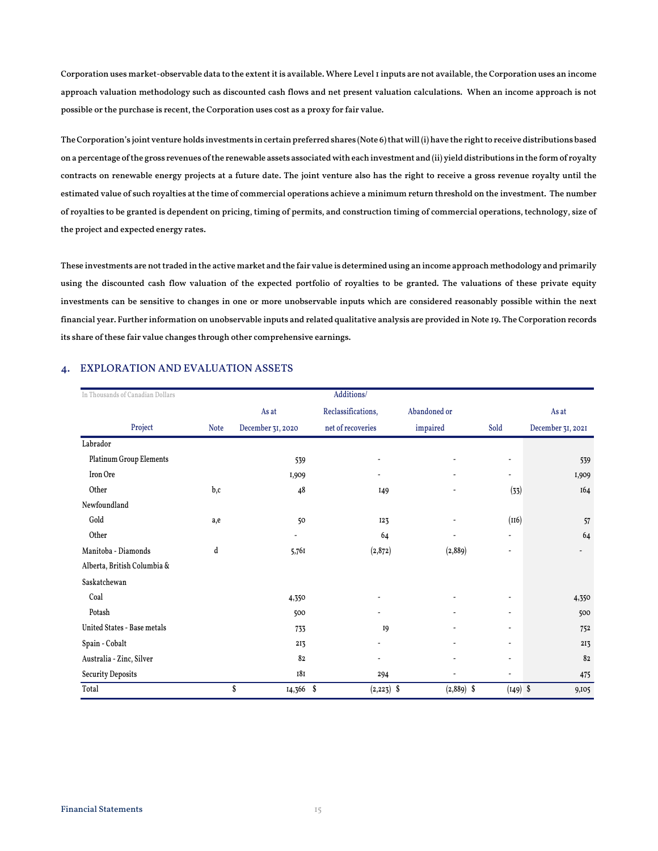Corporation uses market-observable data to the extent it is available. Where Level 1 inputs are not available, the Corporation uses an income approach valuation methodology such as discounted cash flows and net present valuation calculations. When an income approach is not possible or the purchase is recent, the Corporation uses cost as a proxy for fair value.

The Corporation's joint venture holds investments in certain preferred shares (Note 6) that will(i) have the right to receive distributions based on a percentage of the gross revenues of the renewable assets associated with each investment and (ii) yield distributions in the form of royalty contracts on renewable energy projects at a future date. The joint venture also has the right to receive a gross revenue royalty until the estimated value of such royalties at the time of commercial operations achieve a minimum return threshold on the investment. The number of royalties to be granted is dependent on pricing, timing of permits, and construction timing of commercial operations, technology, size of the project and expected energy rates.

These investments are not traded in the active market and the fair value is determined using an income approach methodology and primarily using the discounted cash flow valuation of the expected portfolio of royalties to be granted. The valuations of these private equity investments can be sensitive to changes in one or more unobservable inputs which are considered reasonably possible within the next financial year. Further information on unobservable inputs and related qualitative analysis are provided in Note 19. The Corporation records its share of these fair value changes through other comprehensive earnings.

| In Thousands of Canadian Dollars |             | Additions/                   |                    |                              |                          |                   |  |  |
|----------------------------------|-------------|------------------------------|--------------------|------------------------------|--------------------------|-------------------|--|--|
|                                  |             | As at                        | Reclassifications, | Abandoned or                 |                          | As at             |  |  |
| Project                          | <b>Note</b> | December 31, 2020            | net of recoveries  | impaired                     | Sold                     | December 31, 2021 |  |  |
| Labrador                         |             |                              |                    |                              |                          |                   |  |  |
| Platinum Group Elements          |             | 539                          |                    |                              | $\overline{a}$           | 539               |  |  |
| Iron Ore                         |             | I,909                        |                    | $\overline{\phantom{a}}$     | ۰                        | 1,909             |  |  |
| Other                            | b,c         | 48                           | I <sub>49</sub>    | $\overline{\phantom{a}}$     | (33)                     | 164               |  |  |
| Newfoundland                     |             |                              |                    |                              |                          |                   |  |  |
| Gold                             | a,e         | 50                           | <b>I23</b>         | $\overline{\phantom{a}}$     | (116)                    | 57                |  |  |
| Other                            |             | $\qquad \qquad \blacksquare$ | 64                 | $\qquad \qquad \blacksquare$ | $\overline{\phantom{a}}$ | 64                |  |  |
| Manitoba - Diamonds              | d           | 5,761                        | (2, 872)           | (2,889)                      | L,                       |                   |  |  |
| Alberta, British Columbia &      |             |                              |                    |                              |                          |                   |  |  |
| Saskatchewan                     |             |                              |                    |                              |                          |                   |  |  |
| Coal                             |             | 4,350                        |                    | $\overline{\phantom{a}}$     | $\tilde{\phantom{a}}$    | 4,350             |  |  |
| Potash                           |             | 500                          |                    | ٠                            | ۰                        | 500               |  |  |
| United States - Base metals      |             | 733                          | <b>I9</b>          | $\overline{\phantom{a}}$     | $\overline{\phantom{a}}$ | 752               |  |  |
| Spain - Cobalt                   |             | 213                          |                    | $\overline{\phantom{a}}$     | $\overline{\phantom{a}}$ | 213               |  |  |
| Australia - Zinc, Silver         |             | 82                           |                    | $\overline{\phantom{a}}$     | $\tilde{\phantom{a}}$    | 82                |  |  |
| <b>Security Deposits</b>         |             | 181                          | 294                | -                            | $\overline{a}$           | 475               |  |  |
| Total                            |             | \$<br>14,366 \$              | $(2,223)$ \$       | $(2,889)$ \$                 | $(149)$ \$               | 9,105             |  |  |

#### 4. EXPLORATION AND EVALUATION ASSETS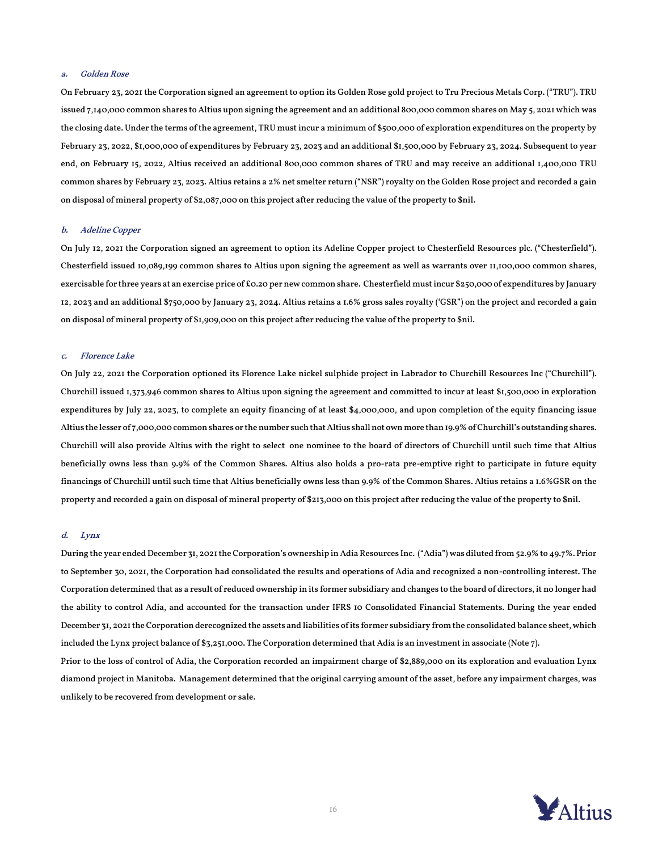#### a. Golden Rose

On February 23, 2021 the Corporation signed an agreement to option its Golden Rose gold project to Tru Precious Metals Corp. ("TRU"). TRU issued 7,140,000 common shares to Altius upon signing the agreement and an additional 800,000 common shares on May 5, 2021 which was the closing date. Under the terms of the agreement, TRU must incur a minimum of \$500,000 of exploration expenditures on the property by February 23, 2022, \$1,000,000 of expenditures by February 23, 2023 and an additional \$1,500,000 by February 23, 2024. Subsequent to year end, on February 15, 2022, Altius received an additional 800,000 common shares of TRU and may receive an additional 1,400,000 TRU common shares by February 23, 2023. Altius retains a 2% net smelter return ("NSR") royalty on the Golden Rose project and recorded a gain on disposal of mineral property of \$2,087,000 on this project after reducing the value of the property to \$nil.

#### b. Adeline Copper

On July 12, 2021 the Corporation signed an agreement to option its Adeline Copper project to Chesterfield Resources plc. ("Chesterfield"). Chesterfield issued 10,089,199 common shares to Altius upon signing the agreement as well as warrants over 11,100,000 common shares, exercisable for three years at an exercise price of £0.20 per new common share. Chesterfield must incur \$250,000 of expenditures by January 12, 2023 and an additional \$750,000 by January 23, 2024. Altius retains a 1.6% gross sales royalty ('GSR") on the project and recorded a gain on disposal of mineral property of \$1,909,000 on this project after reducing the value of the property to \$nil.

#### c. Florence Lake

On July 22, 2021 the Corporation optioned its Florence Lake nickel sulphide project in Labrador to Churchill Resources Inc ("Churchill"). Churchill issued 1,373,946 common shares to Altius upon signing the agreement and committed to incur at least \$1,500,000 in exploration expenditures by July 22, 2023, to complete an equity financing of at least \$4,000,000, and upon completion of the equity financing issue Altius the lesser of 7,000,000 common shares or the number such that Altius shall not own more than 19.9% of Churchill's outstanding shares. Churchill will also provide Altius with the right to select one nominee to the board of directors of Churchill until such time that Altius beneficially owns less than 9.9% of the Common Shares. Altius also holds a pro-rata pre-emptive right to participate in future equity financings of Churchill until such time that Altius beneficially owns less than 9.9% of the Common Shares. Altius retains a 1.6%GSR on the property and recorded a gain on disposal of mineral property of \$213,000 on this project after reducing the value of the property to \$nil.

#### d. Lynx

During the year ended December 31, 2021 the Corporation's ownership in Adia Resources Inc. ("Adia") was diluted from 52.9% to 49.7%. Prior to September 30, 2021, the Corporation had consolidated the results and operations of Adia and recognized a non-controlling interest. The Corporation determined that as a result of reduced ownership in its former subsidiary and changes to the board of directors, it no longer had the ability to control Adia, and accounted for the transaction under IFRS 10 Consolidated Financial Statements. During the year ended December 31, 2021 the Corporation derecognized the assets and liabilities of its former subsidiary from the consolidated balance sheet, which included the Lynx project balance of \$3,251,000. The Corporation determined that Adia is an investment in associate (Note 7). Prior to the loss of control of Adia, the Corporation recorded an impairment charge of \$2,889,000 on its exploration and evaluation Lynx

diamond project in Manitoba. Management determined that the original carrying amount of the asset, before any impairment charges, was unlikely to be recovered from development or sale.

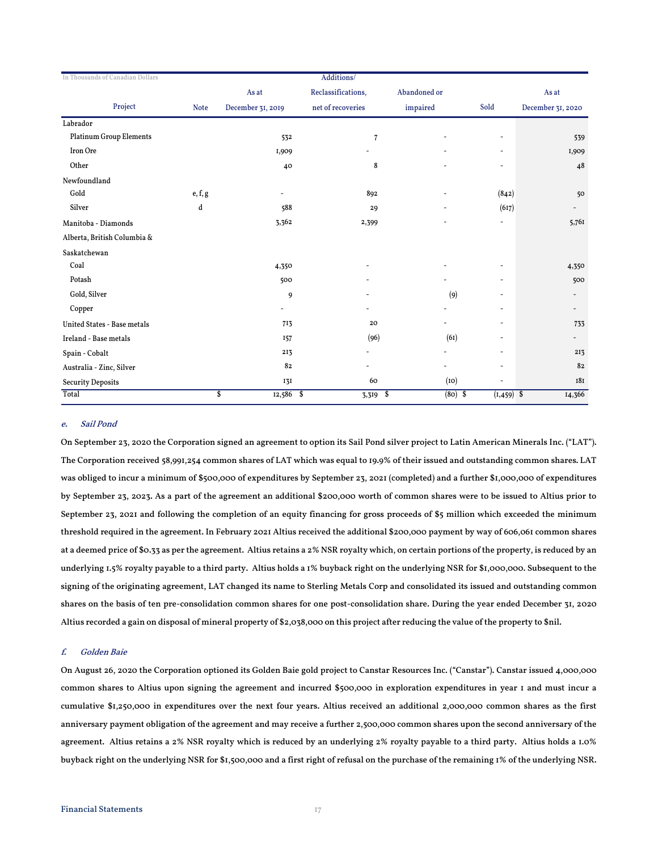| In Thousands of Canadian Dollars |                                      |                   | Additions/         |              |                            |                          |
|----------------------------------|--------------------------------------|-------------------|--------------------|--------------|----------------------------|--------------------------|
|                                  |                                      | As at             | Reclassifications, | Abandoned or |                            | As at                    |
| Project                          | <b>Note</b>                          | December 31, 2019 | net of recoveries  | impaired     | Sold                       | December 31, 2020        |
| Labrador                         |                                      |                   |                    |              |                            |                          |
| <b>Platinum Group Elements</b>   |                                      | 532               | $\overline{7}$     |              | $\overline{\phantom{a}}$   | 539                      |
| Iron Ore                         |                                      | I,909             |                    |              |                            | I,909                    |
| Other                            |                                      | 40                | 8                  |              | $\overline{\phantom{a}}$   | 48                       |
| Newfoundland                     |                                      |                   |                    |              |                            |                          |
| Gold                             | $\mathsf{e}, \mathsf{f}, \mathsf{g}$ | ۰                 | 892                |              | (842)                      | 50                       |
| Silver                           | d                                    | 588               | 29                 | ٠            | (617)                      | $\overline{\phantom{a}}$ |
| Manitoba - Diamonds              |                                      | 3,362             | 2,399              |              | $\overline{a}$             | 5,76I                    |
| Alberta, British Columbia &      |                                      |                   |                    |              |                            |                          |
| Saskatchewan                     |                                      |                   |                    |              |                            |                          |
| Coal                             |                                      | 4,350             |                    |              | $\overline{\phantom{a}}$   | 4,350                    |
| Potash                           |                                      | 500               |                    |              |                            | 500                      |
| Gold, Silver                     |                                      | 9                 |                    | (9)          |                            |                          |
| Copper                           |                                      |                   |                    | ۰            | $\overline{\phantom{a}}$   |                          |
| United States - Base metals      |                                      | 713               | 20                 |              | $\overline{\phantom{a}}$   | 733                      |
| Ireland - Base metals            |                                      | <b>157</b>        | (96)               | (6I)         | $\overline{\phantom{a}}$   | $\overline{\phantom{a}}$ |
| Spain - Cobalt                   |                                      | 213               |                    |              | $\overline{\phantom{a}}$   | 213                      |
| Australia - Zinc, Silver         |                                      | 82                |                    | ۰            | $\overline{\phantom{a}}$   | 82                       |
| <b>Security Deposits</b>         |                                      | 131               | 60                 | (10)         | $\overline{\phantom{a}}$   | <b>181</b>               |
| Total                            |                                      | \$<br>$12,586$ \$ | $3,319$ \$         |              | $(80)$ \$<br>$(1, 459)$ \$ | 14,366                   |

#### e. Sail Pond

On September 23, 2020 the Corporation signed an agreement to option its Sail Pond silver project to Latin American Minerals Inc. ("LAT"). The Corporation received 58,991,254 common shares of LAT which was equal to 19.9% of their issued and outstanding common shares. LAT was obliged to incur a minimum of \$500,000 of expenditures by September 23, 2021 (completed) and a further \$1,000,000 of expenditures by September 23, 2023. As a part of the agreement an additional \$200,000 worth of common shares were to be issued to Altius prior to September 23, 2021 and following the completion of an equity financing for gross proceeds of \$5 million which exceeded the minimum threshold required in the agreement. In February 2021 Altius received the additional \$200,000 payment by way of 606,061 common shares at a deemed price of \$0.33 as per the agreement. Altius retains a 2% NSR royalty which, on certain portions of the property, is reduced by an underlying 1.5% royalty payable to a third party. Altius holds a 1% buyback right on the underlying NSR for \$1,000,000. Subsequent to the signing of the originating agreement, LAT changed its name to Sterling Metals Corp and consolidated its issued and outstanding common shares on the basis of ten pre-consolidation common shares for one post-consolidation share. During the year ended December 31, 2020 Altius recorded a gain on disposal of mineral property of \$2,038,000 on this project after reducing the value of the property to \$nil.

#### f. Golden Baie

On August 26, 2020 the Corporation optioned its Golden Baie gold project to Canstar Resources Inc. ("Canstar"). Canstar issued 4,000,000 common shares to Altius upon signing the agreement and incurred \$500,000 in exploration expenditures in year 1 and must incur a cumulative \$1,250,000 in expenditures over the next four years. Altius received an additional 2,000,000 common shares as the first anniversary payment obligation of the agreement and may receive a further 2,500,000 common shares upon the second anniversary of the agreement. Altius retains a 2% NSR royalty which is reduced by an underlying 2% royalty payable to a third party. Altius holds a 1.0% buyback right on the underlying NSR for \$1,500,000 and a first right of refusal on the purchase of the remaining 1% of the underlying NSR.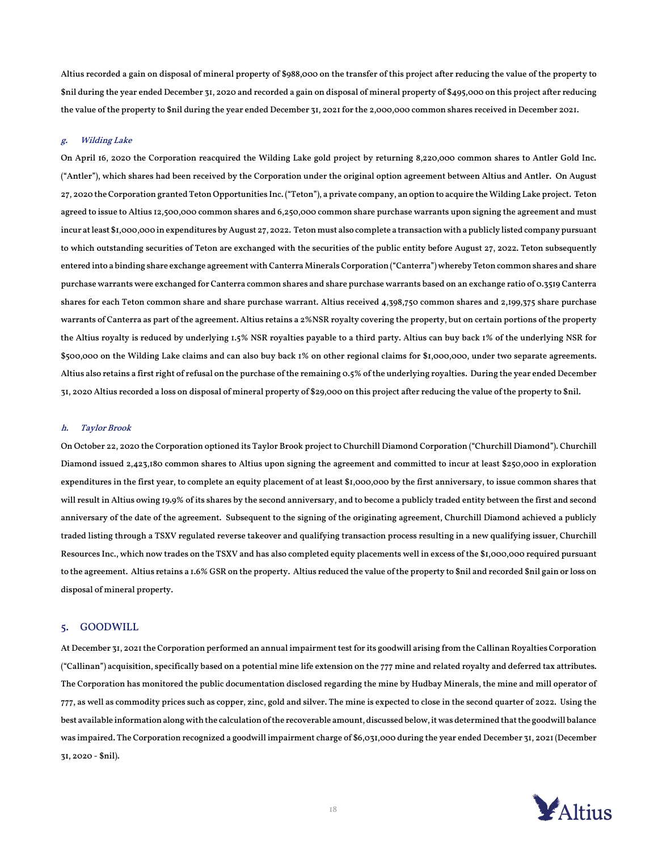Altius recorded a gain on disposal of mineral property of \$988,000 on the transfer of this project after reducing the value of the property to \$nil during the year ended December 31, 2020 and recorded a gain on disposal of mineral property of \$495,000 on this project after reducing the value of the property to \$nil during the year ended December 31, 2021 for the 2,000,000 common shares received in December 2021.

#### g. Wilding Lake

On April 16, 2020 the Corporation reacquired the Wilding Lake gold project by returning 8,220,000 common shares to Antler Gold Inc. ("Antler"), which shares had been received by the Corporation under the original option agreement between Altius and Antler. On August 27, 2020 the Corporation granted Teton Opportunities Inc. ("Teton"), a private company, an option to acquire the Wilding Lake project. Teton agreed to issue to Altius 12,500,000 common shares and 6,250,000 common share purchase warrants upon signing the agreement and must incur at least \$1,000,000 in expenditures by August 27, 2022. Teton must also complete a transaction with a publicly listed company pursuant to which outstanding securities of Teton are exchanged with the securities of the public entity before August 27, 2022. Teton subsequently entered into a binding share exchange agreement with Canterra Minerals Corporation ("Canterra") whereby Teton common shares and share purchase warrants were exchanged for Canterra common shares and share purchase warrants based on an exchange ratio of 0.3519 Canterra shares for each Teton common share and share purchase warrant. Altius received 4,398,750 common shares and 2,199,375 share purchase warrants of Canterra as part of the agreement. Altius retains a 2%NSR royalty covering the property, but on certain portions of the property the Altius royalty is reduced by underlying 1.5% NSR royalties payable to a third party. Altius can buy back 1% of the underlying NSR for \$500,000 on the Wilding Lake claims and can also buy back 1% on other regional claims for \$1,000,000, under two separate agreements. Altius also retains a first right of refusal on the purchase of the remaining 0.5% of the underlying royalties. During the year ended December 31, 2020 Altius recorded a loss on disposal of mineral property of \$29,000 on this project after reducing the value of the property to \$nil.

#### h. Taylor Brook

On October 22, 2020 the Corporation optioned its Taylor Brook project to Churchill Diamond Corporation ("Churchill Diamond"). Churchill Diamond issued 2,423,180 common shares to Altius upon signing the agreement and committed to incur at least \$250,000 in exploration expenditures in the first year, to complete an equity placement of at least \$1,000,000 by the first anniversary, to issue common shares that will result in Altius owing 19.9% of its shares by the second anniversary, and to become a publicly traded entity between the first and second anniversary of the date of the agreement. Subsequent to the signing of the originating agreement, Churchill Diamond achieved a publicly traded listing through a TSXV regulated reverse takeover and qualifying transaction process resulting in a new qualifying issuer, Churchill Resources Inc., which now trades on the TSXV and has also completed equity placements well in excess of the \$1,000,000 required pursuant to the agreement. Altius retains a 1.6% GSR on the property. Altius reduced the value of the property to \$nil and recorded \$nil gain or loss on disposal of mineral property.

#### 5. GOODWILL

At December 31, 2021the Corporation performed an annual impairment test for its goodwill arising from the Callinan Royalties Corporation ("Callinan") acquisition, specifically based on a potential mine life extension on the 777 mine and related royalty and deferred tax attributes. The Corporation has monitored the public documentation disclosed regarding the mine by Hudbay Minerals, the mine and mill operator of 777, as well as commodity prices such as copper, zinc, gold and silver. The mine is expected to close in the second quarter of 2022. Using the best available information along with the calculation of the recoverable amount, discussed below, it was determined that the goodwill balance was impaired. The Corporation recognized a goodwill impairment charge of \$6,031,000 during the year ended December 31, 2021 (December 31, 2020 - \$nil).

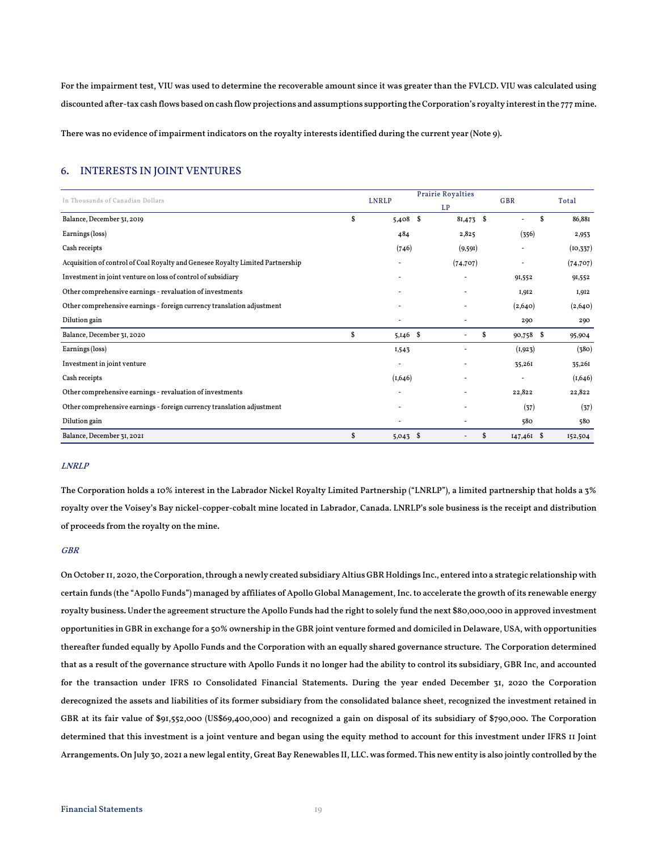For the impairment test, VIU was used to determine the recoverable amount since it was greater than the FVLCD. VIU was calculated using discounted after-tax cash flows based on cash flow projections and assumptions supporting the Corporation's royalty interest in the 777 mine.

There was no evidence of impairment indicators on the royalty interests identified during the current year (Note 9).

### 6. INTERESTS IN JOINT VENTURES

| In Thousands of Canadian Dollars                                               |    | <b>LNRLP</b> | <b>Prairie Royalties</b> |           |    | <b>GBR</b>   |    |           |
|--------------------------------------------------------------------------------|----|--------------|--------------------------|-----------|----|--------------|----|-----------|
|                                                                                |    |              | <b>LP</b>                |           |    |              |    | Total     |
| Balance, December 31, 2019                                                     | \$ | 5,408        | S.                       | 81,473 \$ |    |              | \$ | 86,881    |
| Earnings (loss)                                                                |    | 484          |                          | 2,825     |    | (356)        |    | 2,953     |
| Cash receipts                                                                  |    | (746)        |                          | (9,591)   |    |              |    | (10, 337) |
| Acquisition of control of Coal Royalty and Genesee Royalty Limited Partnership |    |              |                          | (74, 707) |    |              |    | (74, 707) |
| Investment in joint venture on loss of control of subsidiary                   |    |              |                          |           |    | 91,552       |    | 91,552    |
| Other comprehensive earnings - revaluation of investments                      |    |              |                          |           |    | 1,912        |    | 1,912     |
| Other comprehensive earnings - foreign currency translation adjustment         |    |              |                          |           |    | (2,640)      |    | (2,640)   |
| Dilution gain                                                                  |    |              |                          |           |    | 290          |    | 290       |
| Balance, December 31, 2020                                                     | \$ | $5,146$ \$   |                          |           | \$ | 90,758       | \$ | 95,904    |
| Earnings (loss)                                                                |    | 1,543        |                          |           |    | (1,923)      |    | (380)     |
| Investment in joint venture                                                    |    |              |                          |           |    | 35,261       |    | 35,261    |
| Cash receipts                                                                  |    | (1,646)      |                          |           |    |              |    | (1,646)   |
| Other comprehensive earnings - revaluation of investments                      |    |              |                          |           |    | 22,822       |    | 22,822    |
| Other comprehensive earnings - foreign currency translation adjustment         |    |              |                          | ٠         |    | (37)         |    | (37)      |
| Dilution gain                                                                  |    |              |                          |           |    | 580          |    | 580       |
| Balance, December 31, 2021                                                     | \$ | 5,043        | \$                       |           | \$ | $147,461$ \$ |    | 152,504   |

#### LNRLP

The Corporation holds a 10% interest in the Labrador Nickel Royalty Limited Partnership ("LNRLP"), a limited partnership that holds a 3% royalty over the Voisey's Bay nickel-copper-cobalt mine located in Labrador, Canada. LNRLP's sole business is the receipt and distribution of proceeds from the royalty on the mine.

#### GBR

On October II, 2020, the Corporation, through a newly created subsidiary Altius GBR Holdings Inc., entered into a strategic relationship with certain funds (the "Apollo Funds") managed by affiliates of Apollo Global Management, Inc. to accelerate the growth of its renewable energy royalty business. Under the agreement structure the Apollo Funds had the right to solely fund the next \$80,000,000 in approved investment opportunities in GBR in exchange for a 50% ownership in the GBR joint venture formed and domiciled in Delaware, USA, with opportunities thereafter funded equally by Apollo Funds and the Corporation with an equally shared governance structure. The Corporation determined that as a result of the governance structure with Apollo Funds it no longer had the ability to control its subsidiary, GBR Inc, and accounted for the transaction under IFRS 10 Consolidated Financial Statements. During the year ended December 31, 2020 the Corporation derecognized the assets and liabilities of its former subsidiary from the consolidated balance sheet, recognized the investment retained in GBR at its fair value of \$91,552,000 (US\$69,400,000) and recognized a gain on disposal of its subsidiary of \$790,000. The Corporation determined that this investment is a joint venture and began using the equity method to account for this investment under IFRS 11 Joint Arrangements. On July 30, 2021 a new legal entity, Great Bay Renewables II, LLC. was formed. This new entity is also jointly controlled by the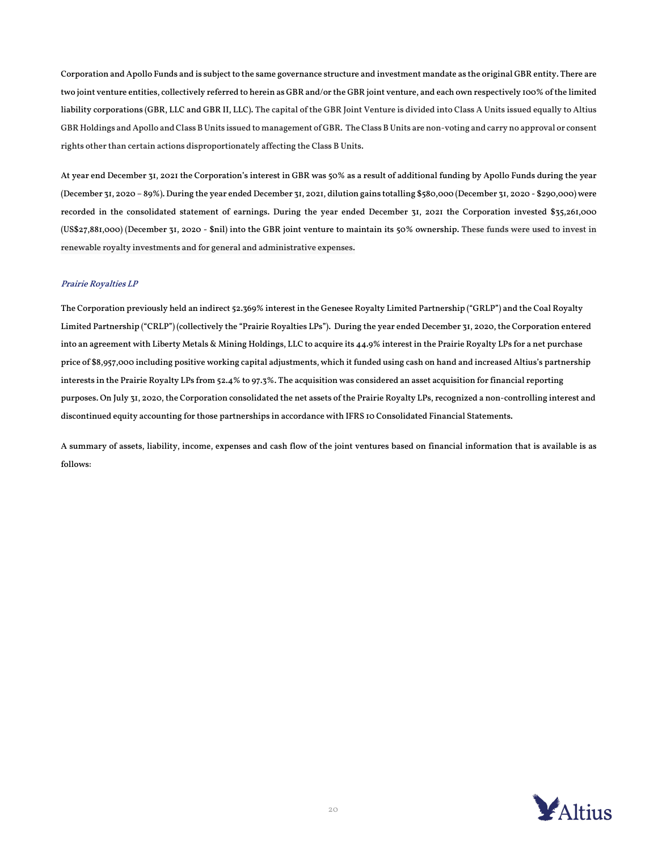Corporation and Apollo Funds and is subject to the same governance structure and investment mandate as the original GBR entity. There are two joint venture entities, collectively referred to herein as GBR and/or the GBR joint venture, and each own respectively 100% of the limited liability corporations (GBR, LLC and GBR II, LLC). The capital of the GBR Joint Venture is divided into Class A Units issued equally to Altius GBR Holdings and Apollo and Class B Units issued to management of GBR. The Class B Units are non-voting and carry no approval or consent rights other than certain actions disproportionately affecting the Class B Units.

At year end December 31, 2021 the Corporation's interest in GBR was 50% as a result of additional funding by Apollo Funds during the year (December 31, 2020 – 89%). During the year ended December 31, 2021, dilution gains totalling \$580,000 (December 31, 2020 - \$290,000) were recorded in the consolidated statement of earnings. During the year ended December 31, 2021 the Corporation invested \$35,261,000 (US\$27,881,000) (December 31, 2020 - \$nil) into the GBR joint venture to maintain its 50% ownership. These funds were used to invest in renewable royalty investments and for general and administrative expenses.

#### Prairie Royalties LP

The Corporation previously held an indirect 52.369% interest in the Genesee Royalty Limited Partnership ("GRLP") and the Coal Royalty Limited Partnership ("CRLP") (collectively the "Prairie Royalties LPs"). During the year ended December 31, 2020, the Corporation entered into an agreement with Liberty Metals & Mining Holdings, LLC to acquire its 44.9% interest in the Prairie Royalty LPs for a net purchase price of \$8,957,000 including positive working capital adjustments, which it funded using cash on hand and increased Altius's partnership interests in the Prairie Royalty LPs from 52.4% to 97.3%. The acquisition was considered an asset acquisition for financial reporting purposes. On July 31, 2020, the Corporation consolidated the net assets of the Prairie Royalty LPs, recognized a non-controlling interest and discontinued equity accounting for those partnerships in accordance with IFRS 10 Consolidated Financial Statements.

A summary of assets, liability, income, expenses and cash flow of the joint ventures based on financial information that is available is as follows:

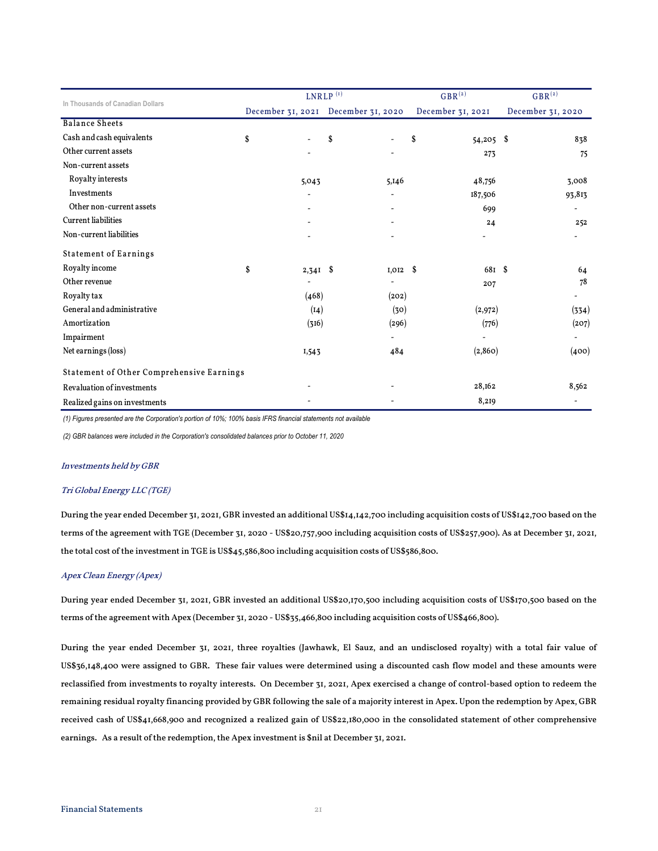| In Thousands of Canadian Dollars          |    | $LNRLP$ <sup>(1)</sup> |                                     | $GBR^{(2)}$ |                   | $GBR^{(2)}$ |                   |                          |
|-------------------------------------------|----|------------------------|-------------------------------------|-------------|-------------------|-------------|-------------------|--------------------------|
|                                           |    |                        | December 31, 2021 December 31, 2020 |             | December 31, 2021 |             | December 31, 2020 |                          |
| <b>Balance Sheets</b>                     |    |                        |                                     |             |                   |             |                   |                          |
| Cash and cash equivalents                 | \$ |                        | \$                                  |             | \$                | $54,205$ \$ |                   | 838                      |
| Other current assets                      |    |                        |                                     |             |                   | 273         |                   | 75                       |
| Non-current assets                        |    |                        |                                     |             |                   |             |                   |                          |
| Royalty interests                         |    | 5,043                  |                                     | 5,146       |                   | 48,756      |                   | 3,008                    |
| Investments                               |    |                        |                                     |             |                   | 187,506     |                   | 93,813                   |
| Other non-current assets                  |    |                        |                                     |             |                   | 699         |                   | ۰                        |
| <b>Current</b> liabilities                |    |                        |                                     |             |                   | 24          |                   | 252                      |
| Non-current liabilities                   |    |                        |                                     |             |                   |             |                   | -                        |
| <b>Statement of Earnings</b>              |    |                        |                                     |             |                   |             |                   |                          |
| Royalty income                            | \$ | $2,341$ \$             |                                     | $I, OI2$ \$ |                   | 681 \$      |                   | 64                       |
| Other revenue                             |    |                        |                                     |             |                   | 207         |                   | 78                       |
| Royalty tax                               |    | (468)                  |                                     | (202)       |                   |             |                   | $\overline{\phantom{0}}$ |
| General and administrative                |    | (14)                   |                                     | (30)        |                   | (2,972)     |                   | (334)                    |
| Amortization                              |    | (316)                  |                                     | (296)       |                   | (776)       |                   | (207)                    |
| Impairment                                |    |                        |                                     |             |                   |             |                   | $\overline{a}$           |
| Net earnings (loss)                       |    | 1,543                  |                                     | 484         |                   | (2, 860)    |                   | (400)                    |
| Statement of Other Comprehensive Earnings |    |                        |                                     |             |                   |             |                   |                          |
| <b>Revaluation of investments</b>         |    |                        |                                     |             |                   | 28,162      |                   | 8,562                    |
| Realized gains on investments             |    |                        |                                     |             |                   | 8,219       |                   | ۰                        |

*(1) Figures presented are the Corporation's portion of 10%; 100% basis IFRS financial statements not available*

*(2) GBR balances were included in the Corporation's consolidated balances prior to October 11, 2020*

#### Investments held by GBR

#### Tri Global Energy LLC (TGE)

During the year ended December 31, 2021, GBR invested an additional US\$14,142,700 including acquisition costs of US\$142,700 based on the terms of the agreement with TGE (December 31, 2020 - US\$20,757,900 including acquisition costs of US\$257,900). As at December 31, 2021, the total cost of the investment in TGE is US\$45,586,800 including acquisition costs of US\$586,800.

#### Apex Clean Energy (Apex)

During year ended December 31, 2021, GBR invested an additional US\$20,170,500 including acquisition costs of US\$170,500 based on the terms of the agreement with Apex (December 31, 2020 - US\$35,466,800 including acquisition costs of US\$466,800).

During the year ended December 31, 2021, three royalties (Jawhawk, El Sauz, and an undisclosed royalty) with a total fair value of US\$36,148,400 were assigned to GBR. These fair values were determined using a discounted cash flow model and these amounts were reclassified from investments to royalty interests. On December 31, 2021, Apex exercised a change of control-based option to redeem the remaining residual royalty financing provided by GBR following the sale of a majority interest in Apex. Upon the redemption by Apex, GBR received cash of US\$41,668,900 and recognized a realized gain of US\$22,180,000 in the consolidated statement of other comprehensive earnings. As a result of the redemption, the Apex investment is \$nil at December 31, 2021.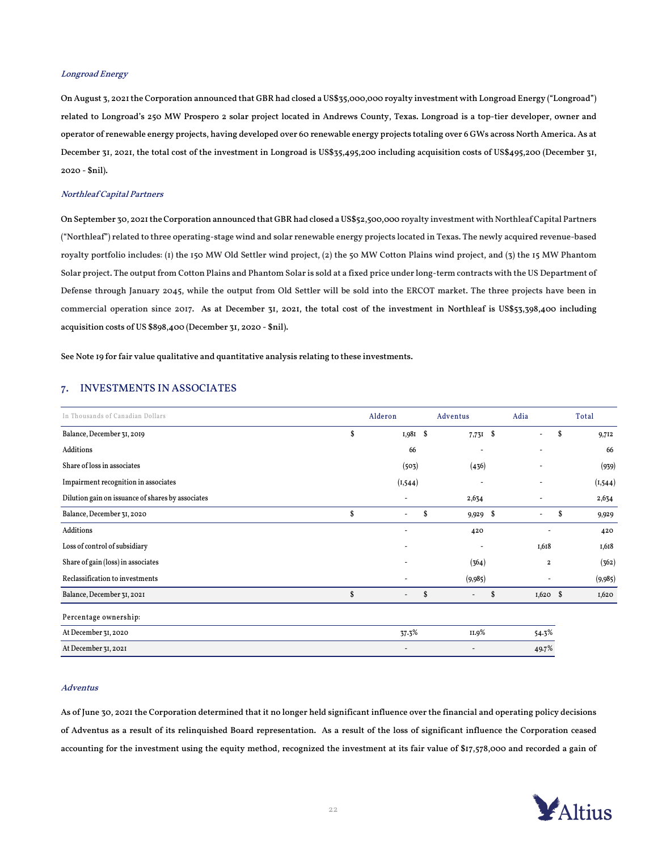#### Longroad Energy

On August 3, 2021 the Corporation announced that GBR had closed a US\$35,000,000 royalty investment with Longroad Energy ("Longroad") related to Longroad's 250 MW Prospero 2 solar project located in Andrews County, Texas. Longroad is a top-tier developer, owner and operator of renewable energy projects, having developed over 60 renewable energy projects totaling over 6 GWs across North America. As at December 31, 2021, the total cost of the investment in Longroad is US\$35,495,200 including acquisition costs of US\$495,200 (December 31, 2020 - \$nil).

#### Northleaf Capital Partners

On September 30, 2021 the Corporation announced that GBRhad closed a US\$52,500,000 royalty investment with Northleaf Capital Partners ("Northleaf") related to three operating-stage wind and solar renewable energy projects located in Texas. The newly acquired revenue-based royalty portfolio includes: (1) the 150 MW Old Settler wind project, (2) the 50 MW Cotton Plains wind project, and (3) the 15 MW Phantom Solar project. The output from Cotton Plains and Phantom Solar is sold at a fixed price under long-term contracts with the US Department of Defense through January 2045, while the output from Old Settler will be sold into the ERCOT market. The three projects have been in commercial operation since 2017. As at December 31, 2021, the total cost of the investment in Northleaf is US\$53,398,400 including acquisition costs of US \$898,400 (December 31, 2020 - \$nil).

See Note 19 for fair value qualitative and quantitative analysis relating to these investments.

#### 7. INVESTMENTS IN ASSOCIATES

| In Thousands of Canadian Dollars                  |    | Alderon                  | Adventus       | Adia                     |   | Total    |
|---------------------------------------------------|----|--------------------------|----------------|--------------------------|---|----------|
| Balance, December 31, 2019                        | \$ | $1,981$ \$               | $7,73I$ \$     | $\overline{\phantom{a}}$ | S | 9,712    |
| Additions                                         |    | 66                       |                |                          |   | 66       |
| Share of loss in associates                       |    | (503)                    | (436)          |                          |   | (939)    |
| Impairment recognition in associates              |    | (1, 544)                 |                |                          |   | (1, 544) |
| Dilution gain on issuance of shares by associates |    |                          | 2,634          |                          |   | 2,634    |
| Balance, December 31, 2020                        | Ŝ  | $\overline{\phantom{a}}$ | \$<br>9,929 \$ | $\overline{\phantom{a}}$ | S | 9,929    |
| Additions                                         |    |                          | 420            |                          |   | 420      |
| Loss of control of subsidiary                     |    |                          |                | I,618                    |   | 1,618    |
| Share of gain (loss) in associates                |    | ٠                        | (364)          | 2                        |   | (362)    |
| Reclassification to investments                   |    |                          | (9,985)        |                          |   | (9,985)  |
| Balance, December 31, 2021                        | \$ | $\frac{1}{2}$            | \$<br>٠        | \$<br>$1,620$ \$         |   | 1,620    |
| Percentage ownership:                             |    |                          |                |                          |   |          |
| At December 31, 2020                              |    | 37.3%                    | II.9%          | 54.3%                    |   |          |
| At December 31, 2021                              |    |                          |                | 49.7%                    |   |          |

#### Adventus

As of June 30, 2021 the Corporation determined that it no longer held significant influence over the financial and operating policy decisions of Adventus as a result of its relinquished Board representation. As a result of the loss of significant influence the Corporation ceased accounting for the investment using the equity method, recognized the investment at its fair value of \$17,578,000 and recorded a gain of

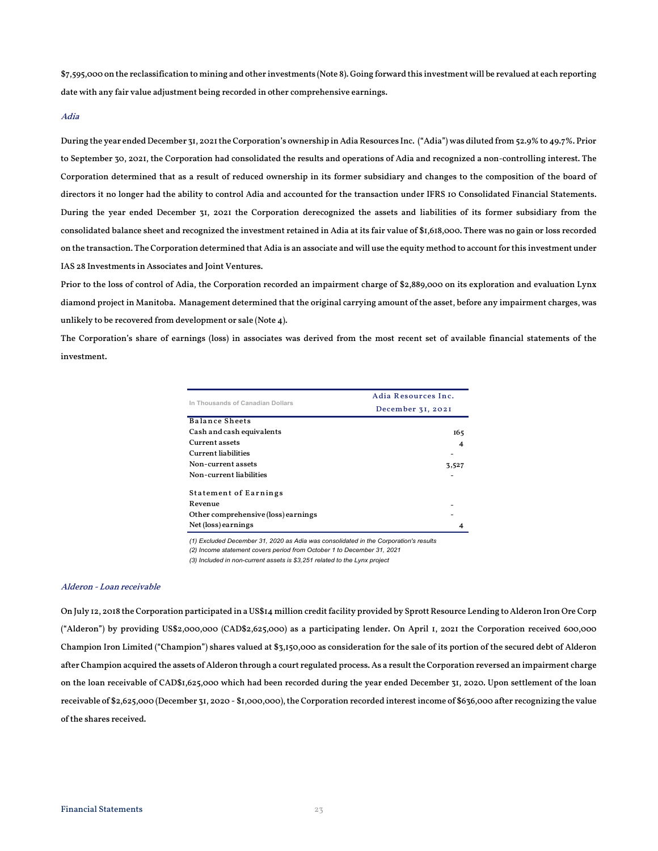\$7,595,000 on the reclassification to mining and other investments (Note 8). Going forward this investment will be revalued at each reporting date with any fair value adjustment being recorded in other comprehensive earnings.

#### Adia

During the year ended December 31, 2021 the Corporation's ownership in Adia Resources Inc. ("Adia") was diluted from 52.9% to 49.7%. Prior to September 30, 2021, the Corporation had consolidated the results and operations of Adia and recognized a non-controlling interest. The Corporation determined that as a result of reduced ownership in its former subsidiary and changes to the composition of the board of directors it no longer had the ability to control Adia and accounted for the transaction under IFRS 10 Consolidated Financial Statements. During the year ended December 31, 2021 the Corporation derecognized the assets and liabilities of its former subsidiary from the consolidated balance sheet and recognized the investment retained in Adia at its fair value of \$1,618,000. There was no gain or loss recorded on the transaction. The Corporation determined that Adia is an associate and will use the equity method to account for this investment under IAS 28 Investments in Associates and Joint Ventures.

Prior to the loss of control of Adia, the Corporation recorded an impairment charge of \$2,889,000 on its exploration and evaluation Lynx diamond project in Manitoba. Management determined that the original carrying amount of the asset, before any impairment charges, was unlikely to be recovered from development or sale (Note 4).

The Corporation's share of earnings (loss) in associates was derived from the most recent set of available financial statements of the investment.

| In Thousands of Canadian Dollars    | Adia Resources Inc. |
|-------------------------------------|---------------------|
|                                     | December 31, 2021   |
| Balance Sheets                      |                     |
| Cash and cash equivalents           | 165                 |
| Current assets                      | 4                   |
| <b>Current liabilities</b>          |                     |
| Non-current assets                  | 3,527               |
| Non-current liabilities             |                     |
| <b>Statement of Earnings</b>        |                     |
| Revenue                             |                     |
| Other comprehensive (loss) earnings |                     |
| Net (loss) earnings                 |                     |

*(1) Excluded December 31, 2020 as Adia was consolidated in the Corporation's results*

*(2) Income statement covers period from October 1 to December 31, 2021*

*(3) Included in non-current assets is \$3,251 related to the Lynx project*

#### Alderon - Loan receivable

On July 12, 2018 the Corporation participated in a US\$14 million credit facility provided by Sprott Resource Lending to Alderon Iron Ore Corp ("Alderon") by providing US\$2,000,000 (CAD\$2,625,000) as a participating lender. On April 1, 2021 the Corporation received 600,000 Champion Iron Limited ("Champion") shares valued at \$3,150,000 as consideration for the sale of its portion of the secured debt of Alderon after Champion acquired the assets of Alderon through a court regulated process. As a result the Corporation reversed an impairment charge on the loan receivable of CAD\$1,625,000 which had been recorded during the year ended December 31, 2020. Upon settlement of the loan receivable of \$2,625,000 (December 31, 2020 - \$1,000,000), the Corporation recorded interest income of \$636,000 after recognizing the value of the shares received.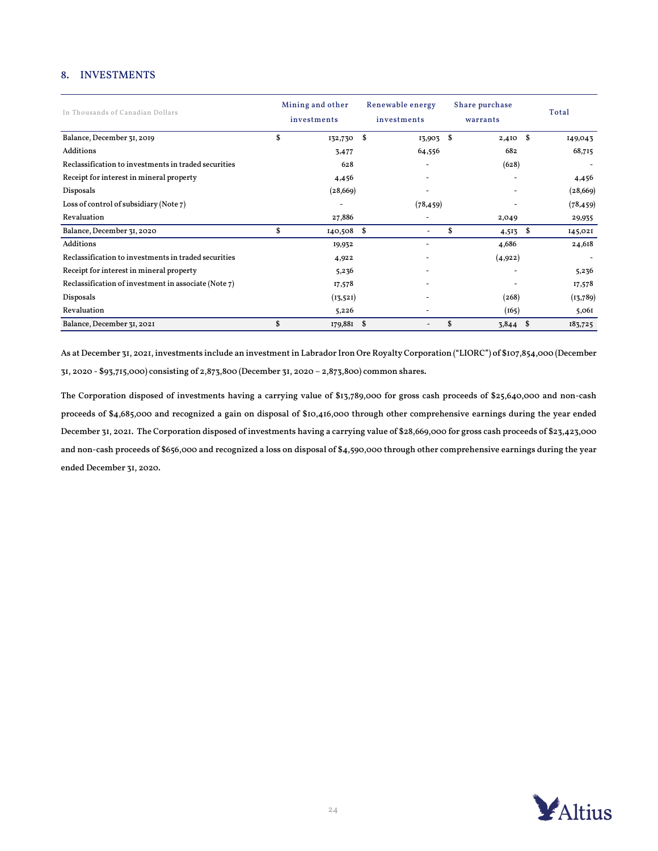## 8. INVESTMENTS

| In Thousands of Canadian Dollars                     | Mining and other<br>investments | Renewable energy<br>investments | Share purchase<br>warrants | Total         |
|------------------------------------------------------|---------------------------------|---------------------------------|----------------------------|---------------|
| Balance, December 31, 2019                           | \$<br>132,730 \$                | $13,903$ \$                     | $2,410$ \$                 | 149,043       |
| Additions                                            | 3,477                           | 64,556                          | 682                        | 68,715        |
| Reclassification to investments in traded securities | 628                             |                                 | (628)                      |               |
| Receipt for interest in mineral property             | 4,456                           | ۰                               |                            | 4,456         |
| Disposals                                            | (28, 669)                       | $\overline{\phantom{a}}$        | $\overline{\phantom{0}}$   | (28, 669)     |
| Loss of control of subsidiary (Note 7)               |                                 | (78, 459)                       |                            | (78, 459)     |
| Revaluation                                          | 27,886                          |                                 | 2,049                      | 29,935        |
| Balance, December 31, 2020                           | \$<br>140,508 \$                |                                 | \$<br>4,513                | \$<br>145,021 |
| Additions                                            | 19,932                          | -                               | 4,686                      | 24,618        |
| Reclassification to investments in traded securities | 4,922                           |                                 | (4,922)                    |               |
| Receipt for interest in mineral property             | 5,236                           |                                 |                            | 5,236         |
| Reclassification of investment in associate (Note 7) | 17,578                          | ۰                               |                            | 17,578        |
| Disposals                                            | (13,521)                        | ۰                               | (268)                      | (13,789)      |
| Revaluation                                          | 5,226                           |                                 | (165)                      | 5,061         |
| Balance, December 31, 2021                           | \$<br>179,881 \$                |                                 | \$<br>3,844                | 183,725<br>-S |

As at December 31, 2021, investments include an investment in Labrador Iron Ore Royalty Corporation ("LIORC") of \$107,854,000 (December 31, 2020 - \$93,715,000) consisting of 2,873,800 (December 31, 2020 – 2,873,800) common shares.

The Corporation disposed of investments having a carrying value of \$13,789,000 for gross cash proceeds of \$25,640,000 and non-cash proceeds of \$4,685,000 and recognized a gain on disposal of \$10,416,000 through other comprehensive earnings during the year ended December 31, 2021. The Corporation disposed of investments having a carrying value of \$28,669,000 for gross cash proceeds of \$23,423,000 and non-cash proceeds of \$656,000 and recognized a loss on disposal of \$4,590,000 through other comprehensive earnings during the year ended December 31, 2020.

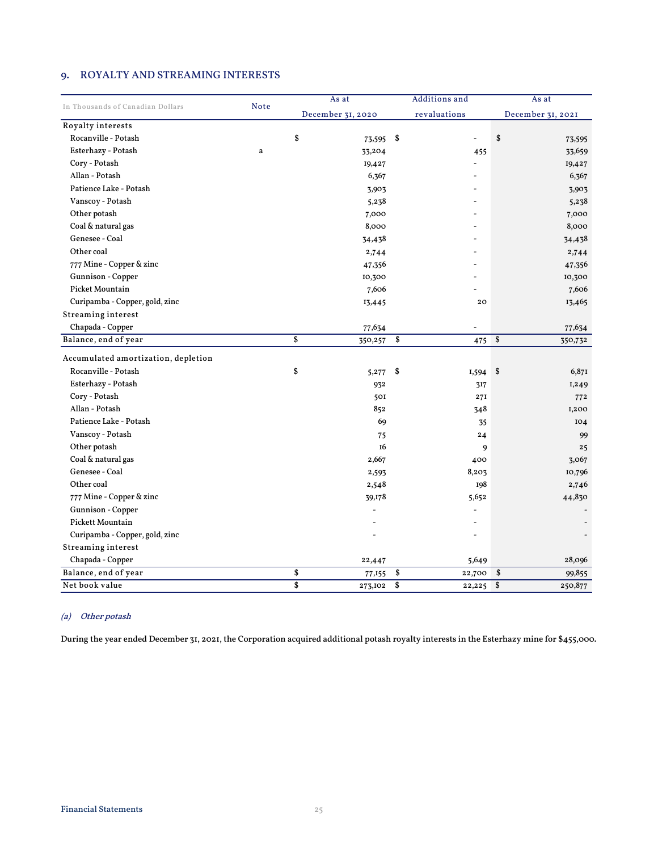## 9. ROYALTY AND STREAMING INTERESTS

|                                     |             | As at             | <b>Additions</b> and | As at             |
|-------------------------------------|-------------|-------------------|----------------------|-------------------|
| In Thousands of Canadian Dollars    | <b>Note</b> | December 31, 2020 | revaluations         | December 31, 2021 |
| Royalty interests                   |             |                   |                      |                   |
| Rocanville - Potash                 |             | \$<br>73,595      | \$                   | \$<br>73,595      |
| Esterhazy - Potash                  | a           | 33,204            | 455                  | 33,659            |
| Cory - Potash                       |             | 19,427            |                      | 19,427            |
| Allan - Potash                      |             | 6,367             |                      | 6,367             |
| Patience Lake - Potash              |             | 3,903             |                      | 3,903             |
| Vanscoy - Potash                    |             | 5,238             |                      | 5,238             |
| Other potash                        |             | 7,000             |                      | 7,000             |
| Coal & natural gas                  |             | 8,000             |                      | 8,000             |
| Genesee - Coal                      |             | 34,438            |                      | 34,438            |
| Other coal                          |             | 2,744             |                      | 2,744             |
| 777 Mine - Copper & zinc            |             | 47,356            |                      | 47,356            |
| Gunnison - Copper                   |             | 10,300            |                      | 10,300            |
| Picket Mountain                     |             | 7,606             |                      | 7,606             |
| Curipamba - Copper, gold, zinc      |             | 13,445            | 20                   | 13,465            |
| Streaming interest                  |             |                   |                      |                   |
| Chapada - Copper                    |             | 77,634            |                      | 77,634            |
| Balance, end of year                |             | \$<br>350,257     | \$<br>475            | \$<br>350,732     |
| Accumulated amortization, depletion |             |                   |                      |                   |
| Rocanville - Potash                 |             | \$<br>5,277       | \$<br>I,594          | \$<br>6,871       |
| Esterhazy - Potash                  |             | 932               | 317                  | I,249             |
| Cory - Potash                       |             | 501               | 27I                  | 772               |
| Allan - Potash                      |             | 852               | 348                  | 1,200             |
| Patience Lake - Potash              |             | 69                | 35                   | IO4               |
| Vanscoy - Potash                    |             | 75                | 24                   | 99                |
| Other potash                        |             | <b>16</b>         | 9                    | 25                |
| Coal & natural gas                  |             | 2,667             | 400                  | 3,067             |
| Genesee - Coal                      |             | 2,593             | 8,203                | 10,796            |
| Other coal                          |             | 2,548             | 198                  | 2,746             |
| 777 Mine - Copper & zinc            |             | 39,178            | 5,652                | 44,830            |
| Gunnison - Copper                   |             |                   |                      |                   |
| Pickett Mountain                    |             |                   |                      |                   |
| Curipamba - Copper, gold, zinc      |             |                   |                      |                   |
| <b>Streaming interest</b>           |             |                   |                      |                   |
| Chapada - Copper                    |             | 22,447            | 5,649                | 28,096            |
| Balance, end of year                |             | \$<br>77,155      | \$<br>22,700         | \$<br>99,855      |
| Net book value                      |             | \$<br>273,102     | \$<br>22,225         | \$<br>250,877     |

## (a) Other potash

During the year ended December 31, 2021, the Corporation acquired additional potash royalty interests in the Esterhazy mine for \$455,000.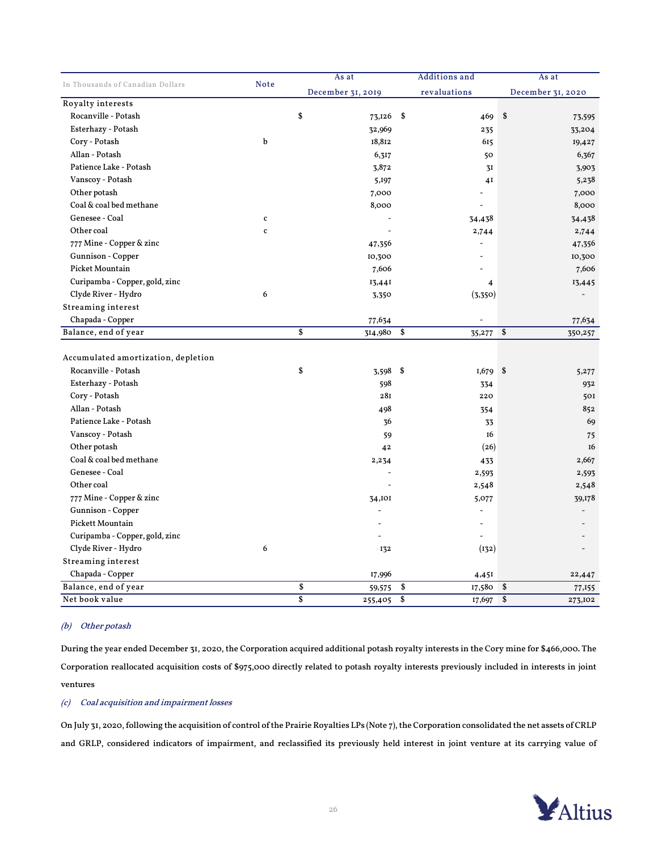|                                     |             | As at             | <b>Additions</b> and | As at             |
|-------------------------------------|-------------|-------------------|----------------------|-------------------|
| In Thousands of Canadian Dollars    | <b>Note</b> | December 31, 2019 | revaluations         | December 31, 2020 |
| Royalty interests                   |             |                   |                      |                   |
| Rocanville - Potash                 |             | \$<br>73,126      | \$<br>469            | \$<br>73,595      |
| Esterhazy - Potash                  |             | 32,969            | 235                  | 33,204            |
| Cory - Potash                       | $\mathbf b$ | 18,812            | 615                  | 19,427            |
| Allan - Potash                      |             | 6,317             | 50                   | 6,367             |
| Patience Lake - Potash              |             | 3,872             | 3I                   | 3,903             |
| Vanscoy - Potash                    |             | 5,197             | 4I                   | 5,238             |
| Other potash                        |             | 7,000             |                      | 7,000             |
| Coal & coal bed methane             |             | 8,000             | $\overline{a}$       | 8,000             |
| Genesee - Coal                      | $\mathbf c$ |                   | 34,438               | 34,438            |
| Other coal                          | $\mathbf c$ |                   | 2,744                | 2,744             |
| 777 Mine - Copper & zinc            |             | 47,356            | L,                   | 47,356            |
| Gunnison - Copper                   |             | 10,300            |                      | 10,300            |
| Picket Mountain                     |             | 7,606             |                      | 7,606             |
| Curipamba - Copper, gold, zinc      |             | 13,441            | $\overline{4}$       | 13,445            |
| Clyde River - Hydro                 | 6           | 3,350             | (3,350)              |                   |
| <b>Streaming interest</b>           |             |                   |                      |                   |
| Chapada - Copper                    |             | 77,634            |                      | 77,634            |
| Balance, end of year                |             | \$<br>314,980     | \$<br>35,277         | \$<br>350,257     |
|                                     |             |                   |                      |                   |
| Accumulated amortization, depletion |             |                   |                      |                   |
| Rocanville - Potash                 |             | \$<br>3,598 \$    | $1,679$ \$           | 5,277             |
| Esterhazy - Potash                  |             | 598               | 334                  | 932               |
| Cory - Potash                       |             | 28I               | 220                  | 501               |
| Allan - Potash                      |             | 498               | 354                  | 852               |
| Patience Lake - Potash              |             | 36                | 33                   | 69                |
| Vanscoy - Potash                    |             | 59                | 16                   | 75                |
| Other potash                        |             | 42                | (26)                 | 16                |
| Coal & coal bed methane             |             | 2,234             | 433                  | 2,667             |
| Genesee - Coal                      |             |                   | 2,593                | 2,593             |
| Other coal                          |             |                   | 2,548                | 2,548             |
| 777 Mine - Copper & zinc            |             | 34,101            | 5,077                | 39,178            |
| Gunnison - Copper                   |             |                   | $\overline{a}$       |                   |
| Pickett Mountain                    |             |                   | $\overline{a}$       |                   |
| Curipamba - Copper, gold, zinc      |             |                   |                      |                   |
| Clyde River - Hydro                 | 6           | 132               | (132)                |                   |
| <b>Streaming interest</b>           |             |                   |                      |                   |
| Chapada - Copper                    |             | 17,996            | 4,451                | 22,447            |
| Balance, end of year                |             | \$<br>59,575      | \$<br>17,580         | \$<br>77,155      |
| Net book value                      |             | \$<br>255,405     | \$<br>17,697         | \$<br>273,102     |

#### (b) Other potash

During the year ended December 31, 2020, the Corporation acquired additional potash royalty interests in the Cory mine for \$466,000. The Corporation reallocated acquisition costs of \$975,000 directly related to potash royalty interests previously included in interests in joint ventures

#### (c) Coal acquisition and impairment losses

On July 31, 2020,following the acquisition of control of the Prairie Royalties LPs (Note 7), the Corporation consolidated the net assets of CRLP and GRLP, considered indicators of impairment, and reclassified its previously held interest in joint venture at its carrying value of

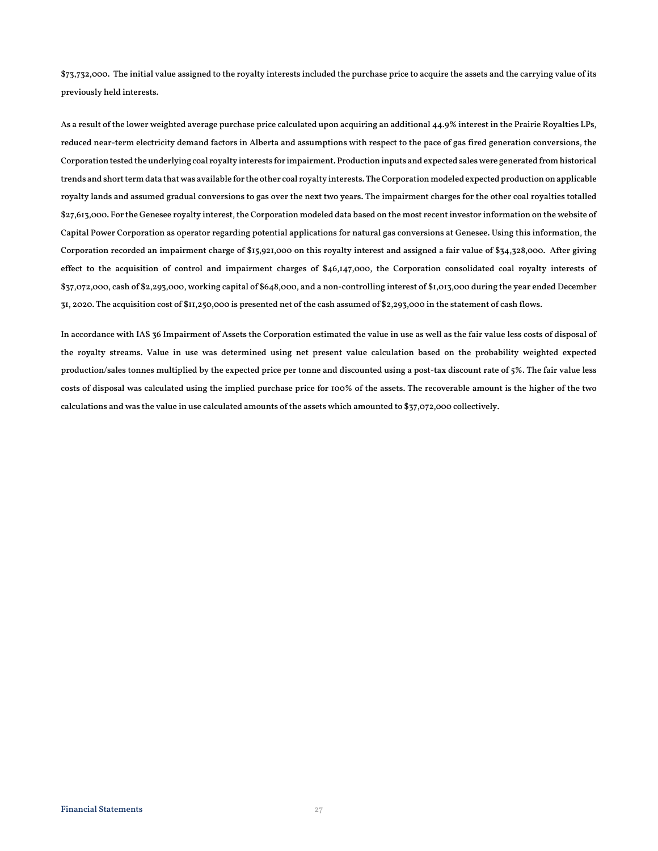\$73,732,000. The initial value assigned to the royalty interests included the purchase price to acquire the assets and the carrying value of its previously held interests.

As a result of the lower weighted average purchase price calculated upon acquiring an additional 44.9% interest in the Prairie Royalties LPs, reduced near-term electricity demand factors in Alberta and assumptions with respect to the pace of gas fired generation conversions, the Corporation tested the underlying coal royalty interests for impairment. Production inputs and expected sales were generated from historical trends and short term data that was available for the other coal royalty interests. The Corporation modeled expected production on applicable royalty lands and assumed gradual conversions to gas over the next two years. The impairment charges for the other coal royalties totalled \$27,613,000. For the Genesee royalty interest, the Corporation modeled data based on the most recent investor information on the website of Capital Power Corporation as operator regarding potential applications for natural gas conversions at Genesee. Using this information, the Corporation recorded an impairment charge of \$15,921,000 on this royalty interest and assigned a fair value of \$34,328,000. After giving effect to the acquisition of control and impairment charges of \$46,147,000, the Corporation consolidated coal royalty interests of \$37,072,000, cash of \$2,293,000, working capital of \$648,000, and a non-controlling interest of \$1,013,000 during the year ended December 31, 2020. The acquisition cost of \$11,250,000 is presented net of the cash assumed of \$2,293,000 in the statement of cash flows.

In accordance with IAS 36 Impairment of Assets the Corporation estimated the value in use as well as the fair value less costs of disposal of the royalty streams. Value in use was determined using net present value calculation based on the probability weighted expected production/sales tonnes multiplied by the expected price per tonne and discounted using a post-tax discount rate of 5%. The fair value less costs of disposal was calculated using the implied purchase price for 100% of the assets. The recoverable amount is the higher of the two calculations and was the value in use calculated amounts of the assets which amounted to \$37,072,000 collectively.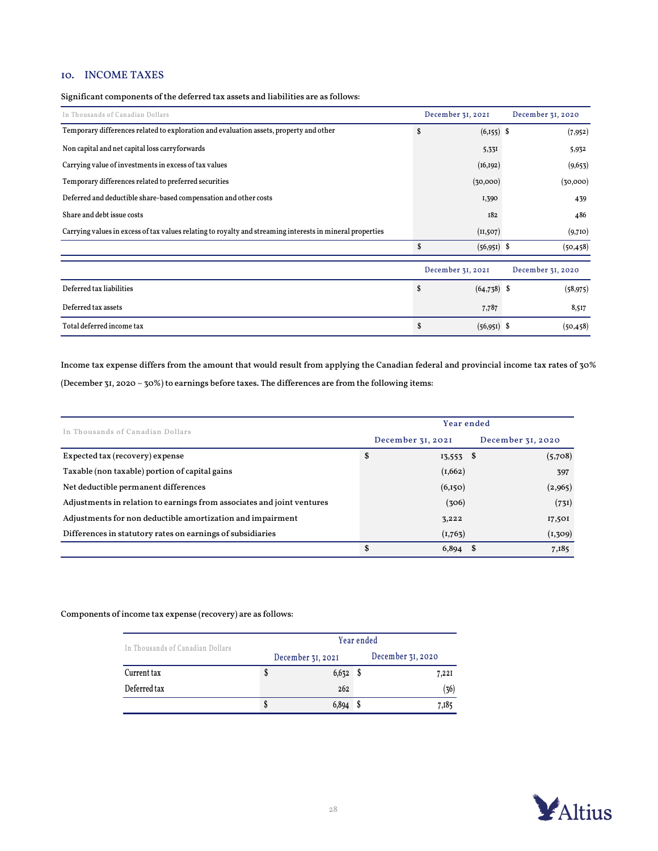## 10. INCOME TAXES

Significant components of the deferred tax assets and liabilities are as follows:

| In Thousands of Canadian Dollars                                                                          | December 31, 2021   | December 31, 2020 |
|-----------------------------------------------------------------------------------------------------------|---------------------|-------------------|
| Temporary differences related to exploration and evaluation assets, property and other                    | \$<br>$(6,155)$ \$  | (7, 952)          |
| Non capital and net capital loss carryforwards                                                            | 5,331               | 5,932             |
| Carrying value of investments in excess of tax values                                                     | (16, 192)           | (9,653)           |
| Temporary differences related to preferred securities                                                     | (30,000)            | (30,000)          |
| Deferred and deductible share-based compensation and other costs                                          | I,390               | 439               |
| Share and debt issue costs                                                                                | 182                 | 486               |
| Carrying values in excess of tax values relating to royalty and streaming interests in mineral properties | (11,507)            | (9,710)           |
|                                                                                                           | \$<br>$(56,951)$ \$ | (50, 458)         |
|                                                                                                           | December 31, 2021   | December 31, 2020 |
| Deferred tax liabilities                                                                                  | \$<br>$(64,738)$ \$ | (58, 975)         |
| Deferred tax assets                                                                                       | 7,787               | 8,517             |
| Total deferred income tax                                                                                 | \$<br>$(56,951)$ \$ | (50, 458)         |

Income tax expense differs from the amount that would result from applying the Canadian federal and provincial income tax rates of 30% (December 31, 2020 – 30%) to earnings before taxes. The differences are from the following items:

| In Thousands of Canadian Dollars                                       |    | Year ended        |  |                   |  |  |  |
|------------------------------------------------------------------------|----|-------------------|--|-------------------|--|--|--|
|                                                                        |    | December 31, 2021 |  | December 31, 2020 |  |  |  |
| Expected tax (recovery) expense                                        | \$ | $13,553$ \$       |  | (5,708)           |  |  |  |
| Taxable (non taxable) portion of capital gains                         |    | (1,662)           |  | 397               |  |  |  |
| Net deductible permanent differences                                   |    | (6,150)           |  | (2,965)           |  |  |  |
| Adjustments in relation to earnings from associates and joint ventures |    | (306)             |  | (731)             |  |  |  |
| Adjustments for non deductible amortization and impairment             |    | 3,222             |  | 17,501            |  |  |  |
| Differences in statutory rates on earnings of subsidiaries             |    | (1,763)           |  | (1, 309)          |  |  |  |
|                                                                        | \$ | $6,894$ \$        |  | 7,185             |  |  |  |

Components of income tax expense (recovery) are as follows:

| In Thousands of Canadian Dollars | Year ended |                   |  |                   |
|----------------------------------|------------|-------------------|--|-------------------|
|                                  |            | December 31, 2021 |  | December 31, 2020 |
| Current tax                      | S          | 6,632             |  | 7,221             |
| Deferred tax                     |            | 262               |  | (36)              |
|                                  | S          | 6,894             |  | 7,185             |

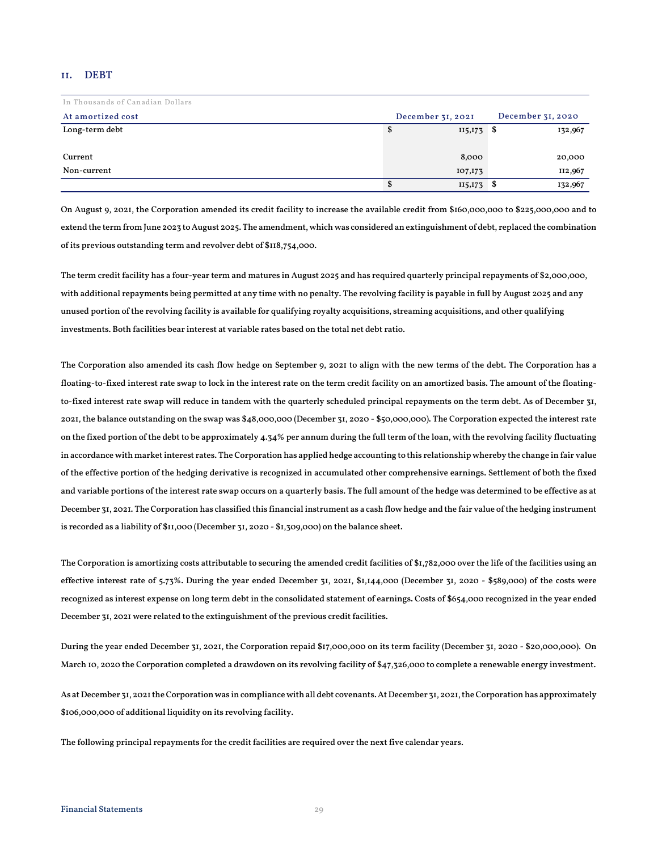#### 11. DEBT

| In Thousands of Canadian Dollars |   |                   |                   |
|----------------------------------|---|-------------------|-------------------|
| At amortized cost                |   | December 31, 2021 | December 31, 2020 |
| Long-term debt                   | Ф | $115,173$ \$      | 132,967           |
|                                  |   |                   |                   |
| Current                          |   | 8,000             | 20,000            |
| Non-current                      |   | 107,173           | 112,967           |
|                                  |   | $115,173$ \$      | 132,967           |

On August 9, 2021, the Corporation amended its credit facility to increase the available credit from \$160,000,000 to \$225,000,000 and to extend the term from June 2023 to August 2025. The amendment, which was considered an extinguishment of debt, replaced the combination of its previous outstanding term and revolver debt of \$118,754,000.

The term credit facility has a four-year term and matures in August 2025 and has required quarterly principal repayments of \$2,000,000, with additional repayments being permitted at any time with no penalty. The revolving facility is payable in full by August 2025 and any unused portion of the revolving facility is available for qualifying royalty acquisitions, streaming acquisitions, and other qualifying investments. Both facilities bear interest at variable rates based on the total net debt ratio.

The Corporation also amended its cash flow hedge on September 9, 2021 to align with the new terms of the debt. The Corporation has a floating-to-fixed interest rate swap to lock in the interest rate on the term credit facility on an amortized basis. The amount of the floatingto-fixed interest rate swap will reduce in tandem with the quarterly scheduled principal repayments on the term debt. As of December 31, 2021, the balance outstanding on the swap was \$48,000,000 (December 31, 2020 - \$50,000,000). The Corporation expected the interest rate on the fixed portion of the debt to be approximately 4.34% per annum during the full term of the loan, with the revolving facility fluctuating in accordance with market interest rates. The Corporation has applied hedge accounting to this relationship whereby the change in fair value of the effective portion of the hedging derivative is recognized in accumulated other comprehensive earnings. Settlement of both the fixed and variable portions of the interest rate swap occurs on a quarterly basis. The full amount of the hedge was determined to be effective as at December 31, 2021. The Corporation has classified this financial instrument as a cash flow hedge and the fair value of the hedging instrument is recorded as a liability of \$11,000 (December 31, 2020 - \$1,309,000) on the balance sheet.

The Corporation is amortizing costs attributable to securing the amended credit facilities of \$1,782,000 over the life of the facilities using an effective interest rate of 5.73%. During the year ended December 31, 2021, \$1,144,000 (December 31, 2020 - \$589,000) of the costs were recognized as interest expense on long term debt in the consolidated statement of earnings. Costs of \$654,000 recognized in the year ended December 31, 2021 were related to the extinguishment of the previous credit facilities.

During the year ended December 31, 2021, the Corporation repaid \$17,000,000 on its term facility (December 31, 2020 - \$20,000,000). On March 10, 2020 the Corporation completed a drawdown on its revolving facility of \$47,326,000 to complete a renewable energy investment.

As at December 31, 2021the Corporation was in compliance with all debt covenants. At December 31, 2021, the Corporation has approximately \$106,000,000 of additional liquidity on its revolving facility.

The following principal repayments for the credit facilities are required over the next five calendar years.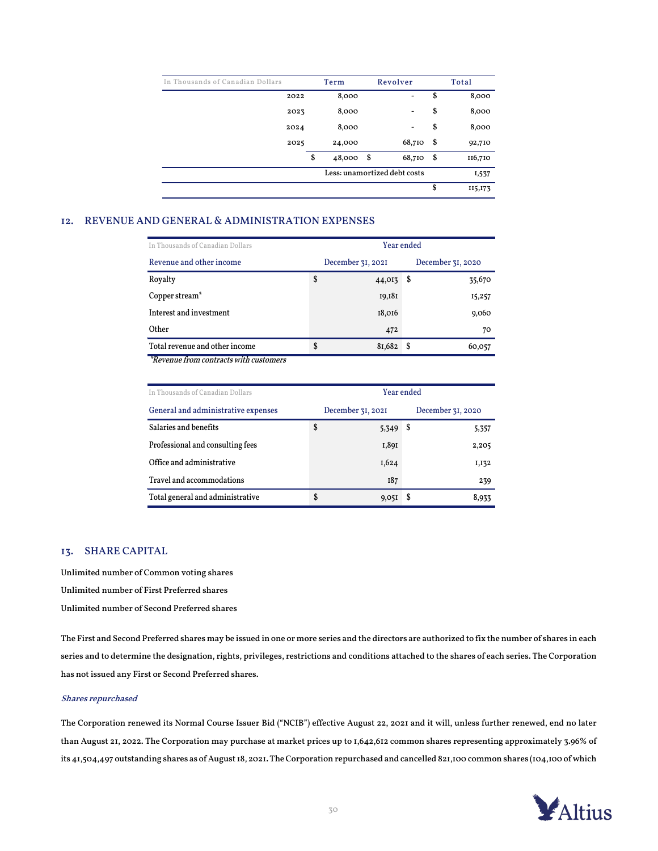| In Thousands of Canadian Dollars | Term         |     | Revolver                     |      | Total    |
|----------------------------------|--------------|-----|------------------------------|------|----------|
| 2022                             | 8,000        |     | $\qquad \qquad \blacksquare$ | \$   | 8,000    |
| 2023                             | 8,000        |     | ۰                            | \$   | 8,000    |
| 2024                             | 8,000        |     | $\qquad \qquad \blacksquare$ | \$   | 8,000    |
| 2025                             | 24,000       |     | 68,710                       | - \$ | 92,710   |
|                                  | \$<br>48,000 | -\$ | 68,710                       | -\$  | 116,710  |
|                                  |              |     | Less: unamortized debt costs |      | 1,537    |
|                                  |              |     |                              | \$   | II5, 173 |

## 12. REVENUE AND GENERAL & ADMINISTRATION EXPENSES

| In Thousands of Canadian Dollars       | Year ended        |      |                   |  |
|----------------------------------------|-------------------|------|-------------------|--|
| Revenue and other income               | December 31, 2021 |      | December 31, 2020 |  |
| Royalty                                | \$<br>44,013      | S    | 35,670            |  |
| Copper stream <sup>*</sup>             | 19,181            |      | 15,257            |  |
| Interest and investment                | 18,016            |      | 9,060             |  |
| Other                                  | 472               |      | 70                |  |
| Total revenue and other income         | \$<br>81,682      | - \$ | 60,057            |  |
| *Revenue from contracts with customers |                   |      |                   |  |

\*Revenue from contracts with customers

| In Thousands of Canadian Dollars    | Year ended |                   |      |                   |
|-------------------------------------|------------|-------------------|------|-------------------|
| General and administrative expenses |            | December 31, 2021 |      | December 31, 2020 |
| Salaries and benefits               | \$         | 5,349             | - \$ | 5,357             |
| Professional and consulting fees    |            | I,891             |      | 2,205             |
| Office and administrative           |            | I,624             |      | I, I 32           |
| Travel and accommodations           |            | I87               |      | 239               |
| Total general and administrative    | \$         | 9,051             | S    | 8,933             |

### 13. SHARE CAPITAL

Unlimited number of Common voting shares Unlimited number of First Preferred shares Unlimited number of Second Preferred shares

The First and Second Preferred shares may be issued in one or more series and the directors are authorized to fix the number of shares in each series and to determine the designation, rights, privileges, restrictions and conditions attached to the shares of each series. The Corporation has not issued any First or Second Preferred shares.

#### Shares repurchased

The Corporation renewed its Normal Course Issuer Bid ("NCIB") effective August 22, 2021 and it will, unless further renewed, end no later than August 21, 2022. The Corporation may purchase at market prices up to 1,642,612 common shares representing approximately 3.96% of its 41,504,497 outstanding shares as of August 18, 2021. The Corporation repurchased and cancelled 821,100 common shares (104,100 of which

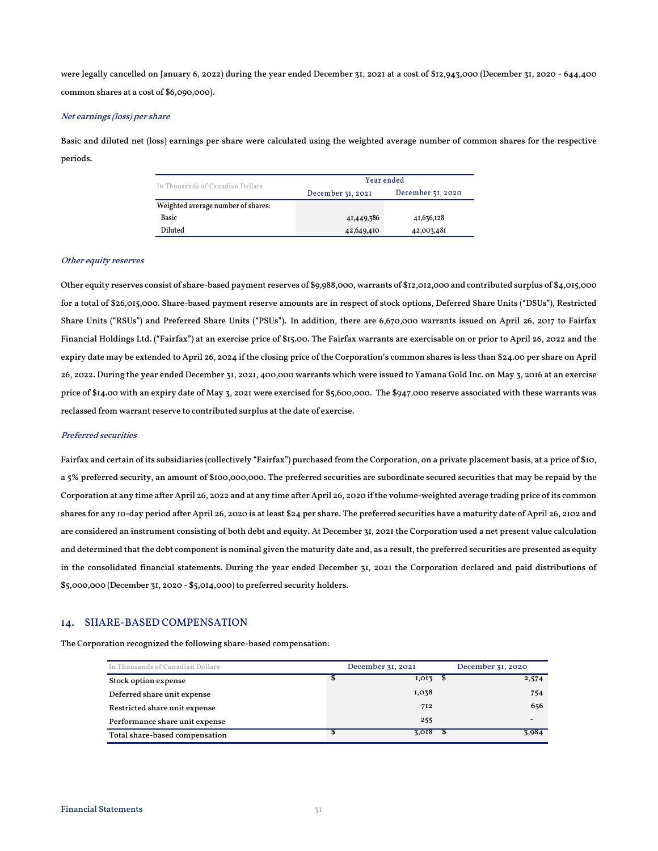were legally cancelled on January 6, 2022) during the year ended December 31, 2021 at a cost of \$12,943,000 (December 31, 2020 - 644,400 common shares at a cost of \$6,090,000).

#### Net earnings (loss) per share

Basic and diluted net (loss) earnings per share were calculated using the weighted average number of common shares for the respective periods.

| In Thousands of Canadian Dollars   | Year ended        |                   |  |  |  |
|------------------------------------|-------------------|-------------------|--|--|--|
|                                    | December 31, 2021 | December 31, 2020 |  |  |  |
| Weighted average number of shares: |                   |                   |  |  |  |
| <b>Basic</b>                       | 41,449,386        | 41,636,128        |  |  |  |
| Diluted                            | 42,649,410        | 42,003,481        |  |  |  |

#### Other equity reserves

Other equity reserves consist of share-based payment reserves of \$9,988,000, warrants of \$12,012,000 and contributed surplus of \$4,015,000 for a total of \$26,015,000. Share-based payment reserve amounts are in respect of stock options, Deferred Share Units ("DSUs"), Restricted Share Units ("RSUs") and Preferred Share Units ("PSUs"). In addition, there are 6,670,000 warrants issued on April 26, 2017 to Fairfax Financial Holdings Ltd. ("Fairfax") at an exercise price of \$15.00. The Fairfax warrants are exercisable on or prior to April 26, 2022 and the expiry date may be extended to April 26, 2024 if the closing price of the Corporation's common shares is less than \$24.00 per share on April 26, 2022. During the year ended December 31, 2021, 400,000 warrants which were issued to Yamana Gold Inc. on May 3, 2016 at an exercise price of \$14.00 with an expiry date of May 3, 2021 were exercised for \$5,600,000. The \$947,000 reserve associated with these warrants was reclassed from warrant reserve to contributed surplus at the date of exercise.

#### Preferred securities

Fairfax and certain of its subsidiaries (collectively "Fairfax") purchased from the Corporation, on a private placement basis, at a price of \$10, a 5% preferred security, an amount of \$100,000,000. The preferred securities are subordinate secured securities that may be repaid by the Corporation at any time after April 26, 2022 and at any time after April 26, 2020 if the volume-weighted average trading price of its common shares for any 10-day period after April 26, 2020 is at least \$24 per share. The preferred securities have a maturity date of April 26, 2102 and are considered an instrument consisting of both debt and equity. At December 31, 2021 the Corporation used a net present value calculation and determined that the debt component is nominal given the maturity date and, as a result, the preferred securities are presented as equity in the consolidated financial statements. During the year ended December 31, 2021 the Corporation declared and paid distributions of \$5,000,000 (December 31, 2020 - \$5,014,000) to preferred security holders.

#### 14. SHARE-BASED COMPENSATION

The Corporation recognized the following share-based compensation:

| In Thousands of Canadian Dollars | December 31, 2021 | December 31, 2020 |
|----------------------------------|-------------------|-------------------|
| Stock option expense             | $I, OI5$ \$       | 2,574             |
| Deferred share unit expense      | I,038             | 754               |
| Restricted share unit expense    | 712               | 656               |
| Performance share unit expense   | 255               |                   |
| Total share-based compensation   | $3,018$ \$        | 3,984             |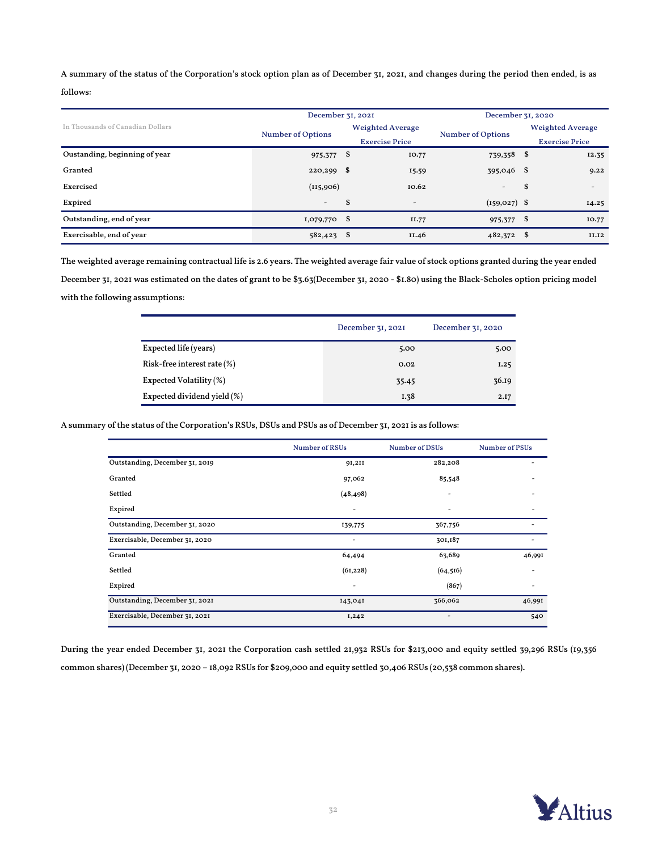A summary of the status of the Corporation's stock option plan as of December 31, 2021, and changes during the period then ended, is as

### follows:

|                                  | December 31, 2021        |               |                          | December 31, 2020        |                       |                         |  |  |
|----------------------------------|--------------------------|---------------|--------------------------|--------------------------|-----------------------|-------------------------|--|--|
| In Thousands of Canadian Dollars |                          |               | <b>Weighted Average</b>  |                          |                       | <b>Weighted Average</b> |  |  |
|                                  | <b>Number of Options</b> |               | <b>Exercise Price</b>    | <b>Number of Options</b> | <b>Exercise Price</b> |                         |  |  |
| Oustanding, beginning of year    | 975,377                  | \$            | 10.77                    | 739,358 \$               |                       | 12.35                   |  |  |
| Granted                          | 220,299                  | \$            | 15.59                    | 395,046 \$               |                       | 9.22                    |  |  |
| Exercised                        | (115,906)                |               | 10.62                    | $\overline{\phantom{a}}$ | \$                    | $\overline{a}$          |  |  |
| Expired                          | $-$                      | <sup>\$</sup> | $\overline{\phantom{a}}$ | $(159, 027)$ \$          |                       | 14.25                   |  |  |
| Outstanding, end of year         | $1,079,770$ \$           |               | II.77                    | 975,377 \$               |                       | 10.77                   |  |  |
| Exercisable, end of year         | 582,423                  | \$            | II.46                    | 482,372 \$               |                       | II.I2                   |  |  |

The weighted average remaining contractual life is 2.6 years. The weighted average fair value of stock options granted during the year ended December 31, 2021 was estimated on the dates of grant to be \$3.63(December 31, 2020 - \$1.80) using the Black-Scholes option pricing model with the following assumptions:

|                                | December 31, 2021 | December 31, 2020 |
|--------------------------------|-------------------|-------------------|
| Expected life (years)          | 5.00              | 5.00              |
| Risk-free interest rate $(\%)$ | 0.02              | 1.25              |
| Expected Volatility (%)        | 35.45             | 36.19             |
| Expected dividend yield (%)    | I.38              | 2.I7              |

A summary of the status of the Corporation's RSUs, DSUs and PSUs as of December 31, 2021is as follows:

|                                | <b>Number of RSUs</b> | <b>Number of DSUs</b> | Number of PSUs |
|--------------------------------|-----------------------|-----------------------|----------------|
| Outstanding, December 31, 2019 | 91,211                | 282,208               |                |
| Granted                        | 97,062                | 85,548                |                |
| Settled                        | (48, 498)             |                       |                |
| Expired                        |                       |                       |                |
| Outstanding, December 31, 2020 | 139,775               | 367,756               |                |
| Exercisable, December 31, 2020 |                       | 301,187               |                |
| Granted                        | 64,494                | 63,689                | 46,991         |
| Settled                        | (61, 228)             | (64, 516)             |                |
| Expired                        |                       | (867)                 |                |
| Outstanding, December 31, 2021 | 143,041               | 366,062               | 46,991         |
| Exercisable, December 31, 2021 | 1,242                 | ٠                     | 540            |

During the year ended December 31, 2021 the Corporation cash settled 21,932 RSUs for \$213,000 and equity settled 39,296 RSUs (19,356 common shares) (December 31, 2020 – 18,092 RSUs for \$209,000 and equity settled 30,406 RSUs (20,538 common shares).

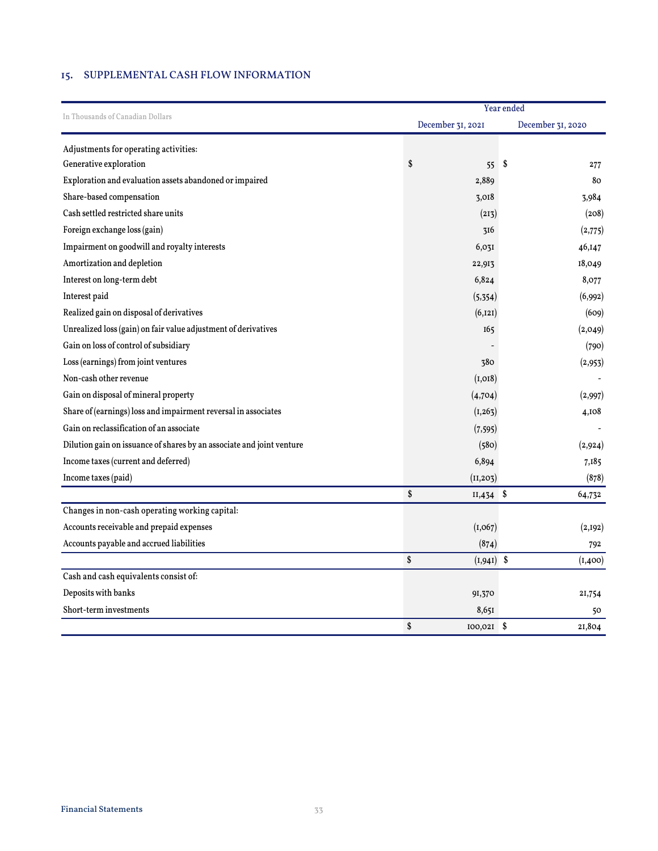## 15. SUPPLEMENTAL CASH FLOW INFORMATION

|                                                                       | Year ended          |                   |  |  |  |  |  |
|-----------------------------------------------------------------------|---------------------|-------------------|--|--|--|--|--|
| In Thousands of Canadian Dollars                                      | December 31, 2021   | December 31, 2020 |  |  |  |  |  |
| Adjustments for operating activities:                                 |                     |                   |  |  |  |  |  |
| Generative exploration                                                | \$<br>55            | \$<br>277         |  |  |  |  |  |
| Exploration and evaluation assets abandoned or impaired               | 2,889               | 80                |  |  |  |  |  |
| Share-based compensation                                              | 3,018               | 3,984             |  |  |  |  |  |
| Cash settled restricted share units                                   | (213)               | (208)             |  |  |  |  |  |
| Foreign exchange loss (gain)                                          | 316                 | (2,775)           |  |  |  |  |  |
| Impairment on goodwill and royalty interests                          | 6,031               | 46,147            |  |  |  |  |  |
| Amortization and depletion                                            | 22,913              | 18,049            |  |  |  |  |  |
| Interest on long-term debt                                            | 6,824               | 8,077             |  |  |  |  |  |
| Interest paid                                                         | (5,354)             | (6,992)           |  |  |  |  |  |
| Realized gain on disposal of derivatives                              | (6, 121)            | (609)             |  |  |  |  |  |
| Unrealized loss (gain) on fair value adjustment of derivatives        | 165                 | (2,049)           |  |  |  |  |  |
| Gain on loss of control of subsidiary                                 |                     | (790)             |  |  |  |  |  |
| Loss (earnings) from joint ventures                                   | 380                 | (2,953)           |  |  |  |  |  |
| Non-cash other revenue                                                | (I, OI8)            |                   |  |  |  |  |  |
| Gain on disposal of mineral property                                  | (4,704)             | (2,997)           |  |  |  |  |  |
| Share of (earnings) loss and impairment reversal in associates        | (I, 263)            | 4,108             |  |  |  |  |  |
| Gain on reclassification of an associate                              | (7, 595)            |                   |  |  |  |  |  |
| Dilution gain on issuance of shares by an associate and joint venture | (580)               | (2,924)           |  |  |  |  |  |
| Income taxes (current and deferred)                                   | 6,894               | 7,185             |  |  |  |  |  |
| Income taxes (paid)                                                   | (11, 203)           | (878)             |  |  |  |  |  |
|                                                                       | \$<br>$II,434$ \$   | 64,732            |  |  |  |  |  |
| Changes in non-cash operating working capital:                        |                     |                   |  |  |  |  |  |
| Accounts receivable and prepaid expenses                              | (I, 067)            | (2,192)           |  |  |  |  |  |
| Accounts payable and accrued liabilities                              | (874)               | 792               |  |  |  |  |  |
|                                                                       | \$<br>$(I, 94I)$ \$ | (1,400)           |  |  |  |  |  |
| Cash and cash equivalents consist of:                                 |                     |                   |  |  |  |  |  |
| Deposits with banks                                                   | 91,370              | 21,754            |  |  |  |  |  |
| Short-term investments                                                | 8,651               | 50                |  |  |  |  |  |
|                                                                       | \$<br>$100,021$ \$  | 21,804            |  |  |  |  |  |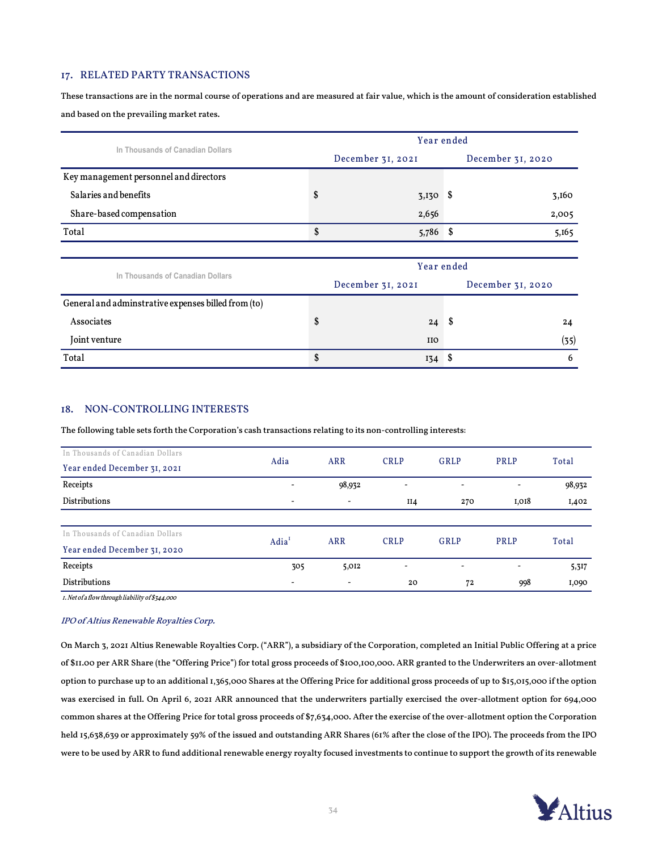#### 17. RELATED PARTY TRANSACTIONS

These transactions are in the normal course of operations and are measured at fair value, which is the amount of consideration established and based on the prevailing market rates.

|                                                     |                   | Year ended        |    |                   |  |  |  |  |
|-----------------------------------------------------|-------------------|-------------------|----|-------------------|--|--|--|--|
| In Thousands of Canadian Dollars                    |                   | December 31, 2021 |    | December 31, 2020 |  |  |  |  |
| Key management personnel and directors              |                   |                   |    |                   |  |  |  |  |
| Salaries and benefits                               | \$                | $3,130$ \$        |    | 3,160             |  |  |  |  |
| Share-based compensation                            |                   | 2,656             |    | 2,005             |  |  |  |  |
| Total                                               | \$                | $5,786$ \$        |    | 5,165             |  |  |  |  |
|                                                     |                   |                   |    |                   |  |  |  |  |
|                                                     |                   | Year ended        |    |                   |  |  |  |  |
| In Thousands of Canadian Dollars                    | December 31, 2021 |                   |    | December 31, 2020 |  |  |  |  |
| General and adminstrative expenses billed from (to) |                   |                   |    |                   |  |  |  |  |
| Associates                                          | \$                | 24                | -S | 24                |  |  |  |  |
| Joint venture                                       |                   | <b>IIO</b>        |    | (35)              |  |  |  |  |
| Total                                               | \$                | $134$ \$          |    | 6                 |  |  |  |  |

### 18. NON-CONTROLLING INTERESTS

The following table sets forth the Corporation's cash transactions relating to its non-controlling interests:

| In Thousands of Canadian Dollars |                              |                          |             |                          |                          |        |  |
|----------------------------------|------------------------------|--------------------------|-------------|--------------------------|--------------------------|--------|--|
| Year ended December 31, 2021     | Adia                         | <b>ARR</b>               | <b>CRLP</b> | GRLP                     | PRLP                     | Total  |  |
| Receipts                         | $\overline{\phantom{0}}$     | 98,932                   | -           | $\overline{\phantom{a}}$ | $\overline{\phantom{a}}$ | 98,932 |  |
| <b>Distributions</b>             | $\overline{\phantom{a}}$     | $\overline{\phantom{a}}$ | II4         | 270                      | I,018                    | I,402  |  |
|                                  |                              |                          |             |                          |                          |        |  |
| In Thousands of Canadian Dollars | Adia <sup>1</sup>            | <b>ARR</b>               | <b>CRLP</b> | GRLP                     | <b>PRLP</b>              | Total  |  |
| Year ended December 31, 2020     |                              |                          |             |                          |                          |        |  |
| Receipts                         | 305                          | 5,012                    | ۰           | $\overline{\phantom{a}}$ | $\overline{\phantom{a}}$ | 5,317  |  |
| <b>Distributions</b>             | $\qquad \qquad \blacksquare$ | $\overline{\phantom{a}}$ | 20          | 72                       | 998                      | I,090  |  |

1. Net of a flow through liability of \$344,000

#### IPO of Altius Renewable Royalties Corp.

On March 3, 2021 Altius Renewable Royalties Corp. ("ARR"), a subsidiary of the Corporation, completed an Initial Public Offering at a price of \$11.00 per ARR Share (the "Offering Price") for total gross proceeds of \$100,100,000. ARR granted to the Underwriters an over-allotment option to purchase up to an additional 1,365,000 Shares at the Offering Price for additional gross proceeds of up to \$15,015,000 if the option was exercised in full. On April 6, 2021 ARR announced that the underwriters partially exercised the over-allotment option for 694,000 common shares at the Offering Price for total gross proceeds of \$7,634,000. After the exercise of the over-allotment option the Corporation held 15,638,639 or approximately 59% of the issued and outstanding ARR Shares (61% after the close of the IPO). The proceeds from the IPO were to be used by ARR to fund additional renewable energy royalty focused investments to continue to support the growth of its renewable

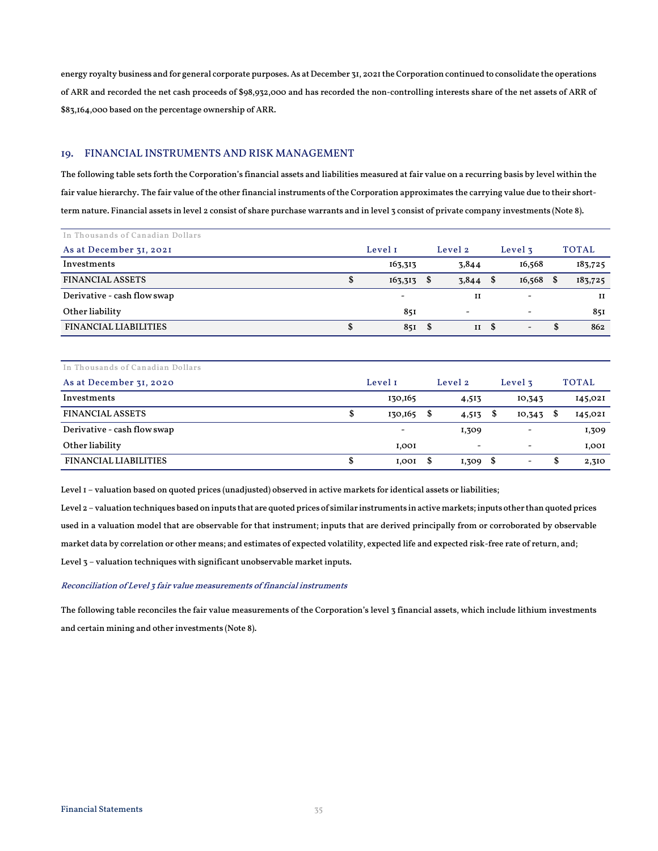energy royalty business and for general corporate purposes. As at December 31, 2021the Corporation continued to consolidate the operations of ARR and recorded the net cash proceeds of \$98,932,000 and has recorded the non-controlling interests share of the net assets of ARR of \$83,164,000 based on the percentage ownership of ARR.

### 19. FINANCIAL INSTRUMENTS AND RISK MANAGEMENT

The following table sets forth the Corporation's financial assets and liabilities measured at fair value on a recurring basis by level within the fair value hierarchy. The fair value of the other financial instruments of the Corporation approximates the carrying value due to their shortterm nature. Financial assets in level 2 consist of share purchase warrants and in level 3 consist of private company investments (Note 8).

| In Thousands of Canadian Dollars |         |                          |  |                          |                              |               |             |
|----------------------------------|---------|--------------------------|--|--------------------------|------------------------------|---------------|-------------|
| As at December 31, 2021          | Level 1 |                          |  | Level 2                  | Level 3                      | <b>TOTAL</b>  |             |
| Investments                      |         | 163,313                  |  | 3,844                    | 16,568                       |               | 183,725     |
| <b>FINANCIAL ASSETS</b>          | \$      | $163,313$ \$             |  | $3,844$ \$               | 16,568                       | -S            | 183,725     |
| Derivative - cash flow swap      |         | $\overline{\phantom{a}}$ |  | $_{II}$                  | $\qquad \qquad \blacksquare$ |               | $_{\rm II}$ |
| Other liability                  |         | 851                      |  | $\overline{\phantom{a}}$ | $\overline{\phantom{0}}$     |               | 851         |
| <b>FINANCIAL LIABILITIES</b>     |         | 85I S                    |  | $II \quad$               | $\overline{\phantom{a}}$     | <sup>\$</sup> | 862         |

| In Thousands of Canadian Dollars |         |                          |         |                          |         |                          |              |         |
|----------------------------------|---------|--------------------------|---------|--------------------------|---------|--------------------------|--------------|---------|
| As at December 31, 2020          | Level 1 |                          | Level 2 |                          | Level 3 |                          | <b>TOTAL</b> |         |
| Investments                      |         | 130,165                  |         | 4,513                    |         | 10,343                   |              | 145,021 |
| <b>FINANCIAL ASSETS</b>          | Φ       | 130,165                  | \$      | 4,513                    | -5      | 10,343                   | \$           | 145,021 |
| Derivative - cash flow swap      |         | $\overline{\phantom{a}}$ |         | 1,309                    |         |                          |              | 1,309   |
| Other liability                  |         | 1,001                    |         | $\overline{\phantom{0}}$ |         | $\overline{\phantom{0}}$ |              | 1,001   |
| <b>FINANCIAL LIABILITIES</b>     |         | 1,001                    | \$      | 1,309                    | - \$    | -                        | D            | 2,310   |

Level 1 – valuation based on quoted prices (unadjusted) observed in active markets for identical assets or liabilities;

Level 2 – valuation techniques based on inputs that are quoted prices of similar instruments in active markets; inputs other than quoted prices used in a valuation model that are observable for that instrument; inputs that are derived principally from or corroborated by observable market data by correlation or other means; and estimates of expected volatility, expected life and expected risk-free rate of return, and; Level  $3$  – valuation techniques with significant unobservable market inputs.

#### Reconciliation of Level 3 fair value measurements of financial instruments

The following table reconciles the fair value measurements of the Corporation's level 3 financial assets, which include lithium investments and certain mining and other investments (Note 8).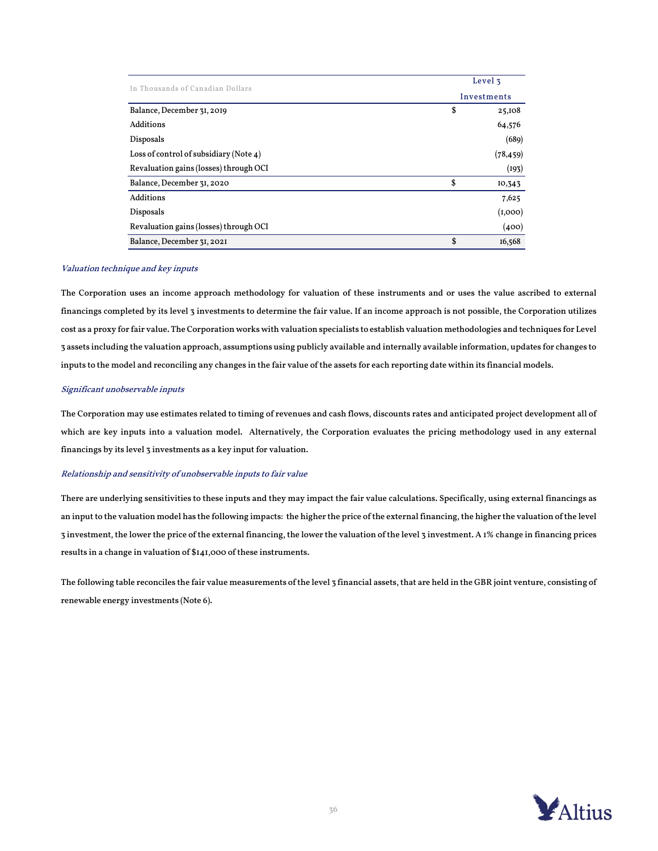| In Thousands of Canadian Dollars       | Level 3     |           |  |  |  |  |
|----------------------------------------|-------------|-----------|--|--|--|--|
|                                        | Investments |           |  |  |  |  |
| Balance, December 31, 2019             | \$          | 25,108    |  |  |  |  |
| Additions                              |             | 64,576    |  |  |  |  |
| Disposals                              |             | (689)     |  |  |  |  |
| Loss of control of subsidiary (Note 4) |             | (78, 459) |  |  |  |  |
| Revaluation gains (losses) through OCI |             | (193)     |  |  |  |  |
| Balance, December 31, 2020             | \$          | 10,343    |  |  |  |  |
| Additions                              |             | 7,625     |  |  |  |  |
| Disposals                              |             | (I,000)   |  |  |  |  |
| Revaluation gains (losses) through OCI |             | (400)     |  |  |  |  |
| Balance, December 31, 2021             | \$          | 16,568    |  |  |  |  |

#### Valuation technique and key inputs

The Corporation uses an income approach methodology for valuation of these instruments and or uses the value ascribed to external financings completed by its level 3 investments to determine the fair value. If an income approach is not possible, the Corporation utilizes cost as a proxy for fair value. The Corporation works with valuation specialists to establish valuation methodologies and techniques for Level 3 assets including the valuation approach, assumptions using publicly available and internally available information, updates for changes to inputs to the model and reconciling any changes in the fair value of the assets for each reporting date within its financial models.

#### Significant unobservable inputs

The Corporation may use estimates related to timing of revenues and cash flows, discounts rates and anticipated project development all of which are key inputs into a valuation model. Alternatively, the Corporation evaluates the pricing methodology used in any external financings by its level 3 investments as a key input for valuation.

#### Relationship and sensitivity of unobservable inputs to fair value

There are underlying sensitivities to these inputs and they may impact the fair value calculations. Specifically, using external financings as an input to the valuation model has the following impacts: the higher the price of the external financing, the higher the valuation of the level 3 investment, the lower the price of the external financing, the lower the valuation of the level 3 investment. A 1% change in financing prices results in a change in valuation of \$141,000 of these instruments.

The following table reconciles the fair value measurements of the level 3 financial assets, that are held in the GBR joint venture, consisting of renewable energy investments (Note 6).

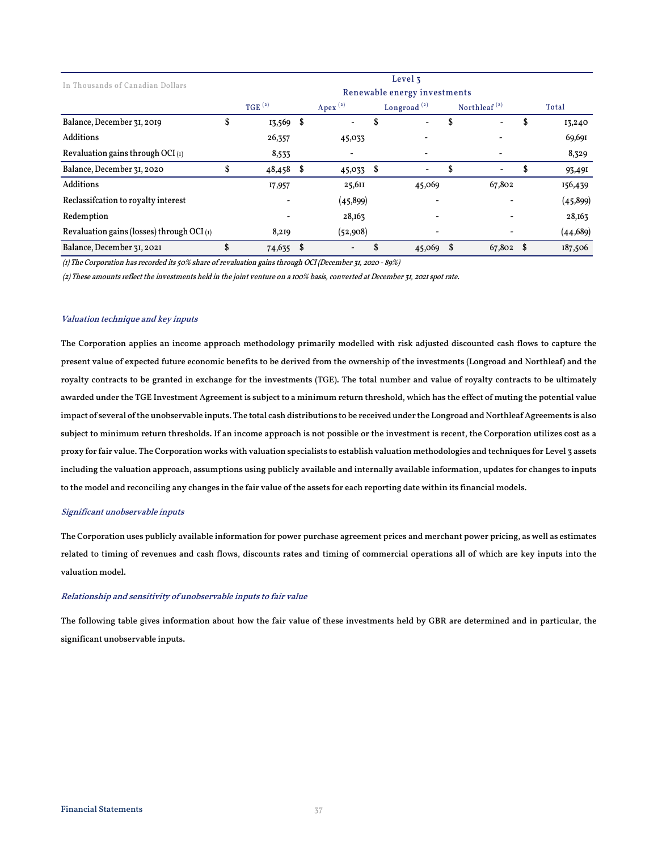|                                              |              |      |                          |   | Level 3                      |                                       |           |
|----------------------------------------------|--------------|------|--------------------------|---|------------------------------|---------------------------------------|-----------|
| In Thousands of Canadian Dollars             |              |      |                          |   | Renewable energy investments |                                       |           |
|                                              | $TGE^{(2)}$  |      | Apex $(2)$               |   | Longroad $(2)$               | Northleaf <sup><math>(2)</math></sup> | Total     |
| Balance, December 31, 2019                   | \$<br>13,569 | - \$ |                          | ა |                              | \$                                    | 13,240    |
| Additions                                    | 26,357       |      | 45,033                   |   |                              |                                       | 69,691    |
| Revaluation gains through OCI $(i)$          | 8,533        |      |                          |   |                              |                                       | 8,329     |
| Balance, December 31, 2020                   | 48,458 \$    |      | $45,033$ \$              |   | $\overline{\phantom{a}}$     | \$                                    | 93,49I    |
| <b>Additions</b>                             | 17,957       |      | 25,611                   |   | 45,069                       | 67,802                                | 156,439   |
| Reclassification to royalty interest         |              |      | (45,899)                 |   |                              |                                       | (45, 899) |
| Redemption                                   |              |      | 28,163                   |   |                              |                                       | 28,163    |
| Revaluation gains (losses) through OCI $(i)$ | 8,219        |      | (52,908)                 |   |                              |                                       | (44, 689) |
| Balance, December 31, 2021                   | 74,635 \$    |      | $\overline{\phantom{0}}$ | ა | 45,069                       | $67,802$ \$                           | 187,506   |

(1) The Corporation has recorded its 50% share of revaluation gains through OCI (December 31, 2020 - 89%)

(2) These amounts reflect the investments held in the joint venture on a 100% basis, converted at December 31, 2021 spot rate.

#### Valuation technique and key inputs

 awarded under the TGE Investment Agreement is subject to a minimum return threshold, which has the effect of muting the potential value impact of several of the unobservable inputs. The total cash distributions to be received under the Longroad and Northleaf Agreements is also subject to minimum return thresholds. If an income approach is not possible or the investment is recent, the Corporation utilizes cost as a proxy for fair value. The Corporation works with valuation specialists to establish valuation methodologies and techniques for Level 3 assets including the valuation approach, assumptions using publicly available and internally available information, updates for changes to inputs to the model and reconciling any changes in the fair value of the assets for each reporting date within its financial models. ĺ The Corporation applies an income approach methodology primarily modelled with risk adjusted discounted cash flows to capture the present value of expected future economic benefits to be derived from the ownership of the investments (Longroad and Northleaf) and the royalty contracts to be granted in exchange for the investments (TGE). The total number and value of royalty contracts to be ultimately

#### Significant unobservable inputs

The Corporation uses publicly available information for power purchase agreement prices and merchant power pricing, as well as estimates related to timing of revenues and cash flows, discounts rates and timing of commercial operations all of which are key inputs into the valuation model.

#### Relationship and sensitivity of unobservable inputs to fair value

The following table gives information about how the fair value of these investments held by GBR are determined and in particular, the significant unobservable inputs.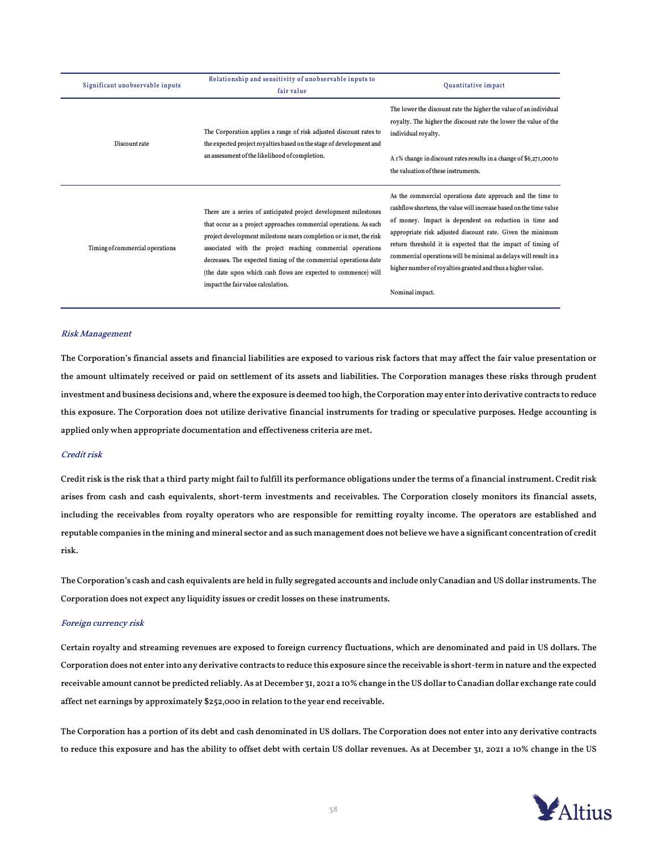| Significant unobservable inputs | Relationship and sensitivity of unobservable inputs to<br>fair value                                                                                                                                                                                                                                                                                                                                                                                  | Quantitative impact                                                                                                                                                                                                                                                                                                                                                                                                                                                            |
|---------------------------------|-------------------------------------------------------------------------------------------------------------------------------------------------------------------------------------------------------------------------------------------------------------------------------------------------------------------------------------------------------------------------------------------------------------------------------------------------------|--------------------------------------------------------------------------------------------------------------------------------------------------------------------------------------------------------------------------------------------------------------------------------------------------------------------------------------------------------------------------------------------------------------------------------------------------------------------------------|
| Discount rate                   | The Corporation applies a range of risk adjusted discount rates to<br>the expected project royalties based on the stage of development and                                                                                                                                                                                                                                                                                                            | The lower the discount rate the higher the value of an individual<br>royalty. The higher the discount rate the lower the value of the<br>individual royalty.                                                                                                                                                                                                                                                                                                                   |
|                                 | an assessment of the likelihood of completion.                                                                                                                                                                                                                                                                                                                                                                                                        | A 1% change in discount rates results in a change of \$6,271,000 to<br>the valuation of these instruments.                                                                                                                                                                                                                                                                                                                                                                     |
| Timing of commercial operations | There are a series of anticipated project development milestones<br>that occur as a project approaches commercial operations. As each<br>project development milestone nears completion or is met, the risk<br>associated with the project reaching commercial operations<br>decreases. The expected timing of the commercial operations date<br>(the date upon which cash flows are expected to commence) will<br>impact the fair value calculation. | As the commercial operations date approach and the time to<br>cashflow shortens, the value will increase based on the time value<br>of money. Impact is dependent on reduction in time and<br>appropriate risk adjusted discount rate. Given the minimum<br>return threshold it is expected that the impact of timing of<br>commercial operations will be minimal as delays will result in a<br>higher number of royalties granted and thus a higher value.<br>Nominal impact. |

#### Risk Management

The Corporation's financial assets and financial liabilities are exposed to various risk factors that may affect the fair value presentation or the amount ultimately received or paid on settlement of its assets and liabilities. The Corporation manages these risks through prudent investment and business decisions and, where the exposure is deemed too high, the Corporation may enter into derivative contracts to reduce this exposure. The Corporation does not utilize derivative financial instruments for trading or speculative purposes. Hedge accounting is applied only when appropriate documentation and effectiveness criteria are met.

#### Credit risk

Credit risk is the risk that a third party might fail to fulfill its performance obligations under the terms of a financial instrument. Credit risk arises from cash and cash equivalents, short-term investments and receivables. The Corporation closely monitors its financial assets, including the receivables from royalty operators who are responsible for remitting royalty income. The operators are established and reputable companies in the mining and mineral sector and as such management does not believe we have a significant concentration of credit risk.

The Corporation's cash and cash equivalents are held in fully segregated accounts and include only Canadian and US dollar instruments. The Corporation does not expect any liquidity issues or credit losses on these instruments.

#### Foreign currency risk

Certain royalty and streaming revenues are exposed to foreign currency fluctuations, which are denominated and paid in US dollars. The Corporation does not enter into any derivative contracts to reduce this exposure since the receivable is short-term in nature and the expected receivable amount cannot be predicted reliably. As at December 31, 2021 a 10% change in the US dollar to Canadian dollar exchange rate could affect net earnings by approximately \$252,000 in relation to the year end receivable.

The Corporation has a portion of its debt and cash denominated in US dollars. The Corporation does not enter into any derivative contracts to reduce this exposure and has the ability to offset debt with certain US dollar revenues. As at December 31, 2021 a 10% change in the US

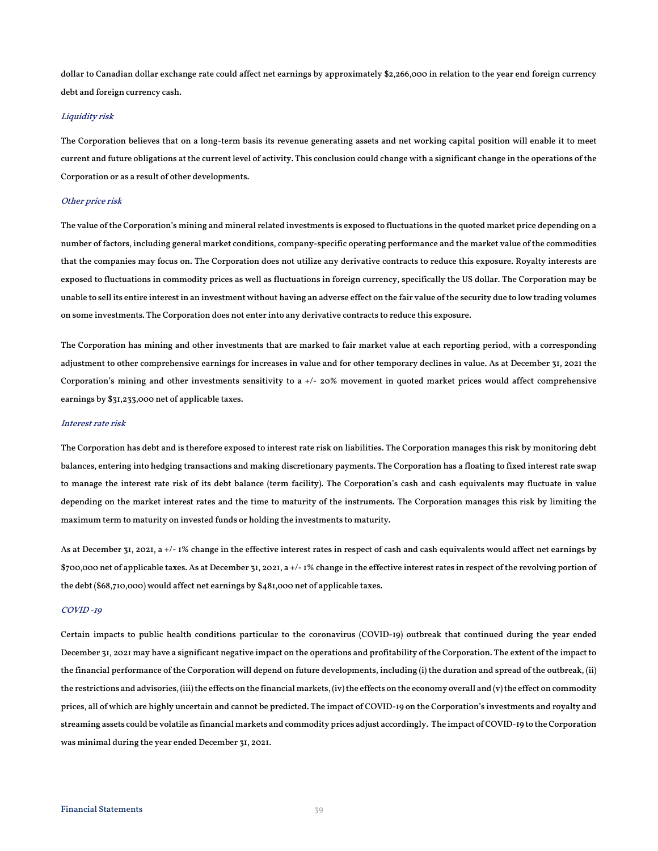dollar to Canadian dollar exchange rate could affect net earnings by approximately \$2,266,000 in relation to the year end foreign currency debt and foreign currency cash.

#### Liquidity risk

The Corporation believes that on a long-term basis its revenue generating assets and net working capital position will enable it to meet current and future obligations at the current level of activity. This conclusion could change with a significant change in the operations of the Corporation or as a result of other developments.

#### Other price risk

The value of the Corporation's mining and mineral related investments is exposed to fluctuations in the quoted market price depending on a number of factors, including general market conditions, company-specific operating performance and the market value of the commodities that the companies may focus on. The Corporation does not utilize any derivative contracts to reduce this exposure. Royalty interests are exposed to fluctuations in commodity prices as well as fluctuations in foreign currency, specifically the US dollar. The Corporation may be unable to sell its entire interest in an investment without having an adverse effect on the fair value of the security due to low trading volumes on some investments. The Corporation does not enter into any derivative contracts to reduce this exposure.

The Corporation has mining and other investments that are marked to fair market value at each reporting period, with a corresponding adjustment to other comprehensive earnings for increases in value and for other temporary declines in value. As at December 31, 2021 the Corporation's mining and other investments sensitivity to a +/- 20% movement in quoted market prices would affect comprehensive earnings by \$31,233,000 net of applicable taxes.

#### Interest rate risk

The Corporation has debt and is therefore exposed to interest rate risk on liabilities. The Corporation manages this risk by monitoring debt balances, entering into hedging transactions and making discretionary payments. The Corporation has a floating to fixed interest rate swap to manage the interest rate risk of its debt balance (term facility). The Corporation's cash and cash equivalents may fluctuate in value depending on the market interest rates and the time to maturity of the instruments. The Corporation manages this risk by limiting the maximum term to maturity on invested funds or holding the investments to maturity.

As at December 31, 2021, a +/- 1% change in the effective interest rates in respect of cash and cash equivalents would affect net earnings by \$700,000 net of applicable taxes. As at December 31, 2021, a +/- 1% change in the effective interest rates in respect of the revolving portion of the debt (\$68,710,000) would affect net earnings by \$481,000 net of applicable taxes.

#### COVID -19

Certain impacts to public health conditions particular to the coronavirus (COVID-19) outbreak that continued during the year ended December 31, 2021 may have a significant negative impact on the operations and profitability of the Corporation. The extent of the impact to the financial performance of the Corporation will depend on future developments, including (i) the duration and spread of the outbreak, (ii) the restrictions and advisories, (iii) the effects on the financial markets, (iv) the effects on the economy overall and (v) the effect on commodity prices, all of which are highly uncertain and cannot be predicted. The impact of COVID-19 on the Corporation's investments and royalty and streaming assets could be volatile as financial markets and commodity prices adjust accordingly. The impact of COVID-19 to the Corporation was minimal during the year ended December 31, 2021.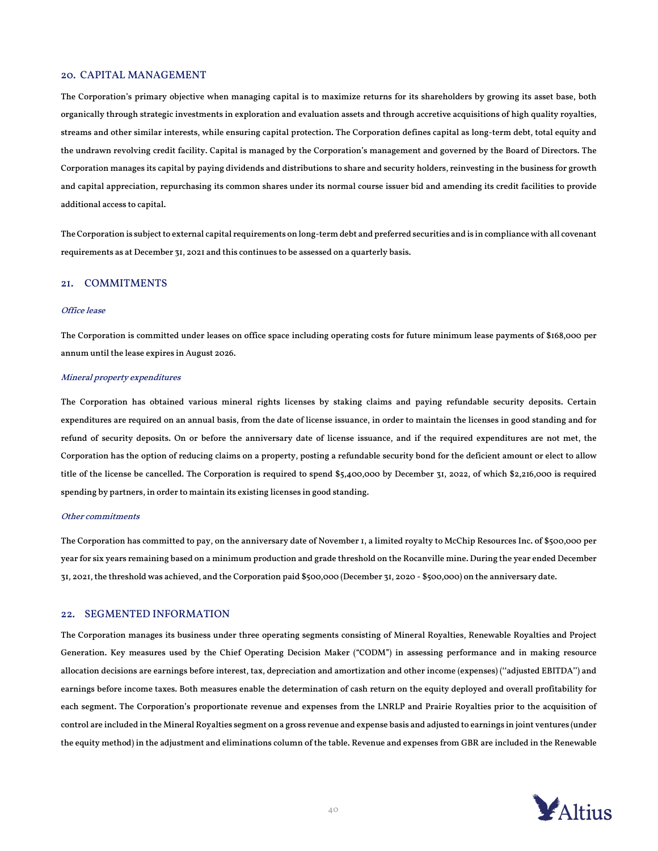#### 20. CAPITAL MANAGEMENT

The Corporation's primary objective when managing capital is to maximize returns for its shareholders by growing its asset base, both organically through strategic investments in exploration and evaluation assets and through accretive acquisitions of high quality royalties, streams and other similar interests, while ensuring capital protection. The Corporation defines capital as long-term debt, total equity and the undrawn revolving credit facility. Capital is managed by the Corporation's management and governed by the Board of Directors. The Corporation manages its capital by paying dividends and distributions to share and security holders, reinvesting in the business for growth and capital appreciation, repurchasing its common shares under its normal course issuer bid and amending its credit facilities to provide additional access to capital.

The Corporation is subject to external capital requirements on long-term debt and preferred securities and is in compliance with all covenant requirements as at December 31, 2021 and this continues to be assessed on a quarterly basis.

#### 21. COMMITMENTS

#### Office lease

The Corporation is committed under leases on office space including operating costs for future minimum lease payments of \$168,000 per annum until the lease expires in August 2026.

#### Mineral property expenditures

The Corporation has obtained various mineral rights licenses by staking claims and paying refundable security deposits. Certain expenditures are required on an annual basis, from the date of license issuance, in order to maintain the licenses in good standing and for refund of security deposits. On or before the anniversary date of license issuance, and if the required expenditures are not met, the Corporation has the option of reducing claims on a property, posting a refundable security bond for the deficient amount or elect to allow title of the license be cancelled. The Corporation is required to spend \$5,400,000 by December 31, 2022, of which \$2,216,000 is required spending by partners, in order to maintain its existing licenses in good standing.

#### Other commitments

The Corporation has committed to pay, on the anniversary date of November 1, a limited royalty to McChip Resources Inc. of \$500,000 per year for six years remaining based on a minimum production and grade threshold on the Rocanville mine. During the year ended December 31, 2021, the threshold was achieved, and the Corporation paid \$500,000 (December 31, 2020 - \$500,000) on the anniversary date.

#### 22. SEGMENTED INFORMATION

The Corporation manages its business under three operating segments consisting of Mineral Royalties, Renewable Royalties and Project Generation. Key measures used by the Chief Operating Decision Maker ("CODM") in assessing performance and in making resource allocation decisions are earnings before interest, tax, depreciation and amortization and other income (expenses) (''adjusted EBITDA'') and earnings before income taxes. Both measures enable the determination of cash return on the equity deployed and overall profitability for each segment. The Corporation's proportionate revenue and expenses from the LNRLP and Prairie Royalties prior to the acquisition of control are included in the Mineral Royalties segment on a gross revenue and expense basis and adjusted to earnings in joint ventures (under the equity method) in the adjustment and eliminations column of the table. Revenue and expenses from GBR are included in the Renewable

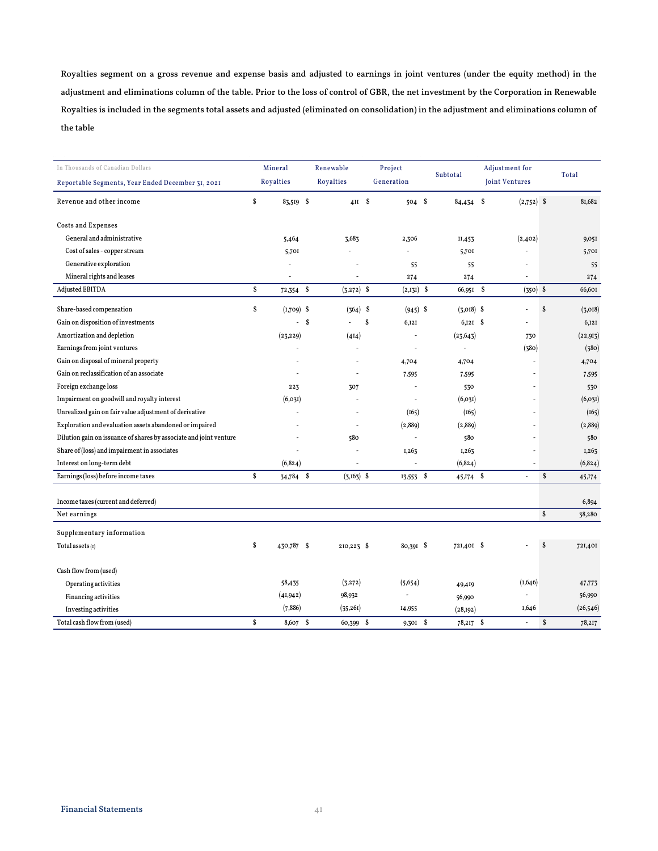Royalties segment on a gross revenue and expense basis and adjusted to earnings in joint ventures (under the equity method) in the adjustment and eliminations column of the table. Prior to the loss of control of GBR, the net investment by the Corporation in Renewable Royalties is included in the segments total assets and adjusted (eliminated on consolidation) in the adjustment and eliminations column of the table

| In Thousands of Canadian Dollars                                   |    | Mineral       | Renewable                |            | Project        |  | Subtotal                 |                | Adjustment for           |                    | Total     |
|--------------------------------------------------------------------|----|---------------|--------------------------|------------|----------------|--|--------------------------|----------------|--------------------------|--------------------|-----------|
| Reportable Segments, Year Ended December 31, 2021                  |    | Royalties     | Royalties                | Generation |                |  |                          | Joint Ventures |                          |                    |           |
| Revenue and other income                                           | \$ | 83,519 \$     |                          | $4II$ \$   | $504$ \$       |  | $84,434$ \$              |                | $(2,752)$ \$             |                    | 81,682    |
| Costs and Expenses                                                 |    |               |                          |            |                |  |                          |                |                          |                    |           |
| General and administrative                                         |    | 5,464         | 3,683                    |            | 2,306          |  | II,453                   |                | (2,402)                  |                    | 9,051     |
| Cost of sales - copper stream                                      |    | 5,701         |                          |            |                |  | 5,701                    |                |                          |                    | 5,701     |
| Generative exploration                                             |    | J.            |                          |            | 55             |  | 55                       |                |                          |                    | 55        |
| Mineral rights and leases                                          |    |               |                          |            | 274            |  | 274                      |                |                          |                    | 274       |
| <b>Adjusted EBITDA</b>                                             | \$ | $72,354$ \$   | $(3,272)$ \$             |            | $(2,131)$ \$   |  | 66,951 \$                |                | $(350)$ \$               |                    | 66,601    |
| Share-based compensation                                           | \$ | $(I, 709)$ \$ | $(364)$ \$               |            | $(945)$ \$     |  | $(3,018)$ \$             |                | $\overline{a}$           | \$                 | (3,018)   |
| Gain on disposition of investments                                 |    | ÷.            | -S                       | Ŝ          | 6,121          |  | $6,121$ \$               |                |                          |                    | 6,121     |
| Amortization and depletion                                         |    | (23, 229)     | (414)                    |            | $\overline{a}$ |  | (23, 643)                |                | 730                      |                    | (22, 913) |
| Earnings from joint ventures                                       |    |               | $\overline{a}$           |            | $\overline{a}$ |  | $\overline{\phantom{a}}$ |                | (380)                    |                    | (380)     |
| Gain on disposal of mineral property                               |    |               | $\overline{a}$           |            | 4,704          |  | 4,704                    |                | ÷,                       |                    | 4,704     |
| Gain on reclassification of an associate                           |    |               | $\overline{a}$           |            | 7,595          |  | 7,595                    |                |                          |                    | 7,595     |
| Foreign exchange loss                                              |    | 223           | 307                      |            | L,             |  | 530                      |                |                          |                    | 530       |
| Impairment on goodwill and royalty interest                        |    | (6, 03I)      |                          |            | $\overline{a}$ |  | (6, 03I)                 |                |                          |                    | (6, 03I)  |
| Unrealized gain on fair value adjustment of derivative             |    |               |                          |            | (165)          |  | (165)                    |                |                          |                    | (165)     |
| Exploration and evaluation assets abandoned or impaired            |    |               | $\overline{\phantom{a}}$ |            | (2,889)        |  | (2,889)                  |                |                          |                    | (2,889)   |
| Dilution gain on issuance of shares by associate and joint venture |    |               | 580                      |            | $\overline{a}$ |  | 580                      |                |                          |                    | 580       |
| Share of (loss) and impairment in associates                       |    |               |                          |            | 1,263          |  | 1,263                    |                |                          |                    | 1,263     |
| Interest on long-term debt                                         |    | (6, 824)      | $\overline{a}$           |            | $\overline{a}$ |  | (6, 824)                 |                |                          |                    | (6, 824)  |
| Earnings (loss) before income taxes                                | Ŝ. | 34,784 \$     | $(3,163)$ \$             |            | $13,553$ \$    |  | $45,174$ \$              |                | $\overline{\phantom{a}}$ | \$                 | 45,174    |
|                                                                    |    |               |                          |            |                |  |                          |                |                          |                    |           |
| Income taxes (current and deferred)                                |    |               |                          |            |                |  |                          |                |                          | $\mathbf{\hat{s}}$ | 6,894     |
| Net earnings                                                       |    |               |                          |            |                |  |                          |                |                          |                    | 38,280    |
| Supplementary information                                          |    |               |                          |            |                |  |                          |                |                          |                    |           |
| Total assets $(I)$                                                 | \$ | 430,787 \$    | 210,223 \$               |            | 80,391 \$      |  | 721,401 \$               |                |                          | S                  | 721,401   |
| Cash flow from (used)                                              |    |               |                          |            |                |  |                          |                |                          |                    |           |
| Operating activities                                               |    | 58,435        | (3, 272)                 |            | (5,654)        |  | 49,419                   |                | (1,646)                  |                    | 47,773    |
| Financing activities                                               |    | (41, 942)     | 98,932                   |            |                |  | 56,990                   |                |                          |                    | 56,990    |
| Investing activities                                               |    | (7, 886)      | (35,261)                 |            | 14,955         |  | (28, 192)                |                | 1,646                    |                    | (26, 546) |
| Total cash flow from (used)                                        | \$ | 8,607 \$      | 60,399 \$                |            | $9,301$ \$     |  | 78,217 \$                |                | $\overline{\phantom{a}}$ | \$                 | 78,217    |